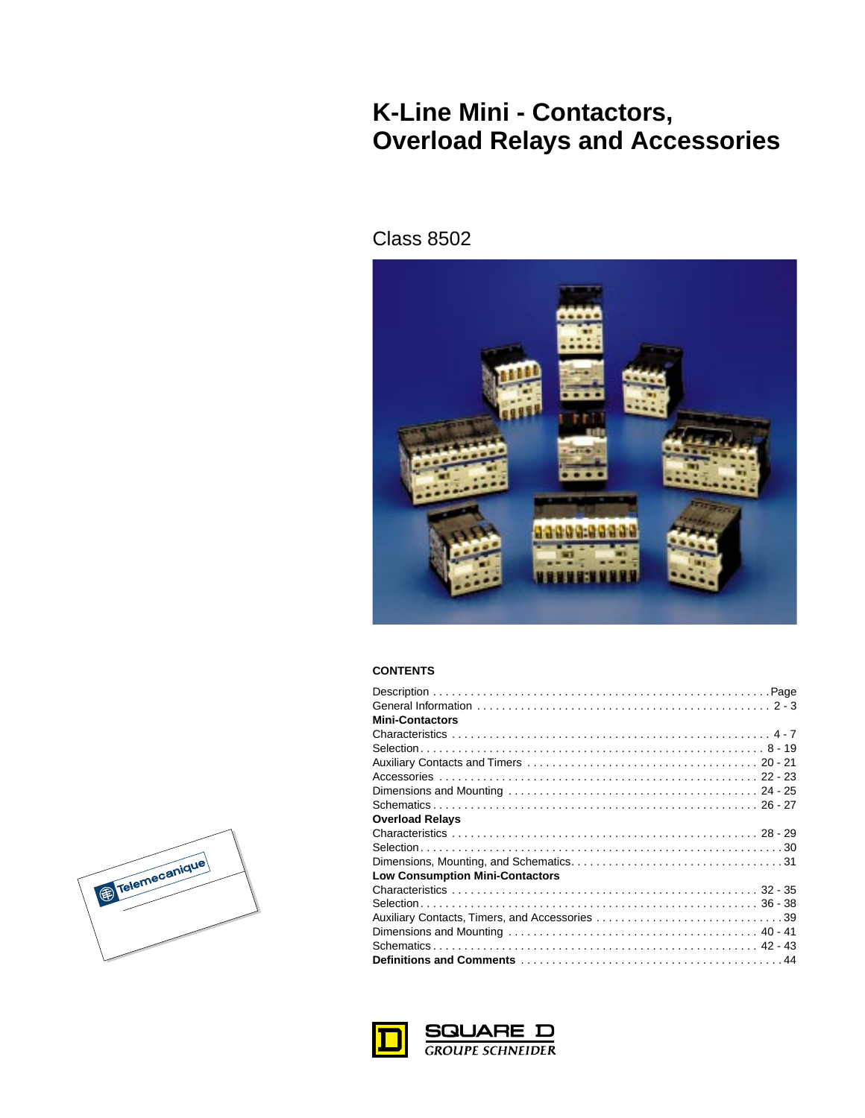# **K-Line Mini - Contactors, Overload Relays and Accessories**

# Class 8502



# **CONTENTS**

| <b>Mini-Contactors</b>                 |
|----------------------------------------|
|                                        |
|                                        |
|                                        |
|                                        |
|                                        |
|                                        |
| <b>Overload Relays</b>                 |
|                                        |
|                                        |
|                                        |
| <b>Low Consumption Mini-Contactors</b> |
|                                        |
|                                        |
|                                        |
|                                        |
|                                        |
|                                        |



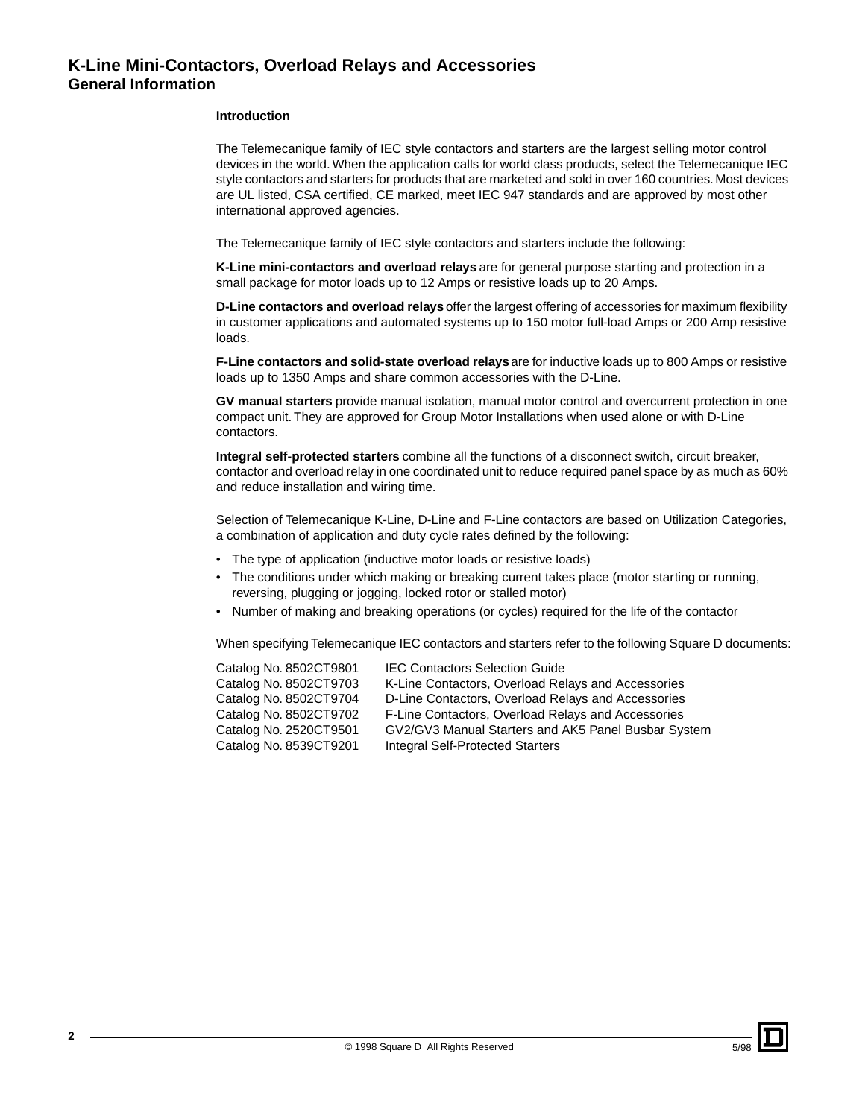# **K-Line Mini-Contactors, Overload Relays and Accessories General Information**

### **Introduction**

The Telemecanique family of IEC style contactors and starters are the largest selling motor control devices in the world. When the application calls for world class products, select the Telemecanique IEC style contactors and starters for products that are marketed and sold in over 160 countries. Most devices are UL listed, CSA certified, CE marked, meet IEC 947 standards and are approved by most other international approved agencies.

The Telemecanique family of IEC style contactors and starters include the following:

**K-Line mini-contactors and overload relays** are for general purpose starting and protection in a small package for motor loads up to 12 Amps or resistive loads up to 20 Amps.

**D-Line contactors and overload relays** offer the largest offering of accessories for maximum flexibility in customer applications and automated systems up to 150 motor full-load Amps or 200 Amp resistive loads.

**F-Line contactors and solid-state overload relays** are for inductive loads up to 800 Amps or resistive loads up to 1350 Amps and share common accessories with the D-Line.

**GV manual starters** provide manual isolation, manual motor control and overcurrent protection in one compact unit. They are approved for Group Motor Installations when used alone or with D-Line contactors.

**Integral self-protected starters** combine all the functions of a disconnect switch, circuit breaker, contactor and overload relay in one coordinated unit to reduce required panel space by as much as 60% and reduce installation and wiring time.

Selection of Telemecanique K-Line, D-Line and F-Line contactors are based on Utilization Categories, a combination of application and duty cycle rates defined by the following:

- The type of application (inductive motor loads or resistive loads)
- The conditions under which making or breaking current takes place (motor starting or running, reversing, plugging or jogging, locked rotor or stalled motor)
- Number of making and breaking operations (or cycles) required for the life of the contactor

When specifying Telemecanique IEC contactors and starters refer to the following Square D documents:

| <b>IEC Contactors Selection Guide</b>               |
|-----------------------------------------------------|
| K-Line Contactors, Overload Relays and Accessories  |
| D-Line Contactors, Overload Relays and Accessories  |
| F-Line Contactors, Overload Relays and Accessories  |
| GV2/GV3 Manual Starters and AK5 Panel Busbar System |
| <b>Integral Self-Protected Starters</b>             |
|                                                     |

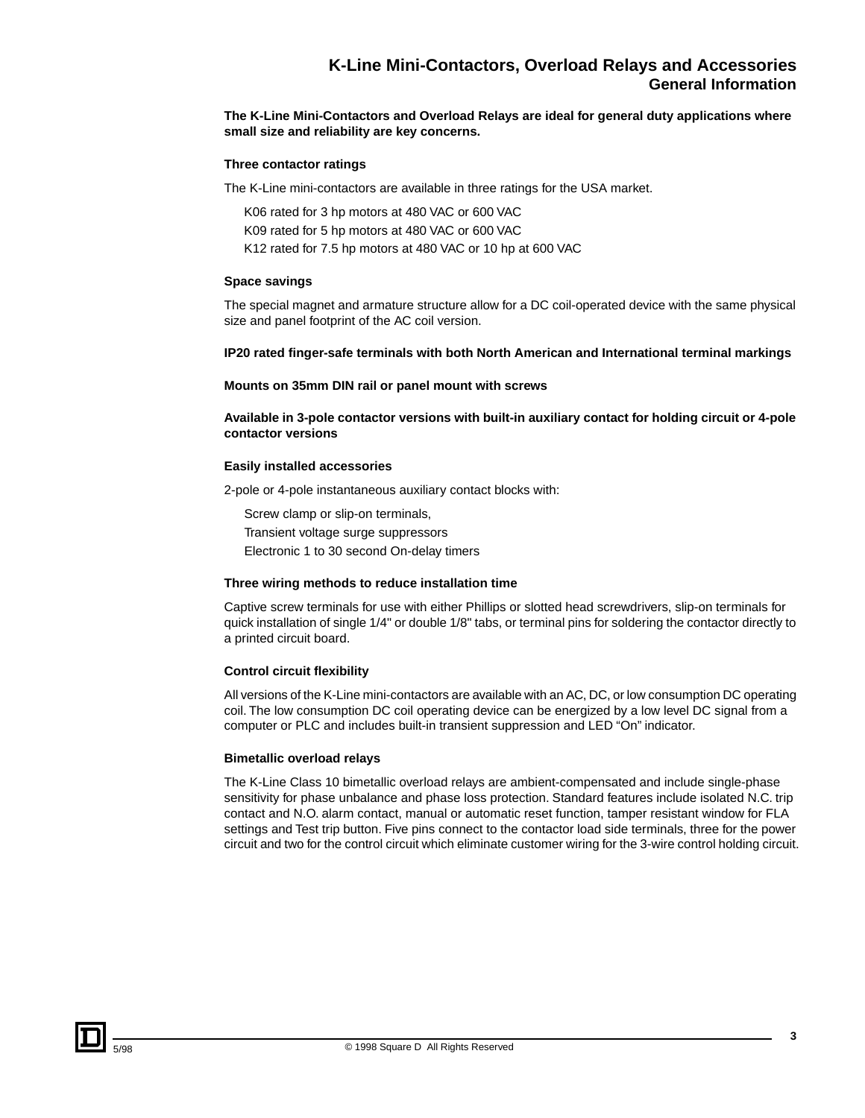# **K-Line Mini-Contactors, Overload Relays and Accessories General Information**

**The K-Line Mini-Contactors and Overload Relays are ideal for general duty applications where small size and reliability are key concerns.**

#### **Three contactor ratings**

The K-Line mini-contactors are available in three ratings for the USA market.

K06 rated for 3 hp motors at 480 VAC or 600 VAC

K09 rated for 5 hp motors at 480 VAC or 600 VAC

K12 rated for 7.5 hp motors at 480 VAC or 10 hp at 600 VAC

#### **Space savings**

The special magnet and armature structure allow for a DC coil-operated device with the same physical size and panel footprint of the AC coil version.

#### **IP20 rated finger-safe terminals with both North American and International terminal markings**

#### **Mounts on 35mm DIN rail or panel mount with screws**

**Available in 3-pole contactor versions with built-in auxiliary contact for holding circuit or 4-pole contactor versions**

#### **Easily installed accessories**

2-pole or 4-pole instantaneous auxiliary contact blocks with:

Screw clamp or slip-on terminals, Transient voltage surge suppressors Electronic 1 to 30 second On-delay timers

#### **Three wiring methods to reduce installation time**

Captive screw terminals for use with either Phillips or slotted head screwdrivers, slip-on terminals for quick installation of single 1/4" or double 1/8" tabs, or terminal pins for soldering the contactor directly to a printed circuit board.

#### **Control circuit flexibility**

All versions of the K-Line mini-contactors are available with an AC, DC, or low consumption DC operating coil. The low consumption DC coil operating device can be energized by a low level DC signal from a computer or PLC and includes built-in transient suppression and LED "On" indicator.

#### **Bimetallic overload relays**

The K-Line Class 10 bimetallic overload relays are ambient-compensated and include single-phase sensitivity for phase unbalance and phase loss protection. Standard features include isolated N.C. trip contact and N.O. alarm contact, manual or automatic reset function, tamper resistant window for FLA settings and Test trip button. Five pins connect to the contactor load side terminals, three for the power circuit and two for the control circuit which eliminate customer wiring for the 3-wire control holding circuit.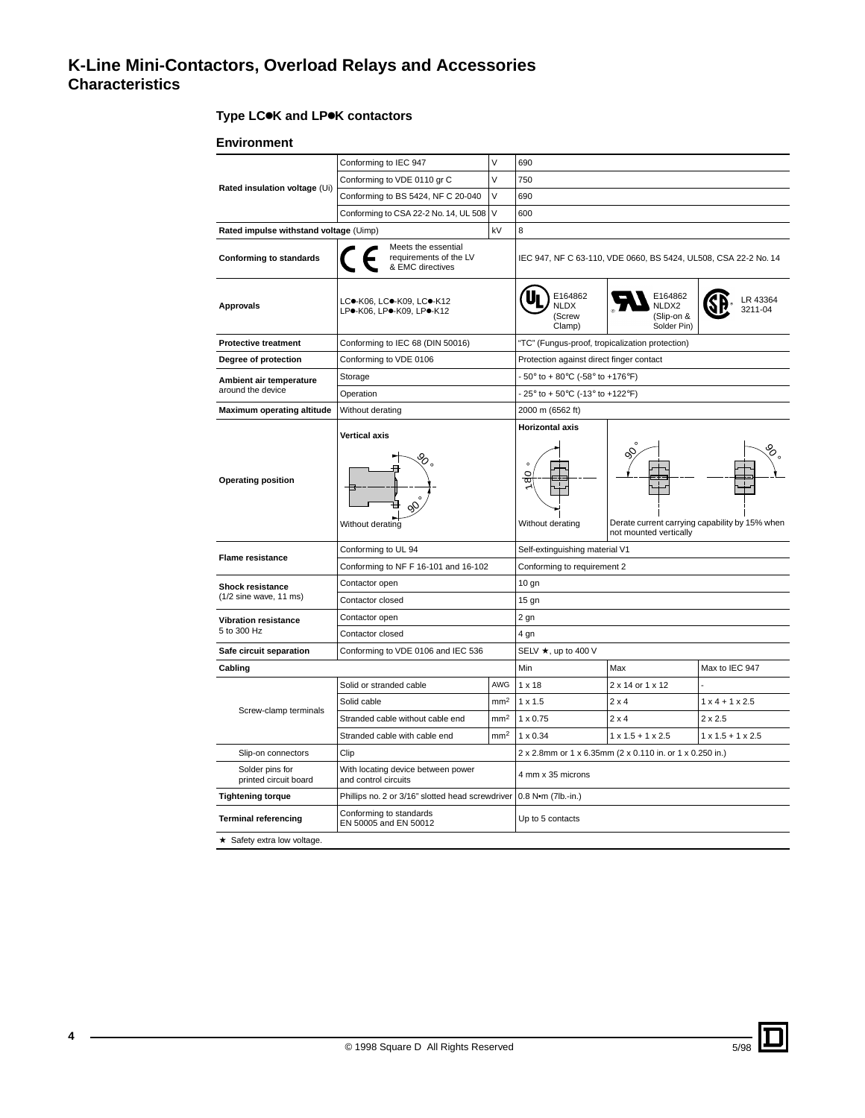# **Type LCOK and LPOK contactors**

#### **Environment**

|                                            | Conforming to IEC 947                                             | V               | 690                                                                      |                                                          |                                                |  |  |  |  |  |
|--------------------------------------------|-------------------------------------------------------------------|-----------------|--------------------------------------------------------------------------|----------------------------------------------------------|------------------------------------------------|--|--|--|--|--|
|                                            | Conforming to VDE 0110 gr C                                       | V               | 750                                                                      |                                                          |                                                |  |  |  |  |  |
| Rated insulation voltage (Ui)              | Conforming to BS 5424, NF C 20-040                                | V               | 690                                                                      |                                                          |                                                |  |  |  |  |  |
|                                            | Conforming to CSA 22-2 No. 14, UL 508                             | $\vee$          | 600                                                                      |                                                          |                                                |  |  |  |  |  |
| Rated impulse withstand voltage (Uimp)     |                                                                   | kV              | 8                                                                        |                                                          |                                                |  |  |  |  |  |
| <b>Conforming to standards</b>             | Meets the essential<br>requirements of the LV<br>& EMC directives |                 | IEC 947, NF C 63-110, VDE 0660, BS 5424, UL508, CSA 22-2 No. 14          |                                                          |                                                |  |  |  |  |  |
| Approvals                                  | LC●-K06, LC●-K09, LC●-K12<br>LP.K06, LP.K09, LP.K12               |                 | E164862<br><b>NLDX</b><br>(Screw<br>Clamp)                               | E164862<br>NLDX2<br>(Slip-on &<br>Solder Pin)            | LR 43364<br>3211-04                            |  |  |  |  |  |
| <b>Protective treatment</b>                | Conforming to IEC 68 (DIN 50016)                                  |                 | "TC" (Fungus-proof, tropicalization protection)                          |                                                          |                                                |  |  |  |  |  |
| Degree of protection                       | Conforming to VDE 0106                                            |                 | Protection against direct finger contact                                 |                                                          |                                                |  |  |  |  |  |
| Ambient air temperature                    | Storage                                                           |                 | $-50^{\circ}$ to + 80 $^{\circ}$ C (-58 $^{\circ}$ to +176 $^{\circ}$ F) |                                                          |                                                |  |  |  |  |  |
| around the device                          | Operation                                                         |                 | - 25° to + 50°C (-13° to +122°F)                                         |                                                          |                                                |  |  |  |  |  |
| <b>Maximum operating altitude</b>          | Without derating                                                  |                 | 2000 m (6562 ft)                                                         |                                                          |                                                |  |  |  |  |  |
| <b>Operating position</b>                  | <b>Vertical axis</b><br>∾<br>Without derating                     |                 | <b>Horizontal axis</b><br>C<br>ळ<br>Without derating                     | o<br>not mounted vertically                              | Derate current carrying capability by 15% when |  |  |  |  |  |
| <b>Flame resistance</b>                    | Conforming to UL 94                                               |                 | Self-extinguishing material V1                                           |                                                          |                                                |  |  |  |  |  |
|                                            | Conforming to NF F 16-101 and 16-102                              |                 | Conforming to requirement 2                                              |                                                          |                                                |  |  |  |  |  |
| <b>Shock resistance</b>                    | Contactor open                                                    |                 | $10$ gn                                                                  |                                                          |                                                |  |  |  |  |  |
| $(1/2)$ sine wave, 11 ms)                  | Contactor closed                                                  |                 | 15 gn                                                                    |                                                          |                                                |  |  |  |  |  |
| <b>Vibration resistance</b><br>5 to 300 Hz | Contactor open                                                    |                 | 2 <sub>gn</sub>                                                          |                                                          |                                                |  |  |  |  |  |
|                                            | Contactor closed                                                  |                 | 4 gn                                                                     |                                                          |                                                |  |  |  |  |  |
| Safe circuit separation                    | Conforming to VDE 0106 and IEC 536                                |                 | SELV $\star$ , up to 400 V                                               |                                                          |                                                |  |  |  |  |  |
| Cabling                                    |                                                                   |                 | Min                                                                      | Max                                                      | Max to IEC 947                                 |  |  |  |  |  |
|                                            | Solid or stranded cable                                           | AWG             | $1 \times 18$                                                            | 2 x 14 or 1 x 12                                         |                                                |  |  |  |  |  |
| Screw-clamp terminals                      | Solid cable                                                       | mm <sup>2</sup> | $1 \times 1.5$                                                           | $2 \times 4$                                             | $1 x 4 + 1 x 2.5$                              |  |  |  |  |  |
|                                            | Stranded cable without cable end                                  | mm <sup>2</sup> | $1 \times 0.75$                                                          | $2 \times 4$                                             | $2 \times 2.5$                                 |  |  |  |  |  |
|                                            | Stranded cable with cable end                                     | mm <sup>2</sup> | $1 \times 0.34$                                                          | $1 x 1.5 + 1 x 2.5$                                      | $1 \times 1.5 + 1 \times 2.5$                  |  |  |  |  |  |
| Slip-on connectors                         | Clip                                                              |                 |                                                                          | 2 x 2.8mm or 1 x 6.35mm (2 x 0.110 in. or 1 x 0.250 in.) |                                                |  |  |  |  |  |
| Solder pins for<br>printed circuit board   | With locating device between power<br>and control circuits        |                 | 4 mm x 35 microns                                                        |                                                          |                                                |  |  |  |  |  |
| <b>Tightening torque</b>                   | Phillips no. 2 or 3/16" slotted head screwdriver                  |                 | 0.8 Nom (7lb.-in.)                                                       |                                                          |                                                |  |  |  |  |  |
| <b>Terminal referencing</b>                | Conforming to standards<br>EN 50005 and EN 50012                  |                 | Up to 5 contacts                                                         |                                                          |                                                |  |  |  |  |  |
| ★ Safety extra low voltage.                |                                                                   |                 |                                                                          |                                                          |                                                |  |  |  |  |  |

 $\bf \Pi$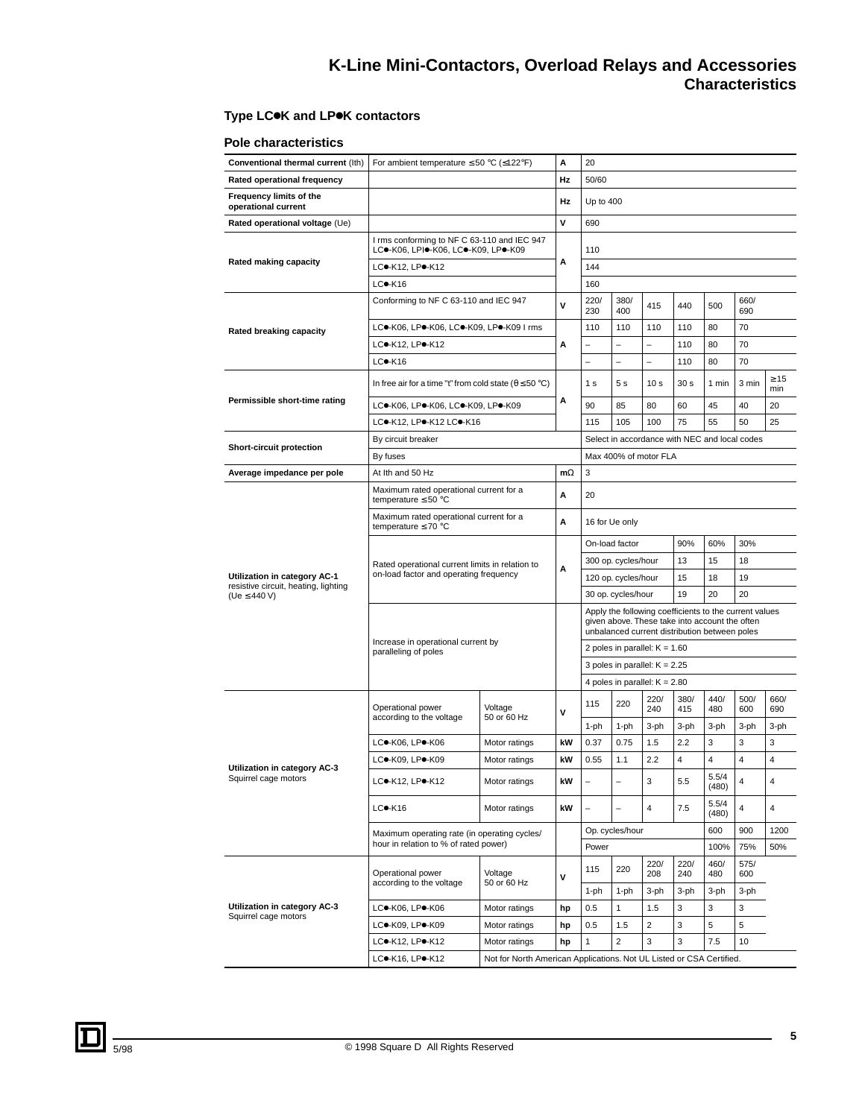# Type LC<sup>OK</sup> and LPOK contactors

### **Pole characteristics**

| Conventional thermal current (lth)                                   | For ambient temperature $\leq 50$ °C ( $\leq$ 122°F)                                      |                                                                      | A              | 20                              |                                               |                                                                                                                                                           |                |                |                         |                |  |
|----------------------------------------------------------------------|-------------------------------------------------------------------------------------------|----------------------------------------------------------------------|----------------|---------------------------------|-----------------------------------------------|-----------------------------------------------------------------------------------------------------------------------------------------------------------|----------------|----------------|-------------------------|----------------|--|
| Rated operational frequency                                          |                                                                                           |                                                                      | Hz             | 50/60                           |                                               |                                                                                                                                                           |                |                |                         |                |  |
| Frequency limits of the<br>operational current                       |                                                                                           |                                                                      | Hz             | Up to 400                       |                                               |                                                                                                                                                           |                |                |                         |                |  |
| Rated operational voltage (Ue)                                       |                                                                                           |                                                                      | v              | 690                             |                                               |                                                                                                                                                           |                |                |                         |                |  |
|                                                                      | I rms conforming to NF C 63-110 and IEC 947<br>LCO-K06, LPIO-K06, LCO-K09, LPO-K09        |                                                                      |                | 110                             |                                               |                                                                                                                                                           |                |                |                         |                |  |
| Rated making capacity                                                | LC.K12, LP.K12                                                                            |                                                                      | A              | 144                             |                                               |                                                                                                                                                           |                |                |                         |                |  |
|                                                                      | $LC• - K16$                                                                               |                                                                      |                | 160                             |                                               |                                                                                                                                                           |                |                |                         |                |  |
|                                                                      | Conforming to NF C 63-110 and IEC 947                                                     |                                                                      | v              | 220/<br>230                     | 380/<br>400                                   | 415                                                                                                                                                       | 440            | 500            | 660/<br>690             |                |  |
| Rated breaking capacity                                              | LCO-K06, LPO-K06, LCO-K09, LPO-K09 I rms                                                  |                                                                      |                | 110                             | 110                                           | 110                                                                                                                                                       | 110            | 80             | 70                      |                |  |
|                                                                      | LCO-K12, LPO-K12                                                                          |                                                                      | A              |                                 |                                               |                                                                                                                                                           | 110            | 80             | 70                      |                |  |
|                                                                      | LC <sub>•</sub> –K16                                                                      |                                                                      |                |                                 | $\overline{\phantom{0}}$                      | $\overline{\phantom{0}}$                                                                                                                                  | 110            | 80             | 70                      |                |  |
|                                                                      | In free air for a time "t" from cold state ( $\theta \le 50$ °C)                          |                                                                      | 1 <sub>s</sub> | 5 s                             | 10 <sub>s</sub>                               | 30 <sub>s</sub>                                                                                                                                           | 1 min          | 3 min          | $\geq 15$<br>min        |                |  |
| Permissible short-time rating                                        | LCO-K06, LPO-K06, LCO-K09, LPO-K09                                                        |                                                                      | А              | 90                              | 85                                            | 80                                                                                                                                                        | 60             | 45             | 40                      | 20             |  |
|                                                                      | LC●-K12, LP●-K12 LC●-K16                                                                  |                                                                      | 115            | 105                             | 100                                           | 75                                                                                                                                                        | 55             | 50             | 25                      |                |  |
| <b>Short-circuit protection</b>                                      | By circuit breaker                                                                        |                                                                      |                |                                 | Select in accordance with NEC and local codes |                                                                                                                                                           |                |                |                         |                |  |
|                                                                      | By fuses                                                                                  |                                                                      |                |                                 |                                               | Max 400% of motor FLA                                                                                                                                     |                |                |                         |                |  |
| Average impedance per pole                                           | At Ith and 50 Hz                                                                          | $m\Omega$                                                            | 3              |                                 |                                               |                                                                                                                                                           |                |                |                         |                |  |
|                                                                      | Maximum rated operational current for a<br>temperature $\leq 50$ °C                       | A                                                                    | 20             |                                 |                                               |                                                                                                                                                           |                |                |                         |                |  |
|                                                                      | Maximum rated operational current for a<br>temperature $\leq 70$ °C                       |                                                                      | А              |                                 | 16 for Ue only                                |                                                                                                                                                           |                |                |                         |                |  |
|                                                                      | Rated operational current limits in relation to<br>on-load factor and operating frequency |                                                                      |                |                                 | On-load factor                                |                                                                                                                                                           | 90%            | 60%            | 30%                     |                |  |
|                                                                      |                                                                                           |                                                                      |                |                                 | 300 op. cycles/hour                           |                                                                                                                                                           | 13             | 15             | 18                      |                |  |
| Utilization in category AC-1<br>resistive circuit, heating, lighting |                                                                                           |                                                                      |                |                                 | 120 op. cycles/hour                           |                                                                                                                                                           | 15             | 18             | 19                      |                |  |
| (Ue $\leq$ 440 V)                                                    |                                                                                           |                                                                      |                | 30 op. cycles/hour              |                                               | 19                                                                                                                                                        | 20             | 20             |                         |                |  |
|                                                                      |                                                                                           |                                                                      |                |                                 |                                               | Apply the following coefficients to the current values<br>given above. These take into account the often<br>unbalanced current distribution between poles |                |                |                         |                |  |
|                                                                      | paralleling of poles                                                                      | Increase in operational current by                                   |                |                                 |                                               | 2 poles in parallel: $K = 1.60$                                                                                                                           |                |                |                         |                |  |
|                                                                      |                                                                                           |                                                                      |                | 3 poles in parallel: $K = 2.25$ |                                               |                                                                                                                                                           |                |                |                         |                |  |
|                                                                      |                                                                                           |                                                                      |                |                                 |                                               | 4 poles in parallel: $K = 2.80$                                                                                                                           |                |                |                         |                |  |
|                                                                      | Operational power<br>according to the voltage                                             | Voltage<br>50 or 60 Hz                                               | v              | 115                             | 220                                           | 220/<br>240                                                                                                                                               | 380/<br>415    | 440/<br>480    | 500/<br>600             | 660/<br>690    |  |
|                                                                      |                                                                                           |                                                                      |                | 1-ph                            | $1$ -ph                                       | 3-ph                                                                                                                                                      | 3-ph           | 3-ph           | 3-ph                    | 3-ph           |  |
|                                                                      | LCO-K06, LPO-K06                                                                          | Motor ratings                                                        | kW             | 0.37                            | 0.75                                          | 1.5                                                                                                                                                       | 2.2            | 3              | 3                       | 3              |  |
| Utilization in category AC-3                                         | LC.K09, LP.K09                                                                            | Motor ratings                                                        | kW             | 0.55                            | 1.1                                           | 2.2                                                                                                                                                       | $\overline{4}$ | 4              | 4                       | 4              |  |
| Squirrel cage motors                                                 | LCO-K12, LPO-K12                                                                          | Motor ratings                                                        | kW             |                                 |                                               | 3                                                                                                                                                         | 5.5            | 5.5/4<br>(480) | $\overline{\mathbf{4}}$ | $\overline{4}$ |  |
|                                                                      | LC <sub>•</sub> K16                                                                       | Motor ratings                                                        | kW             |                                 |                                               | $\overline{4}$                                                                                                                                            | 7.5            | 5.5/4<br>(480) | $\overline{4}$          | $\overline{4}$ |  |
|                                                                      | Maximum operating rate (in operating cycles/                                              |                                                                      |                |                                 | Op. cycles/hour                               |                                                                                                                                                           | 600            | 900            | 1200                    |                |  |
|                                                                      | hour in relation to % of rated power)                                                     |                                                                      |                | Power                           |                                               |                                                                                                                                                           |                | 100%           | 75%                     | 50%            |  |
|                                                                      | Operational power<br>according to the voltage                                             | Voltage<br>50 or 60 Hz                                               | V              | 115                             | 220                                           | 220/<br>208                                                                                                                                               | 220/<br>240    | 460/<br>480    | 575/<br>600             |                |  |
|                                                                      |                                                                                           |                                                                      |                | $1$ -ph                         | 1-ph                                          | 3-ph                                                                                                                                                      | 3-ph           | 3-ph           | 3-ph                    |                |  |
| Utilization in category AC-3<br>Squirrel cage motors                 | LC.K06, LP.K06                                                                            | Motor ratings                                                        |                | 0.5                             | $\mathbf{1}$                                  | 1.5                                                                                                                                                       | 3              | 3              | 3                       |                |  |
|                                                                      | LCO-K09, LPO-K09                                                                          | Motor ratings                                                        | hp             | 0.5                             | 1.5                                           | $\overline{2}$                                                                                                                                            | 3              | 5              | 5                       |                |  |
|                                                                      | LCO-K12, LPO-K12                                                                          | Motor ratings                                                        | hp             | $\mathbf{1}$                    | $\overline{2}$                                | 3                                                                                                                                                         | 3              | 7.5            | 10                      |                |  |
|                                                                      | LC●-K16, LP●-K12                                                                          | Not for North American Applications. Not UL Listed or CSA Certified. |                |                                 |                                               |                                                                                                                                                           |                |                |                         |                |  |

 $\overline{a}$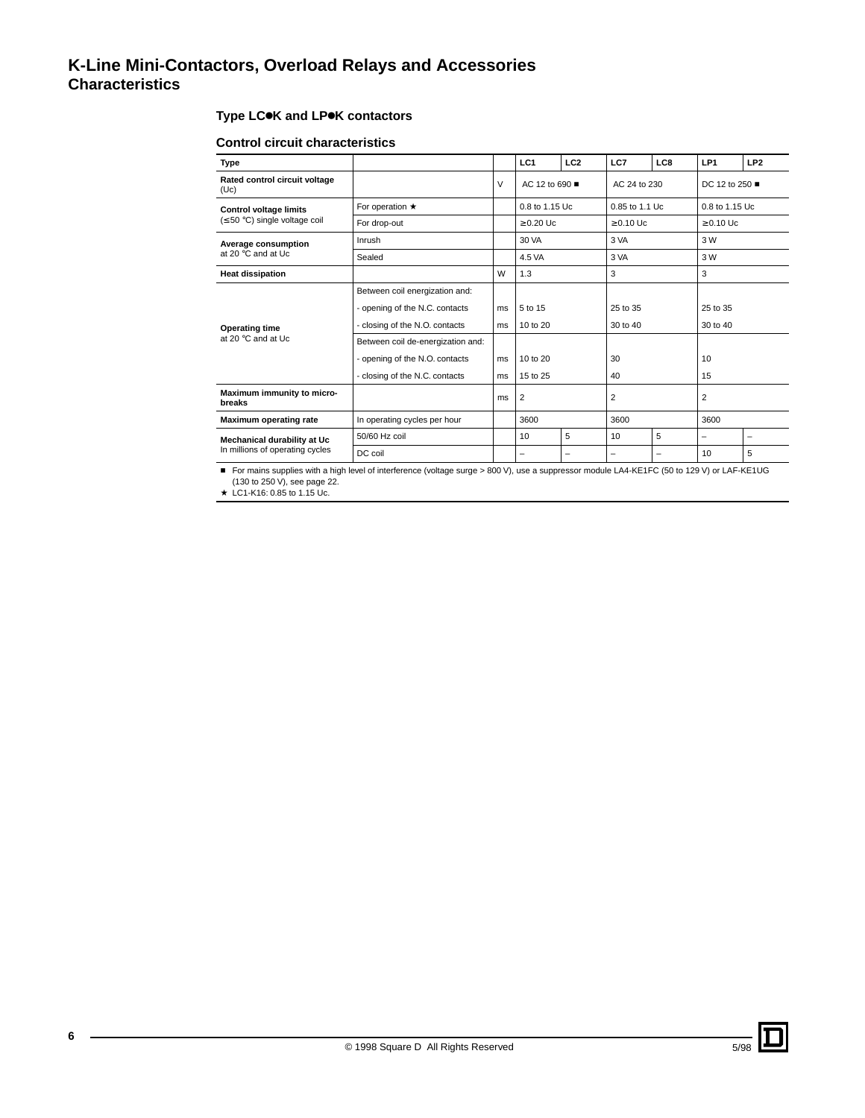# **Type LCOK and LPOK contactors**

### **Control circuit characteristics**

| <b>Type</b>                           |                                   |    | LC <sub>1</sub> | LC <sub>2</sub> | LC7               | LC8 | LP <sub>1</sub> | LP <sub>2</sub>   |
|---------------------------------------|-----------------------------------|----|-----------------|-----------------|-------------------|-----|-----------------|-------------------|
| Rated control circuit voltage<br>(UC) |                                   | V  | AC 12 to 690    |                 | AC 24 to 230      |     | DC 12 to 250 ■  |                   |
| <b>Control voltage limits</b>         | For operation $\star$             |    | 0.8 to 1.15 Uc  |                 | 0.85 to 1.1 Uc    |     | 0.8 to 1.15 Uc  |                   |
| (≤ 50 °C) single voltage coil         | For drop-out                      |    | $> 0.20$ Uc     |                 | $> 0.10$ Uc       |     | $\geq 0.10$ Uc  |                   |
| Average consumption                   | Inrush                            |    | 30 VA           |                 | 3 VA              |     | 3 W             |                   |
| at 20 °C and at Uc.                   | Sealed                            |    | 4.5 VA          |                 | 3 VA              |     | 3 W             |                   |
| <b>Heat dissipation</b>               | W<br>1.3                          |    |                 |                 |                   |     | 3               |                   |
|                                       | Between coil energization and:    |    |                 |                 |                   |     |                 |                   |
|                                       | - opening of the N.C. contacts    | ms | 5 to 15         |                 | 25 to 35          |     | 25 to 35        |                   |
| <b>Operating time</b>                 | - closing of the N.O. contacts    | ms | $10$ to $20$    |                 | 30 to 40          |     | 30 to 40        |                   |
| at 20 °C and at Uc.                   | Between coil de-energization and: |    |                 |                 |                   |     |                 |                   |
|                                       | - opening of the N.O. contacts    | ms | 10 to 20        |                 | 30                |     | 10              |                   |
|                                       | - closing of the N.C. contacts    | ms | 15 to 25        |                 | 40                |     | 15              |                   |
| Maximum immunity to micro-<br>breaks  | $\overline{2}$<br>ms              |    |                 |                 | $\overline{2}$    |     | 2               |                   |
| Maximum operating rate                | In operating cycles per hour      |    | 3600            |                 | 3600              |     | 3600            |                   |
| Mechanical durability at Uc           | 50/60 Hz coil                     |    | 10              | 5               | 10 <sup>1</sup>   | 5   | -               | $\qquad \qquad -$ |
| In millions of operating cycles       | DC coil                           |    | -               | -               | $\qquad \qquad =$ | -   | 10 <sup>1</sup> | 5                 |

For mains supplies with a high level of interference (voltage surge > 800 V), use a suppressor module LA4-KE1FC (50 to 129 V) or LAF-KE1UG

(130 to 250 V), see page 22. a LC1-K16: 0.85 to 1.15 Uc.

 $\overline{\phantom{a}}$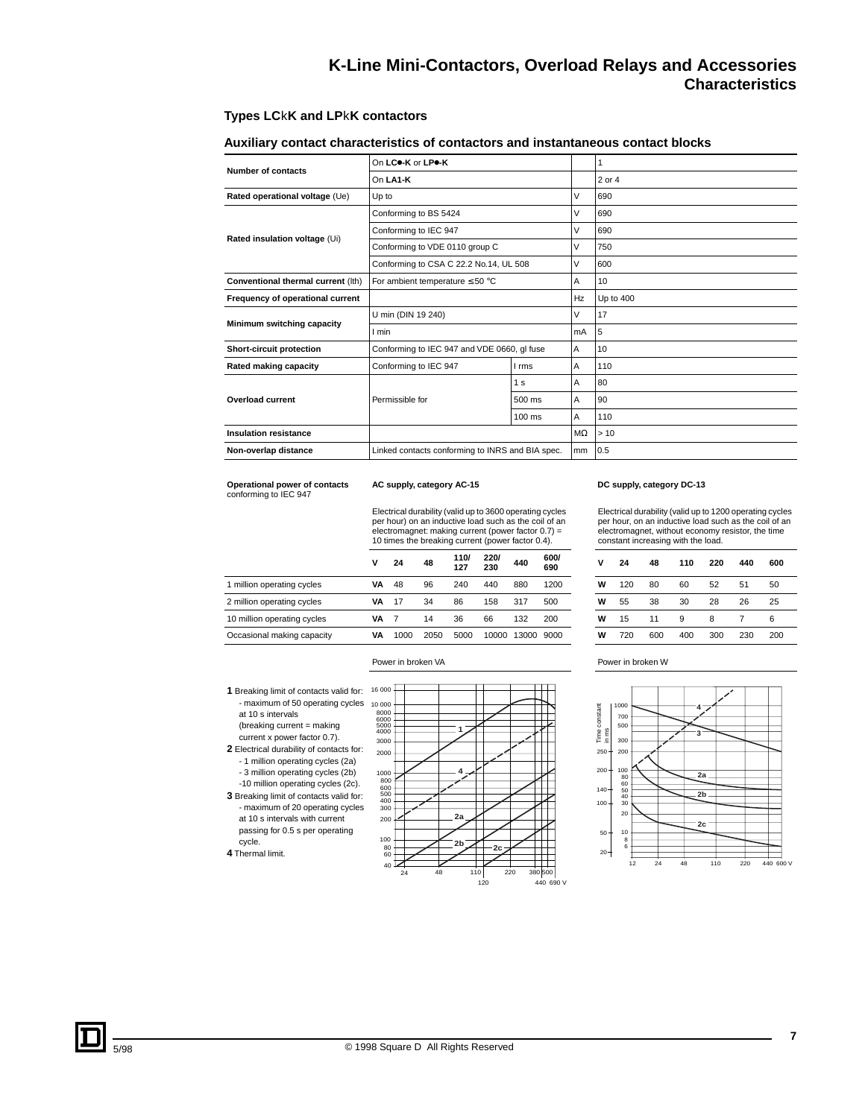### **Types LC**k**K and LP**k**K contactors**

| Number of contacts                 | On LCO-K or LPO-K                                |                |           | 1         |
|------------------------------------|--------------------------------------------------|----------------|-----------|-----------|
|                                    | On LA1-K                                         |                |           | 2 or 4    |
| Rated operational voltage (Ue)     | Up to                                            |                | V         | 690       |
|                                    | Conforming to BS 5424                            |                | V         | 690       |
| Rated insulation voltage (Ui)      | Conforming to IEC 947                            |                | V         | 690       |
|                                    | Conforming to VDE 0110 group C                   |                | V         | 750       |
|                                    | Conforming to CSA C 22.2 No.14, UL 508           |                | V         | 600       |
| Conventional thermal current (lth) | For ambient temperature $\leq 50$ °C             |                | Α         | 10        |
| Frequency of operational current   |                                                  |                | Hz        | Up to 400 |
| Minimum switching capacity         | U min (DIN 19 240)                               |                | V         | 17        |
|                                    | I min                                            |                | mA        | 5         |
| Short-circuit protection           | Conforming to IEC 947 and VDE 0660, gl fuse      |                | A         | 10        |
| Rated making capacity              | Conforming to IEC 947                            | I rms          | A         | 110       |
|                                    |                                                  | 1 <sub>s</sub> | Α         | 80        |
| <b>Overload current</b>            | Permissible for                                  | 500 ms         | Α         | 90        |
|                                    |                                                  | $100$ ms       | A         | 110       |
| <b>Insulation resistance</b>       |                                                  |                | $M\Omega$ | >10       |
| Non-overlap distance               | Linked contacts conforming to INRS and BIA spec. |                | mm        | 0.5       |

#### **Auxiliary contact characteristics of contactors and instantaneous contact blocks**

#### **Operational power of contacts** conforming to IEC 947

#### **AC supply, category AC-15 DC supply, category DC-13**

Electrical durability (valid up to 3600 operating cycles per hour) on an inductive load such as the coil of an electromagnet: making current (power factor 0.7) = 10 times the breaking current (power factor 0.4).

|                             | v  | 24   | 48   | 110/<br>127 | 220/<br>230 | 440   | 600/<br>690 | v | 24  | 48  | 110 | 220 | 440 | 600 |
|-----------------------------|----|------|------|-------------|-------------|-------|-------------|---|-----|-----|-----|-----|-----|-----|
| 1 million operating cycles  | VA | 48   | 96   | 240         | 440         | 880   | 1200        | w | 120 | 80  | 60  | 52  | 51  | 50  |
| 2 million operating cycles  | VA |      | 34   | 86          | 158         | 317   | 500         | w | 55  | 38  | 30  | 28  | 26  | 25  |
| 10 million operating cycles | VA |      | 14   | 36          | 66          | 132   | 200         | w | 15  | 11  | 9   | 8   |     | 6   |
| Occasional making capacity  | VA | 1000 | 2050 | 5000        | 10000       | 13000 | 9000        | w | 720 | 600 | 400 | 300 | 230 | 200 |
|                             |    |      |      |             |             |       |             |   |     |     |     |     |     |     |

Electrical durability (valid up to 1200 operating cycles per hour, on an inductive load such as the coil of an electromagnet, without economy resistor, the time constant increasing with the load.

| 600/<br>690 | ν | 24  | 48  | 110 | 220 | 440 | 600 |
|-------------|---|-----|-----|-----|-----|-----|-----|
| 1200        | w | 120 | 80  | 60  | 52  | 51  | 50  |
| 500         | W | 55  | 38  | 30  | 28  | 26  | 25  |
| 200         | w | 15  | 11  | 9   | 8   |     | 6   |
| 9000        | W | 720 | 600 | 400 | 300 | 230 | 200 |

#### Power in broken VA Power in broken W

- **1** Breaking limit of contacts valid for: 16 000 - maximum of 50 operating cycles 10 000 at 10 s intervals
- (breaking current = making current x power factor 0.7).
- **2** Electrical durability of contacts for:
	- 1 million operating cycles (2a) - 3 million operating cycles (2b)
	- -10 million operating cycles (2c).
- **3** Breaking limit of contacts valid for: - maximum of 20 operating cycles at 10 s intervals with current passing for 0.5 s per operating cycle.
- **4** Thermal limit.





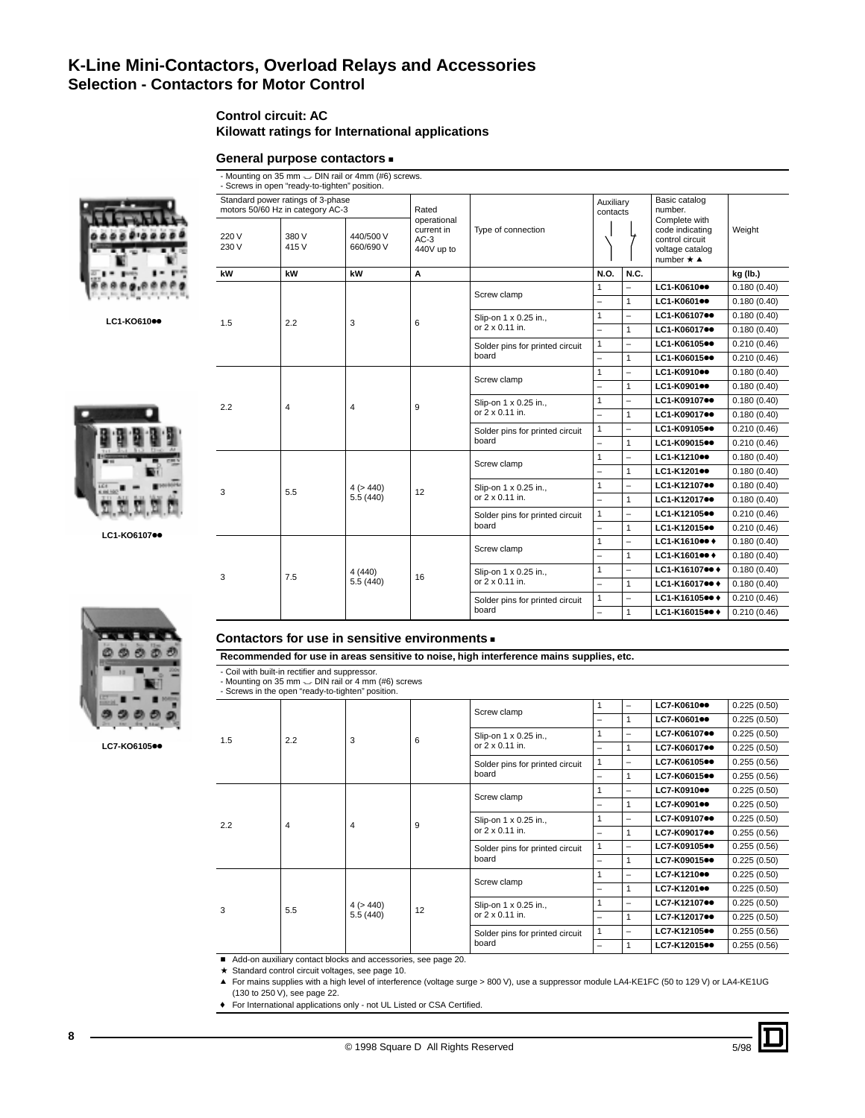# **Control circuit: AC**

### **Kilowatt ratings for International applications**

#### **General purpose contactors .**

- Mounting on 35 mm — DIN rail or 4mm (#6) screws.<br>- Screws in open "ready-to-tighten" position.



**LC1-KO610**\*\*



**LC1-KO6107**kk

|                | Standard power ratings of 3-phase<br>motors 50/60 Hz in category AC-3 |                        | Rated                                             |                                                    | Auxiliary<br>contacts    |                          | Basic catalog<br>number.                                                                                  |             |
|----------------|-----------------------------------------------------------------------|------------------------|---------------------------------------------------|----------------------------------------------------|--------------------------|--------------------------|-----------------------------------------------------------------------------------------------------------|-------------|
| 220 V<br>230 V | 380 V<br>415 V                                                        | 440/500 V<br>660/690 V | operational<br>current in<br>$AC-3$<br>440V up to | Type of connection                                 |                          |                          | Complete with<br>code indicating<br>control circuit<br>voltage catalog<br>number $\star$ $\blacktriangle$ | Weight      |
| kW             | kW                                                                    | kW                     | A                                                 |                                                    | N.O.                     | <b>N.C.</b>              |                                                                                                           | kg (lb.)    |
|                |                                                                       |                        |                                                   | Screw clamp                                        | 1                        |                          | LC1-K061000                                                                                               | 0.180(0.40) |
|                |                                                                       |                        |                                                   |                                                    | $\overline{\phantom{0}}$ | 1                        | LC1-K060100                                                                                               | 0.180(0.40) |
| 1.5            | 2.2                                                                   | 3                      | 6                                                 | Slip-on 1 x 0.25 in.,                              | 1                        | $\equiv$                 | LC1-K06107 <sup>ee</sup>                                                                                  | 0.180(0.40) |
|                |                                                                       |                        |                                                   | or 2 x 0.11 in.<br>Solder pins for printed circuit | $\equiv$                 | 1                        | LC1-K06017 <sup>e</sup>                                                                                   | 0.180(0.40) |
|                |                                                                       |                        |                                                   |                                                    | 1                        | $\equiv$                 | LC1-K0610500                                                                                              | 0.210(0.46) |
|                |                                                                       |                        |                                                   | board                                              | $\overline{\phantom{0}}$ | $\mathbf{1}$             | LC1-K0601500                                                                                              | 0.210(0.46) |
|                |                                                                       |                        |                                                   | Screw clamp                                        | 1                        | $\overline{\phantom{0}}$ | LC1-K0910 <sup>e</sup>                                                                                    | 0.180(0.40) |
| 2.2            |                                                                       |                        |                                                   |                                                    | $\overline{\phantom{0}}$ | $\mathbf{1}$             | LC1-K090100                                                                                               | 0.180(0.40) |
|                | 4                                                                     | $\overline{4}$         | 9                                                 | Slip-on 1 x 0.25 in.,                              | 1                        | $\equiv$                 | LC1-K09107 <sup>e</sup>                                                                                   | 0.180(0.40) |
|                |                                                                       |                        |                                                   | or 2 x 0.11 in.                                    | $\equiv$                 | $\mathbf{1}$             | LC1-K09017 <sup>e</sup>                                                                                   | 0.180(0.40) |
|                |                                                                       |                        |                                                   | Solder pins for printed circuit                    | 1                        | $\equiv$                 | LC1-K0910500                                                                                              | 0.210(0.46) |
|                |                                                                       |                        |                                                   | board                                              | $\overline{\phantom{0}}$ | $\mathbf{1}$             | LC1-K0901500                                                                                              | 0.210(0.46) |
|                |                                                                       |                        |                                                   | Screw clamp                                        | 1                        | $\equiv$                 | LC1-K121000                                                                                               | 0.180(0.40) |
|                |                                                                       |                        |                                                   |                                                    | $\overline{a}$           | 1                        | LC1-K120100                                                                                               | 0.180(0.40) |
| 3              | 5.5                                                                   | 4(>440)                | 12                                                | Slip-on 1 x 0.25 in.,                              | 1                        | $\overline{\phantom{0}}$ | LC1-K12107 <sup>e</sup>                                                                                   | 0.180(0.40) |
|                |                                                                       | 5.5(440)               |                                                   | or 2 x 0.11 in.                                    | $\overline{\phantom{0}}$ | $\mathbf{1}$             | LC1-K12017 <sup>e</sup>                                                                                   | 0.180(0.40) |
|                |                                                                       |                        |                                                   | Solder pins for printed circuit                    | 1                        | $\overline{\phantom{0}}$ | LC1-K1210500                                                                                              | 0.210(0.46) |
|                |                                                                       |                        |                                                   | board                                              | $\overline{a}$           | $\mathbf{1}$             | LC1-K12015 <sup>e</sup>                                                                                   | 0.210(0.46) |
|                |                                                                       |                        |                                                   |                                                    | 1                        | $\equiv$                 | LC1-K161000 +                                                                                             | 0.180(0.40) |
| 3              |                                                                       |                        |                                                   | Screw clamp                                        | $\equiv$                 | $\mathbf{1}$             | LC1-K160100 +                                                                                             | 0.180(0.40) |
|                | 7.5                                                                   | 4(440)                 |                                                   | Slip-on 1 x 0.25 in.,                              | 1                        | $\qquad \qquad -$        | LC1-K1610700 +                                                                                            | 0.180(0.40) |
|                |                                                                       | 5.5(440)               | 16                                                | or $2 \times 0.11$ in.                             | $\overline{\phantom{0}}$ | $\mathbf{1}$             | LC1-K1601700 +                                                                                            | 0.180(0.40) |
|                |                                                                       |                        |                                                   | Solder pins for printed circuit                    |                          | $\overline{\phantom{0}}$ | LC1-K1610500+                                                                                             | 0.210(0.46) |
|                |                                                                       |                        |                                                   | board                                              | $\overline{a}$           | $\mathbf{1}$             | LC1-K1601500 +                                                                                            | 0.210(0.46) |

#### Contactors for use in sensitive environments **-**

**Recommended for use in areas sensitive to noise, high interference mains supplies, etc.**

- Coil with built-in rectifier and suppressor.<br>- Mounting on 35 mm -..- DIN rail or 4 mm (#6) screws

LC7-KO6105<sup>e</sup>

ø eth 63 面

|     | - Mounting on 35 mm $\sim$ DIN rail or 4 mm (#6) screws<br>- Screws in the open "ready-to-tighten" position. |          |    |                                 |                          |                          |                         |             |
|-----|--------------------------------------------------------------------------------------------------------------|----------|----|---------------------------------|--------------------------|--------------------------|-------------------------|-------------|
|     |                                                                                                              |          |    |                                 | 1                        | -                        | LC7-K061000             | 0.225(0.50) |
|     |                                                                                                              |          |    | Screw clamp                     | $\overline{\phantom{0}}$ | 1                        | LC7-K060100             | 0.225(0.50) |
| 1.5 | 2.2                                                                                                          | 3        | 6  | Slip-on 1 x 0.25 in.,           |                          | $\overline{\phantom{0}}$ | LC7-K06107 <sup>e</sup> | 0.225(0.50) |
|     |                                                                                                              |          |    | or 2 x 0.11 in.                 | $\overline{\phantom{0}}$ | 1                        | LC7-K0601700            | 0.225(0.50) |
|     |                                                                                                              |          |    | Solder pins for printed circuit | $\mathbf{1}$             | -                        | LC7-K06105              | 0.255(0.56) |
|     |                                                                                                              |          |    | board                           | $\overline{\phantom{0}}$ | 1                        | LC7-K0601500            | 0.255(0.56) |
|     |                                                                                                              |          |    | Screw clamp                     | 1                        | -                        | LC7-K0910 <sup>e</sup>  | 0.225(0.50) |
| 2.2 |                                                                                                              |          | 9  |                                 | -                        | 1                        | LC7-K090100             | 0.225(0.50) |
|     | $\overline{4}$                                                                                               | 4        |    | Slip-on 1 x 0.25 in.,           | 1                        | -                        | LC7-K09107 <sup>e</sup> | 0.225(0.50) |
|     |                                                                                                              |          |    | or 2 x 0.11 in.                 | $\overline{\phantom{0}}$ | 1                        | LC7-K09017 <sup>e</sup> | 0.255(0.56) |
|     |                                                                                                              |          |    | Solder pins for printed circuit | $\mathbf{1}$             | -                        | LC7-K09105.             | 0.255(0.56) |
|     |                                                                                                              |          |    | board                           | $\overline{\phantom{0}}$ | 1                        | LC7-K09015.             | 0.225(0.50) |
|     |                                                                                                              |          |    | Screw clamp                     |                          | -                        | LC7-K1210 <sup>e</sup>  | 0.225(0.50) |
|     |                                                                                                              |          |    |                                 | -                        | 1                        | LC7-K120100             | 0.225(0.50) |
|     | 5.5                                                                                                          | 4(>440)  | 12 | Slip-on 1 x 0.25 in.,           | 1                        | -                        | LC7-K12107 <sup>e</sup> | 0.225(0.50) |
| 3   |                                                                                                              | 5.5(440) |    | or 2 x 0.11 in.                 | $\overline{\phantom{0}}$ | 1                        | LC7-K12017 <sup>e</sup> | 0.225(0.50) |
|     |                                                                                                              |          |    | Solder pins for printed circuit | $\mathbf{1}$             | $\overline{\phantom{0}}$ | LC7-K12105 <sup>e</sup> | 0.255(0.56) |
|     |                                                                                                              |          |    | board                           | -                        | 1                        | LC7-K12015.             | 0.255(0.56) |

Add-on auxiliary contact blocks and accessories, see page 20.

 $\star$  Standard control circuit voltages, see page 10.

q For mains supplies with a high level of interference (voltage surge > 800 V), use a suppressor module LA4-KE1FC (50 to 129 V) or LA4-KE1UG (130 to 250 V), see page 22.

**f** For International applications only - not UL Listed or CSA Certified.

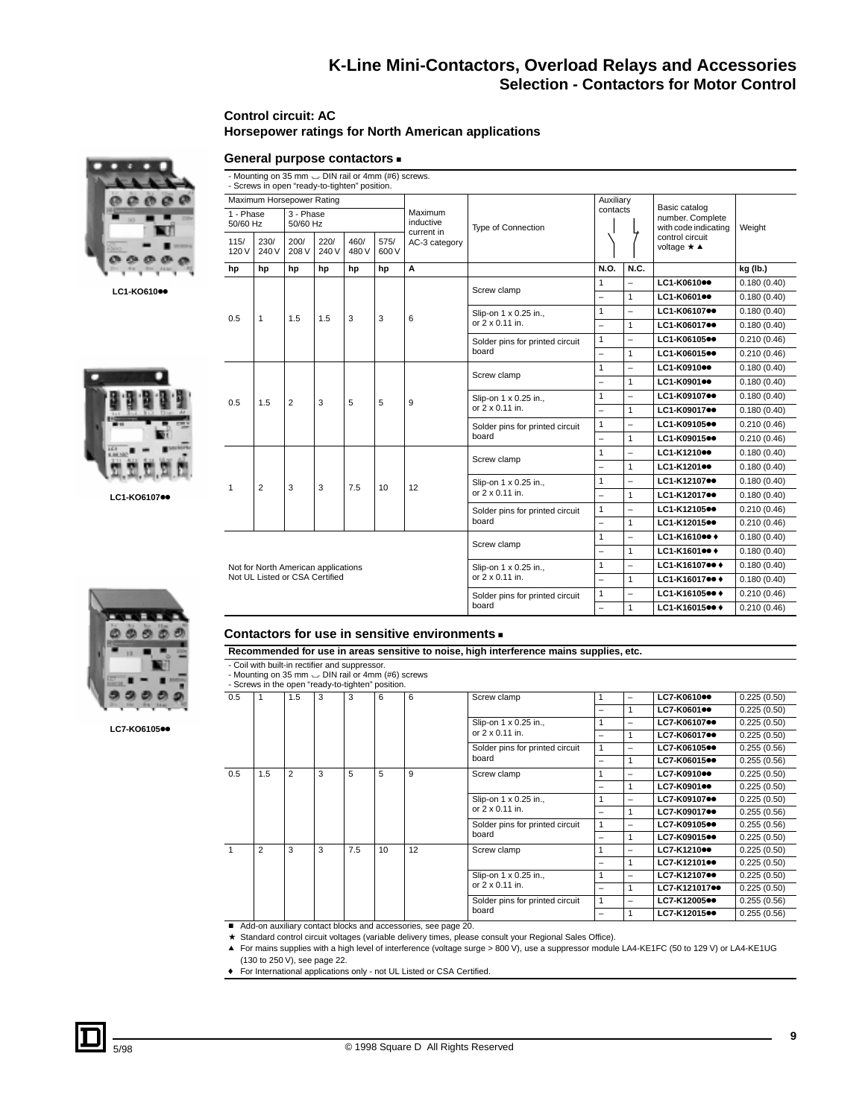### **Control circuit: AC Horsepower ratings for North American applications**

#### **General purpose contactors .**

- Mounting on 35 mm  $-$  DIN rail or 4mm (#6) screws.



LC1-K0610<sup>e</sup>



**LC1-KO6107**kk

**LC7-KO6105**ee

eth  $00$ 

|                                                                       |                           |                       |               | - Screws in open "ready-to-tighten" position. |                 |                                    |                                 |                          |                         |                                                             |             |
|-----------------------------------------------------------------------|---------------------------|-----------------------|---------------|-----------------------------------------------|-----------------|------------------------------------|---------------------------------|--------------------------|-------------------------|-------------------------------------------------------------|-------------|
|                                                                       | Maximum Horsepower Rating |                       |               |                                               |                 |                                    |                                 | Auxiliary                |                         | Basic catalog                                               |             |
| 1 - Phase<br>50/60 Hz                                                 |                           | 3 - Phase<br>50/60 Hz |               |                                               |                 | Maximum<br>inductive<br>current in | Type of Connection              | contacts                 |                         | number. Complete<br>with code indicating<br>control circuit | Weight      |
| 115/<br>120V                                                          | 230/<br>240 V             | 200/<br>208 V         | 220/<br>240 V | 460/<br>480 V                                 | 575/<br>600 V   | AC-3 category                      |                                 |                          |                         | voltage $\star \blacktriangle$                              |             |
| hp                                                                    | hp                        | hp                    | hp            | hp                                            | hp              | A                                  |                                 | N.O.                     | N.C.                    |                                                             | kg (lb.)    |
|                                                                       |                           |                       |               |                                               |                 |                                    | Screw clamp                     | $\mathbf{1}$             | $\equiv$                | LC1-K061000                                                 | 0.180(0.40) |
|                                                                       |                           |                       |               |                                               |                 |                                    |                                 | $\equiv$                 | $\mathbf{1}$            | LC1-K0601                                                   | 0.180(0.40) |
| 0.5                                                                   | $\mathbf{1}$              | 1.5                   | 1.5           | 3                                             | 3               | 6                                  | Slip-on 1 x 0.25 in.,           | $\mathbf{1}$             | $\equiv$                | LC1-K0610700                                                | 0.180(0.40) |
|                                                                       |                           |                       |               |                                               |                 |                                    | or 2 x 0.11 in.                 | $\equiv$                 | $\mathbf{1}$            | LC1-K0601700                                                | 0.180(0.40) |
|                                                                       |                           |                       |               |                                               |                 |                                    | Solder pins for printed circuit | $\mathbf{1}$             | $\equiv$                | LC1-K0610500                                                | 0.210(0.46) |
|                                                                       |                           |                       |               |                                               |                 |                                    | board                           | $\equiv$                 | $\mathbf{1}$            | LC1-K0601500                                                | 0.210(0.46) |
|                                                                       |                           |                       |               |                                               |                 |                                    | Screw clamp                     | 1                        | $\equiv$                | LC1-K091000                                                 | 0.180(0.40) |
| $\overline{2}$<br>0.5<br>1.5                                          |                           |                       |               |                                               |                 |                                    |                                 |                          | $\mathbf{1}$            | LC1-K090100                                                 | 0.180(0.40) |
|                                                                       |                           |                       | 3             | 5                                             | 5               | 9                                  | Slip-on 1 x 0.25 in.,           | 1                        | ÷,                      | LC1-K0910700                                                | 0.180(0.40) |
|                                                                       |                           |                       |               |                                               | or 2 x 0.11 in. |                                    | $\mathbf{1}$                    | LC1-K0901700             | 0.180(0.40)             |                                                             |             |
|                                                                       |                           |                       |               |                                               |                 |                                    | Solder pins for printed circuit | $\mathbf{1}$             | $\equiv$                | LC1-K0910500                                                | 0.210(0.46) |
|                                                                       |                           |                       |               |                                               |                 |                                    | board                           | $\overline{a}$           | $\mathbf{1}$            | LC1-K0901500                                                | 0.210(0.46) |
|                                                                       |                           |                       |               |                                               |                 |                                    |                                 | $\mathbf{1}$             | $\equiv$                | LC1-K121000                                                 | 0.180(0.40) |
|                                                                       |                           |                       |               |                                               |                 |                                    | Screw clamp                     | $\equiv$                 | $\mathbf{1}$            | LC1-K120100                                                 | 0.180(0.40) |
| $\mathbf{1}$                                                          | $\overline{2}$            | 3                     | 3             | 7.5                                           | 10              | 12                                 | Slip-on 1 x 0.25 in.,           | $\mathbf{1}$             | $\equiv$                | LC1-K1210700                                                | 0.180(0.40) |
|                                                                       |                           |                       |               |                                               |                 |                                    | or 2 x 0.11 in.                 | $\overline{a}$           | $\mathbf{1}$            | LC1-K12017 <sup>e</sup>                                     | 0.180(0.40) |
|                                                                       |                           |                       |               |                                               |                 |                                    | Solder pins for printed circuit | $\mathbf{1}$             | ÷,                      | LC1-K1210500                                                | 0.210(0.46) |
|                                                                       |                           |                       |               |                                               |                 | board                              | ÷                               | $\mathbf{1}$             | LC1-K12015 <sup>e</sup> | 0.210(0.46)                                                 |             |
|                                                                       |                           |                       |               |                                               |                 |                                    |                                 | 1                        | $\overline{a}$          | LC1-K161000 +                                               | 0.180(0.40) |
| Not for North American applications<br>Not UL Listed or CSA Certified |                           |                       |               |                                               |                 |                                    | Screw clamp                     | $\equiv$                 | $\mathbf{1}$            | LC1-K160100 +                                               | 0.180(0.40) |
|                                                                       |                           |                       |               |                                               |                 |                                    | Slip-on 1 x 0.25 in.,           | $\mathbf{1}$             | $\equiv$                | LC1-K1610700 +                                              | 0.180(0.40) |
|                                                                       |                           |                       |               |                                               |                 |                                    | or 2 x 0.11 in.                 | ÷                        | $\mathbf{1}$            | LC1-K1601700 +                                              | 0.180(0.40) |
|                                                                       |                           |                       |               |                                               |                 |                                    | Solder pins for printed circuit | $\mathbf{1}$             | $\equiv$                | LC1-K1610500 +                                              | 0.210(0.46) |
|                                                                       |                           |                       |               |                                               |                 |                                    | board                           | $\overline{\phantom{0}}$ | $\mathbf{1}$            | LC1-K1601500 +                                              | 0.210(0.46) |

#### **Contactors for use in sensitive environments .**

**Recommended for use in areas sensitive to noise, high interference mains supplies, etc.**

- Coil with built-in rectifier and suppressor.<br>- Mounting on 35 mm — DIN rail or 4mm (#6) screws

- Screws in the open "ready-to-tighten" position.

| 0.5<br>6<br>0.225(0.50)<br>1.5<br>3<br>6<br>Screw clamp<br>LC7-K061000<br>3<br>-<br>LC7-K060100<br>0.225(0.50)<br>-<br>Slip-on 1 x 0.25 in.,<br>LC7-K0610700<br>0.225(0.50)<br>$\overline{\phantom{0}}$<br>or 2 x 0.11 in.<br>0.225(0.50)<br>LC7-K0601700<br>1<br>$\overline{\phantom{0}}$<br>Solder pins for printed circuit<br>LC7-K0610500<br>0.255(0.56)<br>-<br>board<br>LC7-K0601500<br>0.255(0.56)<br>1<br>-<br>0.5<br>5<br>1.5<br>$\overline{2}$<br>3<br>5<br>9<br>Screw clamp<br>0.225(0.50)<br>LC7-K0910 <sup>e</sup><br>-<br>0.225(0.50)<br>LC7-K0901 <sup>e</sup><br>Slip-on 1 x 0.25 in.,<br>LC7-K0910700<br>0.225(0.50)<br>$\overline{\phantom{0}}$<br>or 2 x 0.11 in.<br>0.255(0.56)<br>1<br>LC7-K0901700<br>-<br>Solder pins for printed circuit<br>0.255(0.56)<br>LC7-K0910500<br>$\qquad \qquad -$<br>board<br>LC7-K0901500<br>0.225(0.50)<br>-<br>$\overline{2}$<br>3<br>3<br>12<br>Screw clamp<br>7.5<br>10<br>LC7-K1210 <sup>e</sup><br>0.225(0.50)<br>-<br>LC7-K1210100<br>0.225(0.50)<br>$\overline{\phantom{0}}$<br>Slip-on 1 x 0.25 in.,<br>LC7-K1210700<br>0.225(0.50)<br>-<br>or 2 x 0.11 in.<br>1<br>LC7-K12101700<br>0.225(0.50)<br>$\overline{\phantom{0}}$<br>1<br>Solder pins for printed circuit<br>LC7-K12005 <sup>e</sup><br>0.255(0.56)<br>$\overline{\phantom{0}}$<br>board<br>LC7-K12015 <sup>e</sup><br>0.255(0.56)<br>- |  |  |  |  |  |  |  |
|-----------------------------------------------------------------------------------------------------------------------------------------------------------------------------------------------------------------------------------------------------------------------------------------------------------------------------------------------------------------------------------------------------------------------------------------------------------------------------------------------------------------------------------------------------------------------------------------------------------------------------------------------------------------------------------------------------------------------------------------------------------------------------------------------------------------------------------------------------------------------------------------------------------------------------------------------------------------------------------------------------------------------------------------------------------------------------------------------------------------------------------------------------------------------------------------------------------------------------------------------------------------------------------------------------------------------------------------------------------------|--|--|--|--|--|--|--|
|                                                                                                                                                                                                                                                                                                                                                                                                                                                                                                                                                                                                                                                                                                                                                                                                                                                                                                                                                                                                                                                                                                                                                                                                                                                                                                                                                                 |  |  |  |  |  |  |  |
|                                                                                                                                                                                                                                                                                                                                                                                                                                                                                                                                                                                                                                                                                                                                                                                                                                                                                                                                                                                                                                                                                                                                                                                                                                                                                                                                                                 |  |  |  |  |  |  |  |
|                                                                                                                                                                                                                                                                                                                                                                                                                                                                                                                                                                                                                                                                                                                                                                                                                                                                                                                                                                                                                                                                                                                                                                                                                                                                                                                                                                 |  |  |  |  |  |  |  |
|                                                                                                                                                                                                                                                                                                                                                                                                                                                                                                                                                                                                                                                                                                                                                                                                                                                                                                                                                                                                                                                                                                                                                                                                                                                                                                                                                                 |  |  |  |  |  |  |  |
|                                                                                                                                                                                                                                                                                                                                                                                                                                                                                                                                                                                                                                                                                                                                                                                                                                                                                                                                                                                                                                                                                                                                                                                                                                                                                                                                                                 |  |  |  |  |  |  |  |
|                                                                                                                                                                                                                                                                                                                                                                                                                                                                                                                                                                                                                                                                                                                                                                                                                                                                                                                                                                                                                                                                                                                                                                                                                                                                                                                                                                 |  |  |  |  |  |  |  |
|                                                                                                                                                                                                                                                                                                                                                                                                                                                                                                                                                                                                                                                                                                                                                                                                                                                                                                                                                                                                                                                                                                                                                                                                                                                                                                                                                                 |  |  |  |  |  |  |  |
|                                                                                                                                                                                                                                                                                                                                                                                                                                                                                                                                                                                                                                                                                                                                                                                                                                                                                                                                                                                                                                                                                                                                                                                                                                                                                                                                                                 |  |  |  |  |  |  |  |
|                                                                                                                                                                                                                                                                                                                                                                                                                                                                                                                                                                                                                                                                                                                                                                                                                                                                                                                                                                                                                                                                                                                                                                                                                                                                                                                                                                 |  |  |  |  |  |  |  |
|                                                                                                                                                                                                                                                                                                                                                                                                                                                                                                                                                                                                                                                                                                                                                                                                                                                                                                                                                                                                                                                                                                                                                                                                                                                                                                                                                                 |  |  |  |  |  |  |  |
|                                                                                                                                                                                                                                                                                                                                                                                                                                                                                                                                                                                                                                                                                                                                                                                                                                                                                                                                                                                                                                                                                                                                                                                                                                                                                                                                                                 |  |  |  |  |  |  |  |
|                                                                                                                                                                                                                                                                                                                                                                                                                                                                                                                                                                                                                                                                                                                                                                                                                                                                                                                                                                                                                                                                                                                                                                                                                                                                                                                                                                 |  |  |  |  |  |  |  |
|                                                                                                                                                                                                                                                                                                                                                                                                                                                                                                                                                                                                                                                                                                                                                                                                                                                                                                                                                                                                                                                                                                                                                                                                                                                                                                                                                                 |  |  |  |  |  |  |  |
|                                                                                                                                                                                                                                                                                                                                                                                                                                                                                                                                                                                                                                                                                                                                                                                                                                                                                                                                                                                                                                                                                                                                                                                                                                                                                                                                                                 |  |  |  |  |  |  |  |
|                                                                                                                                                                                                                                                                                                                                                                                                                                                                                                                                                                                                                                                                                                                                                                                                                                                                                                                                                                                                                                                                                                                                                                                                                                                                                                                                                                 |  |  |  |  |  |  |  |
|                                                                                                                                                                                                                                                                                                                                                                                                                                                                                                                                                                                                                                                                                                                                                                                                                                                                                                                                                                                                                                                                                                                                                                                                                                                                                                                                                                 |  |  |  |  |  |  |  |
|                                                                                                                                                                                                                                                                                                                                                                                                                                                                                                                                                                                                                                                                                                                                                                                                                                                                                                                                                                                                                                                                                                                                                                                                                                                                                                                                                                 |  |  |  |  |  |  |  |
|                                                                                                                                                                                                                                                                                                                                                                                                                                                                                                                                                                                                                                                                                                                                                                                                                                                                                                                                                                                                                                                                                                                                                                                                                                                                                                                                                                 |  |  |  |  |  |  |  |

Add-on auxiliary contact blocks and accessories, see page 20.

\* Standard control circuit voltages (variable delivery times, please consult your Regional Sales Office).

q For mains supplies with a high level of interference (voltage surge > 800 V), use a suppressor module LA4-KE1FC (50 to 129 V) or LA4-KE1UG

(130 to 250 V), see page 22.

**f** For International applications only - not UL Listed or CSA Certified.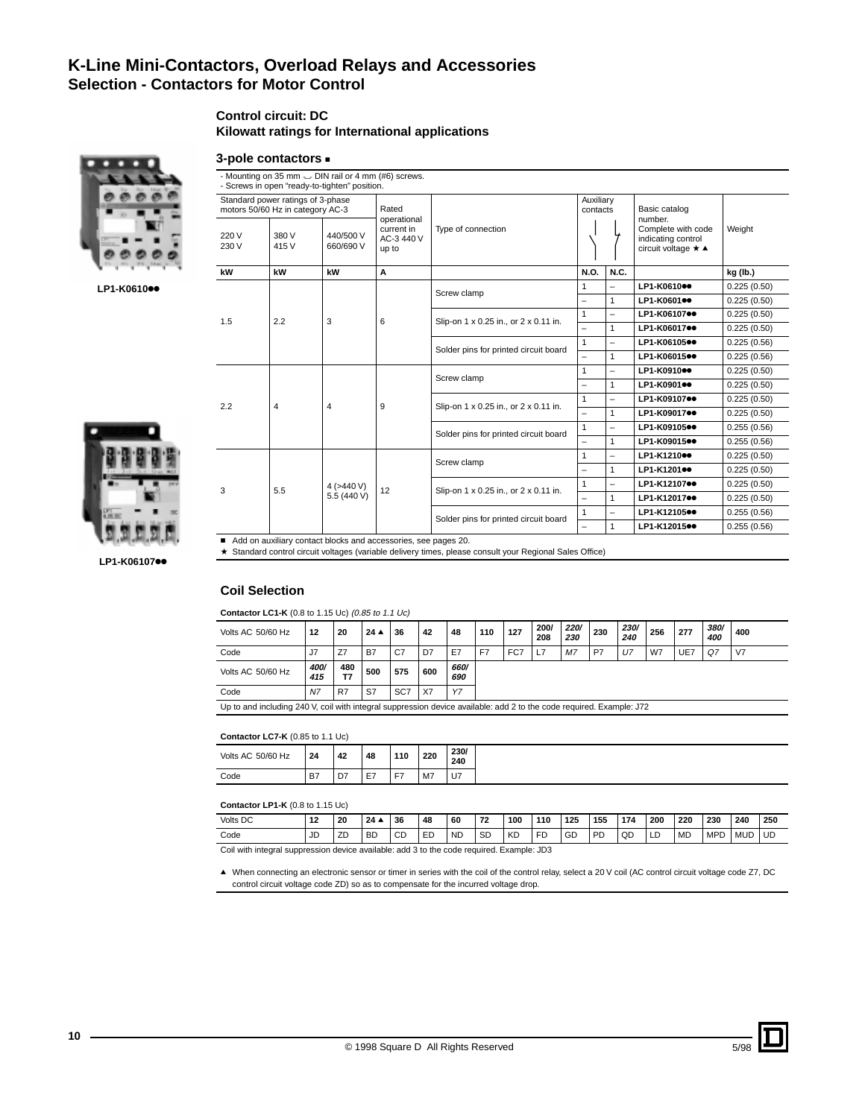### **Control circuit: DC Kilowatt ratings for International applications**

#### **3-pole contactors**



**LP1-K0610**kk



|                | - Mounting on 35 mm $\sim$ DIN rail or 4 mm (#6) screws.<br>- Screws in open "ready-to-tighten" position. |                        |                                   |                                       |                          |                          |                                                                 |             |
|----------------|-----------------------------------------------------------------------------------------------------------|------------------------|-----------------------------------|---------------------------------------|--------------------------|--------------------------|-----------------------------------------------------------------|-------------|
|                | Standard power ratings of 3-phase<br>motors 50/60 Hz in category AC-3                                     |                        | Rated<br>operational              |                                       | Auxiliary<br>contacts    |                          | Basic catalog<br>number.                                        |             |
| 220 V<br>230 V | 380 V<br>415 V                                                                                            | 440/500 V<br>660/690 V | current in<br>AC-3 440 V<br>up to | Type of connection                    |                          |                          | Complete with code<br>indicating control<br>circuit voltage ★ ▲ | Weight      |
| kW             | kW                                                                                                        | kW                     | A                                 |                                       | N.O.                     | N.C.                     |                                                                 | kg (lb.)    |
|                |                                                                                                           |                        |                                   |                                       | 1                        | $\equiv$                 | LP1-K061000                                                     | 0.225(0.50) |
|                |                                                                                                           |                        |                                   | Screw clamp                           | $\equiv$                 | $\mathbf{1}$             | LP1-K060100                                                     | 0.225(0.50) |
| 1.5            | 2.2                                                                                                       | 3                      | 6                                 | Slip-on 1 x 0.25 in., or 2 x 0.11 in. | $\mathbf{1}$             | $\overline{\phantom{0}}$ | LP1-K0610700                                                    | 0.225(0.50) |
|                |                                                                                                           |                        |                                   |                                       | $\overline{\phantom{0}}$ | $\mathbf{1}$             | LP1-K0601700                                                    | 0.225(0.50) |
|                |                                                                                                           |                        |                                   | Solder pins for printed circuit board | 1                        | $\equiv$                 | LP1-K0610500                                                    | 0.225(0.56) |
|                |                                                                                                           |                        |                                   |                                       | $\overline{a}$           | $\overline{1}$           | LP1-K0601500                                                    | 0.225(0.56) |
|                |                                                                                                           |                        |                                   | Screw clamp                           | $\mathbf{1}$             | $\equiv$                 | LP1-K091000                                                     | 0.225(0.50) |
|                |                                                                                                           |                        |                                   |                                       | $\overline{\phantom{0}}$ | $\overline{1}$           | LP1-K090100                                                     | 0.225(0.50) |
| 2.2            | 4                                                                                                         | 4                      | 9                                 | Slip-on 1 x 0.25 in., or 2 x 0.11 in. | $\mathbf{1}$             | ÷                        | LP1-K0910700                                                    | 0.225(0.50) |
|                |                                                                                                           |                        |                                   |                                       | $\overline{a}$           | $\mathbf{1}$             | LP1-K0901700                                                    | 0.225(0.50) |
|                |                                                                                                           |                        |                                   | Solder pins for printed circuit board | $\mathbf{1}$             | $\equiv$                 | LP1-K0910500                                                    | 0.255(0.56) |
|                |                                                                                                           |                        |                                   |                                       | $\overline{a}$           | $\mathbf{1}$             | LP1-K0901500                                                    | 0.255(0.56) |
|                |                                                                                                           |                        |                                   | Screw clamp                           | $\mathbf{1}$             | $\overline{\phantom{0}}$ | LP1-K121000                                                     | 0.225(0.50) |
|                |                                                                                                           |                        |                                   |                                       | $\overline{\phantom{0}}$ | $\mathbf{1}$             | LP1-K120100                                                     | 0.225(0.50) |
| 3              | 5.5                                                                                                       | 4 (>440 V)             | 12                                | Slip-on 1 x 0.25 in., or 2 x 0.11 in. | 1                        | $\equiv$                 | LP1-K1210700                                                    | 0.225(0.50) |
|                |                                                                                                           | 5.5 (440 V)            |                                   |                                       | $\equiv$                 | $\overline{1}$           | LP1-K12017 <sup>e</sup>                                         | 0.225(0.50) |
|                |                                                                                                           |                        |                                   | Solder pins for printed circuit board | $\mathbf{1}$             | $\equiv$                 | LP1-K1210500                                                    | 0.255(0.56) |
|                |                                                                                                           |                        |                                   |                                       | $\overline{\phantom{0}}$ | $\mathbf{1}$             | LP1-K1201500                                                    | 0.255(0.56) |

Add on auxiliary contact blocks and accessories, see pages 20.

\* Standard control circuit voltages (variable delivery times, please consult your Regional Sales Office)

### **Coil Selection**

#### **Contactor LC1-K** (0.8 to 1.15 Uc) (0.85 to 1.1 Uc)

| 12          | 20        | $24 \triangle$ | 36              | 42   | 48          | 110 | 127 | 200/<br>208 | 220/<br>230 | 230 | 230/<br>240 | 256 | 277 | 380/<br>400 | 400            |
|-------------|-----------|----------------|-----------------|------|-------------|-----|-----|-------------|-------------|-----|-------------|-----|-----|-------------|----------------|
| J7          | Z7        | B7             | . C7            | . D7 | E7          | F7  | FC7 | L7          | M7          | P7  | U7          | W7  | UE7 | . Q7        | V <sub>7</sub> |
| 400/<br>415 | 480<br>T7 | 500            | 575             | 600  | 660/<br>690 |     |     |             |             |     |             |     |     |             |                |
| <b>N7</b>   | R7        | S7             | SC <sub>7</sub> | X7   | Υ7          |     |     |             |             |     |             |     |     |             |                |
|             |           |                |                 |      |             |     |     |             |             |     |             |     |     |             |                |

Up to and including 240 V, coil with integral suppression device available: add 2 to the code required. Example: J72

#### **Contactor LC7-K** (0.85 to 1.1 Uc)

| Volts AC 50/60 Hz | 24        | 42 | 48 | 110 | 220 | 230/  |
|-------------------|-----------|----|----|-----|-----|-------|
|                   |           |    |    |     |     | 240   |
| Code              | <b>B7</b> | D7 | E7 | F7  | M7  | $U$ 7 |

#### **Contactor LP1-K** (0.8 to 1.15 Uc)

| .<br>.                                                                                              | ____ |    |                |    |    |           |           |           |           |     |     |     |     |           |            |            |     |
|-----------------------------------------------------------------------------------------------------|------|----|----------------|----|----|-----------|-----------|-----------|-----------|-----|-----|-----|-----|-----------|------------|------------|-----|
| Volts DC                                                                                            | 12   | 20 | $24 \triangle$ | 36 | 48 | 60        | 72        | 100       | 110       | 125 | 155 | 174 | 200 | 220       | 230        | 240        | 250 |
| Code                                                                                                | JD   | ZD | <b>BD</b>      | CD | ED | <b>ND</b> | <b>SD</b> | <b>KD</b> | <b>FD</b> | GD  | PD  | QD  | LC  | <b>MD</b> | <b>MPD</b> | <b>MUD</b> | UD  |
| . Outlined to be added a consequently and the control of the state of the control. In Freedom (IDO) |      |    |                |    |    |           |           |           |           |     |     |     |     |           |            |            |     |

Coil with integral suppression device available: add 3 to the code required. Example: JD3

▲ When connecting an electronic sensor or timer in series with the coil of the control relay, select a 20 V coil (AC control circuit voltage code Z7, DC control circuit voltage code ZD) so as to compensate for the incurred voltage drop.

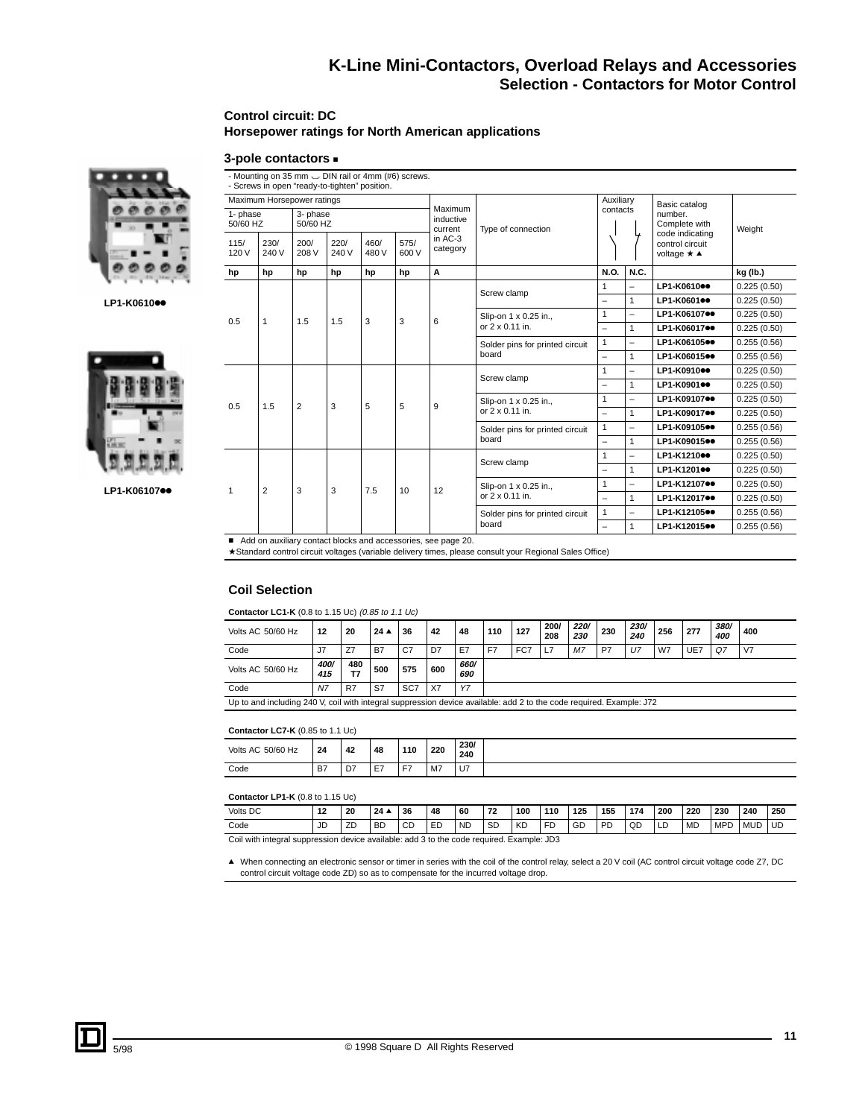### **Control circuit: DC Horsepower ratings for North American applications**

#### **3-pole contactors** <sup>c</sup>



**LP1-K0610**kk



**LP1-K06107**kk

|                      |                | Maximum Horsepower ratings |               |               |               |                                 |                                 | Auxiliary         |                          | Basic catalog                                                        |             |
|----------------------|----------------|----------------------------|---------------|---------------|---------------|---------------------------------|---------------------------------|-------------------|--------------------------|----------------------------------------------------------------------|-------------|
| 1- phase<br>50/60 HZ |                | 3- phase<br>50/60 HZ       |               |               |               | Maximum<br>inductive<br>current | Type of connection              | contacts          |                          | number.<br>Complete with                                             | Weight      |
| 115/<br>120 V        | 230/<br>240 V  | 200/<br>208 V              | 220/<br>240 V | 460/<br>480 V | 575/<br>600 V | in AC-3<br>category             |                                 |                   |                          | code indicating<br>control circuit<br>voltage $\star \blacktriangle$ |             |
| hp                   | hp             | hp                         | hp            | hp            | hp            | A                               |                                 | N.O.              | <b>N.C.</b>              |                                                                      | kg (lb.)    |
|                      |                |                            |               |               |               |                                 | Screw clamp                     | $\mathbf{1}$      | ÷,                       | LP1-K061000                                                          | 0.225(0.50) |
|                      |                |                            |               |               |               |                                 |                                 | $\qquad \qquad -$ | $\mathbf{1}$             | LP1-K060100                                                          | 0.225(0.50) |
| 0.5                  | 1              | 1.5                        | 1.5           | 3             | 3             | 6                               | Slip-on 1 x 0.25 in.,           | 1                 | ۳                        | LP1-K0610700                                                         | 0.225(0.50) |
|                      |                |                            |               |               |               |                                 | or 2 x 0.11 in.                 | ÷,                | $\mathbf{1}$             | LP1-K0601700                                                         | 0.225(0.50) |
|                      |                |                            |               |               |               |                                 | Solder pins for printed circuit | $\mathbf{1}$      | $\equiv$                 | LP1-K0610500                                                         | 0.255(0.56) |
|                      |                |                            |               |               |               |                                 | board                           | $\equiv$          | $\mathbf{1}$             | LP1-K0601500                                                         | 0.255(0.56) |
|                      |                |                            |               |               |               |                                 | Screw clamp                     | $\mathbf{1}$      | $\equiv$                 | LP1-K0910 <sup>e</sup>                                               | 0.225(0.50) |
|                      |                |                            |               |               |               |                                 |                                 | $\equiv$          | $\mathbf{1}$             | LP1-K090100                                                          | 0.225(0.50) |
| 0.5                  | 1.5            | $\overline{2}$             | 3             | 5             | 5             | 9                               | Slip-on 1 x 0.25 in.,           | $\mathbf{1}$      | ۳                        | LP1-K0910700                                                         | 0.225(0.50) |
|                      |                |                            |               |               |               |                                 | or $2 \times 0.11$ in.          | ÷,                | $\mathbf{1}$             | LP1-K0901700                                                         | 0.225(0.50) |
|                      |                |                            |               |               |               |                                 | Solder pins for printed circuit | $\mathbf{1}$      | $\equiv$                 | LP1-K0910500                                                         | 0.255(0.56) |
|                      |                |                            |               |               |               |                                 | board                           | $\equiv$          | $\mathbf{1}$             | LP1-K0901500                                                         | 0.255(0.56) |
|                      |                |                            |               |               |               |                                 | Screw clamp                     | $\mathbf{1}$      | $\overline{\phantom{0}}$ | LP1-K121000                                                          | 0.225(0.50) |
|                      |                |                            |               |               |               |                                 |                                 | ÷,                | $\mathbf{1}$             | LP1-K120100                                                          | 0.225(0.50) |
| $\mathbf{1}$         | $\overline{2}$ | 3                          | 3             | 7.5           | 10            | 12                              | Slip-on 1 x 0.25 in.,           | $\mathbf{1}$      | ۳                        | LP1-K1210700                                                         | 0.225(0.50) |
|                      |                |                            |               |               |               |                                 | or $2 \times 0.11$ in.          | $\equiv$          | $\mathbf{1}$             | LP1-K1201700                                                         | 0.225(0.50) |
|                      |                |                            |               |               |               |                                 | Solder pins for printed circuit | $\mathbf{1}$      | $\overline{\phantom{0}}$ | LP1-K1210500                                                         | 0.255(0.56) |
|                      |                |                            |               |               |               |                                 | board                           | $\qquad \qquad -$ | $\mathbf{1}$             | LP1-K1201500                                                         | 0.255(0.56) |

■ Add on auxiliary contact blocks and accessories, see page 20.<br>★Standard control circuit voltages (variable delivery times, please consult your Regional Sales Office)

#### **Coil Selection**

| Volts AC 50/60 Hz | 12          | 20        | $24 \triangle$ | 36              | 42  | 48          | 110 | 127 | 200/<br>208 | 220/<br>230 | 230 | 230/<br>240 | 256 | 277 | 380/<br>400 | 400 |
|-------------------|-------------|-----------|----------------|-----------------|-----|-------------|-----|-----|-------------|-------------|-----|-------------|-----|-----|-------------|-----|
| Code              | J.          | Z7        | <b>B7</b>      | C7              | D7  | E7          | F7  | FC7 |             | M7          | P7  | U7          | W7  | UE7 | Q7          | V7  |
| Volts AC 50/60 Hz | 400/<br>415 | 480<br>T7 | 500            | 575             | 600 | 660/<br>690 |     |     |             |             |     |             |     |     |             |     |
| Code              | N7          | . R7      | S7             | SC <sub>7</sub> | X7  | Y7          |     |     |             |             |     |             |     |     |             |     |

Up to and including 240 V, coil with integral suppression device available: add 2 to the code required. Example: J72

#### **Contactor LC7-K** (0.85 to 1.1 Uc)

| Volts AC 50/60 Hz | 24 | 42 | 48      | 110 | 220 | 230/<br>240 |  |
|-------------------|----|----|---------|-----|-----|-------------|--|
| Code              | B7 | D7 | --<br>- | $-$ | M7  | U7          |  |
|                   |    |    |         |     |     |             |  |

#### **Contactor LP1-K** (0.8 to 1.15 Uc)

| .<br>.                                                                                              |        |    |           |    |    |    |           |           |     |     |     |     |     |           |            |            |     |
|-----------------------------------------------------------------------------------------------------|--------|----|-----------|----|----|----|-----------|-----------|-----|-----|-----|-----|-----|-----------|------------|------------|-----|
| Volts DC                                                                                            | 12<br> | 20 | 24        | 36 | 48 | 60 | 72<br>. . | 100       | 110 | 125 | 155 | 174 | 200 | 220       | 230        | 240        | 250 |
| Code                                                                                                | JD     | ZD | <b>BD</b> | CD | ᇊ  | ND | <b>SD</b> | <b>KD</b> | FD  | GD  | PD  | QD  | ᄔ   | <b>MD</b> | <b>MPD</b> | <b>MUD</b> | UD  |
| Call utility integrated accordance and also accelerated and O to the seals required. Fundation, IBO |        |    |           |    |    |    |           |           |     |     |     |     |     |           |            |            |     |

In device available: add 3 to the code required. Example: JD3

▲ When connecting an electronic sensor or timer in series with the coil of the control relay, select a 20 V coil (AC control circuit voltage code Z7, DC control circuit voltage code ZD) so as to compensate for the incurred voltage drop.

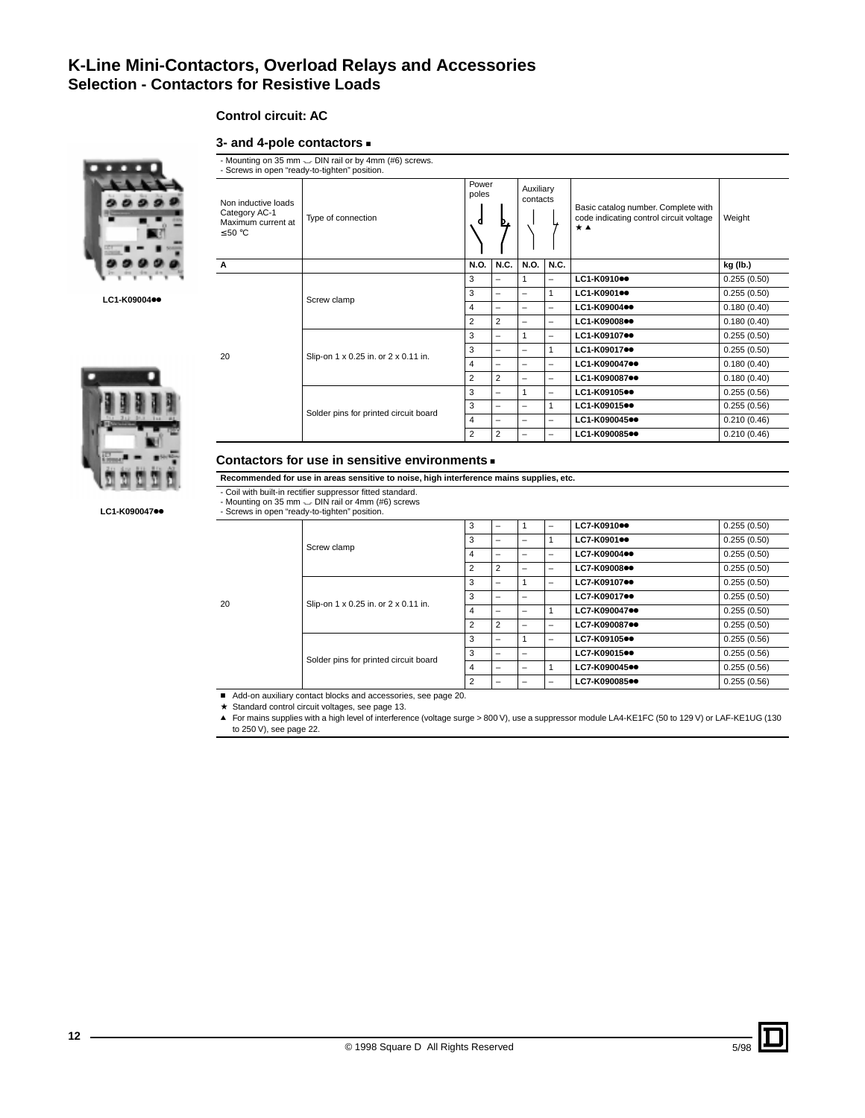# **K-Line Mini-Contactors, Overload Relays and Accessories Selection - Contactors for Resistive Loads**

# **Control circuit: AC**

20

# **3- and 4-pole contactors =** - Screws in open "ready-to-tighten" position.

- Mounting on 35 mm  $-$  DIN rail or by 4mm (#6) screws.



LC1-K09004<sup>ee</sup>



| Non inductive loads<br>Category AC-1<br>Maximum current at<br>≤ 50 °C | Type of connection                    | Power<br>poles<br>o |                          | Auxiliary<br>contacts    |                   | Basic catalog number. Complete with<br>code indicating control circuit voltage<br>$\star$ $\blacktriangle$ | Weight      |
|-----------------------------------------------------------------------|---------------------------------------|---------------------|--------------------------|--------------------------|-------------------|------------------------------------------------------------------------------------------------------------|-------------|
| A                                                                     |                                       | N.O.                | N.C.                     | N.O.                     | N.C.              |                                                                                                            | kg (lb.)    |
|                                                                       |                                       | 3                   | $\overline{\phantom{0}}$ | 1                        | $\qquad \qquad =$ | LC1-K0910 <sup>e</sup>                                                                                     | 0.255(0.50) |
|                                                                       | Screw clamp                           | 3                   | $\overline{\phantom{0}}$ | $\qquad \qquad =$        | 1                 | LC1-K090100                                                                                                | 0.255(0.50) |
|                                                                       |                                       | $\overline{4}$      | $\overline{\phantom{0}}$ | $\overline{\phantom{0}}$ | $\qquad \qquad =$ | LC1-K0900400                                                                                               | 0.180(0.40) |
|                                                                       |                                       | $\overline{2}$      | $\overline{2}$           | $\qquad \qquad -$        | $\qquad \qquad -$ | LC1-K09008                                                                                                 | 0.180(0.40) |
|                                                                       |                                       | 3                   | $\overline{\phantom{0}}$ | 1                        | $\qquad \qquad -$ | LC1-K09107 <sup>e</sup>                                                                                    | 0.255(0.50) |
| 20                                                                    |                                       | 3                   | $\overline{\phantom{0}}$ | $\qquad \qquad =$        | 1                 | LC1-K09017 <sup>e</sup>                                                                                    | 0.255(0.50) |
|                                                                       | Slip-on 1 x 0.25 in. or 2 x 0.11 in.  | $\overline{4}$      | $\overline{\phantom{0}}$ | $\qquad \qquad =$        | $\qquad \qquad =$ | LC1-K090047 <sup>ee</sup>                                                                                  | 0.180(0.40) |
|                                                                       |                                       | $\overline{2}$      | $\overline{2}$           | $\qquad \qquad =$        | $\qquad \qquad =$ | LC1-K090087 <sup>ee</sup>                                                                                  | 0.180(0.40) |
|                                                                       |                                       | 3                   | $\overline{\phantom{0}}$ | $\mathbf{1}$             | -                 | LC1-K0910500                                                                                               | 0.255(0.56) |
|                                                                       |                                       | 3                   | $\overline{\phantom{0}}$ | $\qquad \qquad =$        | 1                 | LC1-K0901500                                                                                               | 0.255(0.56) |
|                                                                       | Solder pins for printed circuit board | $\overline{4}$      | $\overline{\phantom{0}}$ | $\overline{\phantom{0}}$ | $\qquad \qquad =$ | LC1-K090045ee                                                                                              | 0.210(0.46) |
|                                                                       |                                       | $\overline{2}$      | $\overline{2}$           | $\overline{\phantom{0}}$ | $\qquad \qquad -$ | LC1-K090085                                                                                                | 0.210(0.46) |

#### Contactors for use in sensitive environments **-**

**Recommended for use in areas sensitive to noise, high interference mains supplies, etc.**

**LC1-K090047**kk

|    | - Coil with built-in rectifier suppressor fitted standard.<br>- Mounting on 35 mm $-$ DIN rail or 4mm (#6) screws<br>- Screws in open "ready-to-tighten" position. |                |                |                          |                          |                           |             |
|----|--------------------------------------------------------------------------------------------------------------------------------------------------------------------|----------------|----------------|--------------------------|--------------------------|---------------------------|-------------|
|    |                                                                                                                                                                    | 3              |                |                          | -                        | LC7-K0910 <sup>e</sup>    | 0.255(0.50) |
|    | Screw clamp                                                                                                                                                        | 3              | -              | $\overline{\phantom{0}}$ |                          | LC7-K0901 <sup>e</sup>    | 0.255(0.50) |
|    |                                                                                                                                                                    | 4              | -              |                          | -                        | LC7-K09004ee              | 0.255(0.50) |
|    |                                                                                                                                                                    | $\overline{2}$ | $\overline{2}$ | $\overline{\phantom{0}}$ | -                        | LC7-K09008ee              | 0.255(0.50) |
|    |                                                                                                                                                                    | 3              | -              | 1                        | $\overline{\phantom{0}}$ | LC7-K09107 <sup>ee</sup>  | 0.255(0.50) |
| 20 | Slip-on 1 x 0.25 in. or 2 x 0.11 in.                                                                                                                               | 3              | -              | -                        |                          | LC7-K0901700              | 0.255(0.50) |
|    |                                                                                                                                                                    | 4              | -              | -                        |                          | LC7-K09004700             | 0.255(0.50) |
|    |                                                                                                                                                                    | $\overline{2}$ | $\overline{2}$ | $\overline{\phantom{0}}$ | -                        | LC7-K090087 <sup>ee</sup> | 0.255(0.50) |
|    |                                                                                                                                                                    | 3              |                |                          |                          | LC7-K0910500              | 0.255(0.56) |
|    | Solder pins for printed circuit board                                                                                                                              | 3              | -              | -                        |                          | LC7-K09015ee              | 0.255(0.56) |
|    |                                                                                                                                                                    | $\overline{4}$ | -              | $\overline{\phantom{0}}$ |                          | LC7-K090045 <sup>e</sup>  | 0.255(0.56) |
|    |                                                                                                                                                                    | 2              |                |                          |                          | LC7-K090085 <sup>ee</sup> | 0.255(0.56) |

Add-on auxiliary contact blocks and accessories, see page 20.

 $\star$  Standard control circuit voltages, see page 13.

▲ For mains supplies with a high level of interference (voltage surge > 800 V), use a suppressor module LA4-KE1FC (50 to 129 V) or LAF-KE1UG (130 to 250 V), see page 22.

5/98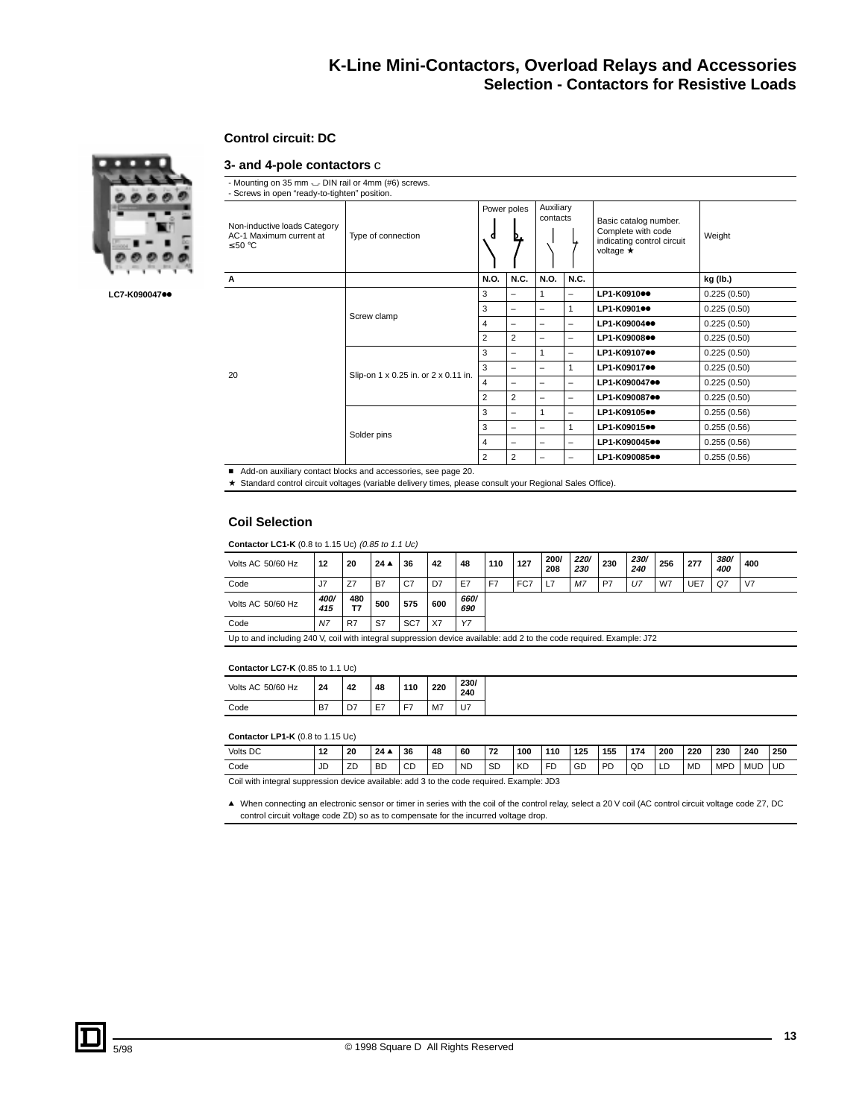# **K-Line Mini-Contactors, Overload Relays and Accessories Selection - Contactors for Resistive Loads**

### **Control circuit: DC**

**3- and 4-pole contactors** c



**LC7-K090047**kk

| Non-inductive loads Category<br>AC-1 Maximum current at<br>≤ 50 °C | Type of connection                   | Power poles<br>d | Þ.             | Auxiliary<br>contacts    |                   | Basic catalog number.<br>Complete with code<br>indicating control circuit<br>voltage $\star$ | Weight      |
|--------------------------------------------------------------------|--------------------------------------|------------------|----------------|--------------------------|-------------------|----------------------------------------------------------------------------------------------|-------------|
| A                                                                  |                                      | N.O.             | <b>N.C.</b>    | <b>N.O.</b>              | <b>N.C.</b>       |                                                                                              | kg (lb.)    |
|                                                                    |                                      | 3                | -              |                          | $\qquad \qquad -$ | LP1-K091000                                                                                  | 0.225(0.50) |
|                                                                    | Screw clamp                          | 3                | -              | $\overline{\phantom{0}}$ | 1                 | LP1-K090100                                                                                  | 0.225(0.50) |
|                                                                    |                                      | 4                | -              | $\overline{\phantom{0}}$ | $\qquad \qquad =$ | LP1-K0900400                                                                                 | 0.225(0.50) |
|                                                                    |                                      | $\overline{2}$   | $\overline{2}$ | -                        | -                 | LP1-K0900800                                                                                 | 0.225(0.50) |
|                                                                    |                                      | 3                | -              | 1                        | $\qquad \qquad -$ | LP1-K0910700                                                                                 | 0.225(0.50) |
| 20                                                                 |                                      | 3                | -              | $\overline{\phantom{0}}$ | 1                 | LP1-K0901700                                                                                 | 0.225(0.50) |
|                                                                    | Slip-on 1 x 0.25 in. or 2 x 0.11 in. | 4                | -              | -                        | $\qquad \qquad -$ | LP1-K09004700                                                                                | 0.225(0.50) |
|                                                                    |                                      | $\overline{2}$   | $\overline{2}$ | -                        | $\qquad \qquad -$ | LP1-K09008700                                                                                | 0.225(0.50) |
|                                                                    |                                      | 3                | -              | 1                        | $\qquad \qquad -$ | LP1-K0910500                                                                                 | 0.255(0.56) |
|                                                                    |                                      | 3                | $\equiv$       | $\overline{\phantom{0}}$ | 1                 | LP1-K0901500                                                                                 | 0.255(0.56) |
|                                                                    | Solder pins                          | 4                | -              | $\overline{\phantom{0}}$ | $\qquad \qquad -$ | LP1-K09004500                                                                                | 0.255(0.56) |
|                                                                    |                                      | $\overline{2}$   | $\overline{2}$ | -                        | -                 | LP1-K09008500                                                                                | 0.255(0.56) |

Add-on auxiliary contact blocks and accessories, see page 20.

\* Standard control circuit voltages (variable delivery times, please consult your Regional Sales Office).

### **Coil Selection**

**Contactor LC1-K** (0.8 to 1.15 Uc) (0.85 to 1.1 Uc)

| Volts AC 50/60 Hz | 12          | 20        | $24 \triangle$ | 36              | 42   | 48          | 110      | 127 | 200/<br>208 | 220/<br>230    | 230                      | 230/<br>240 | 256 | 277 | 380/<br>400 | 400            |
|-------------------|-------------|-----------|----------------|-----------------|------|-------------|----------|-----|-------------|----------------|--------------------------|-------------|-----|-----|-------------|----------------|
| Code              | J7          | Z7        | B7             | C7              | . D7 | E7          | F7       | FC7 | L7          | M <sub>7</sub> | P7                       | U7          | W7  | UE7 | Q7          | V <sub>7</sub> |
| Volts AC 50/60 Hz | 400/<br>415 | 480<br>T7 | 500            | 575             | 600  | 660/<br>690 |          |     |             |                |                          |             |     |     |             |                |
| Code              | N7          | R7        | S7             | SC <sub>7</sub> | X7   | Y7          |          |     |             |                |                          |             |     |     |             |                |
| .                 | $    -$     | .         |                |                 |      |             | $\cdots$ | .   |             |                | $\overline{\phantom{0}}$ |             |     |     |             |                |

Up to and including 240 V, coil with integral suppression device available: add 2 to the code required. Example: J72

#### **Contactor LC7-K** (0.85 to 1.1 Uc)

| Volts AC 50/60 Hz | 24 | 42 | 48 | 110 | 220 | 230/<br>240 |  |
|-------------------|----|----|----|-----|-----|-------------|--|
| Code              | B7 |    | F7 | E7  | M7  |             |  |

#### **Contactor LP1-K** (0.8 to 1.15 Uc)

| <b>Volts DC</b> | 12        | 20 | 24        | 36 | 48 | 60        | 72        | 100       | 110       | 125 | 155 | 174 | 200 | 220       | 230        | 240        | 250 |
|-----------------|-----------|----|-----------|----|----|-----------|-----------|-----------|-----------|-----|-----|-----|-----|-----------|------------|------------|-----|
| Code            | <b>JD</b> | ZD | <b>BD</b> | CD | ED | <b>ND</b> | <b>SD</b> | <b>KD</b> | <b>FD</b> | GD  | PD  | QD  | LU  | <b>MD</b> | <b>MPD</b> | <b>MUD</b> | UD  |
|                 |           |    |           |    |    |           |           |           |           |     |     |     |     |           |            |            |     |

Coil with integral suppression device available: add 3 to the code required. Example: JD3

A When connecting an electronic sensor or timer in series with the coil of the control relay, select a 20 V coil (AC control circuit voltage code Z7, DC control circuit voltage code ZD) so as to compensate for the incurred voltage drop.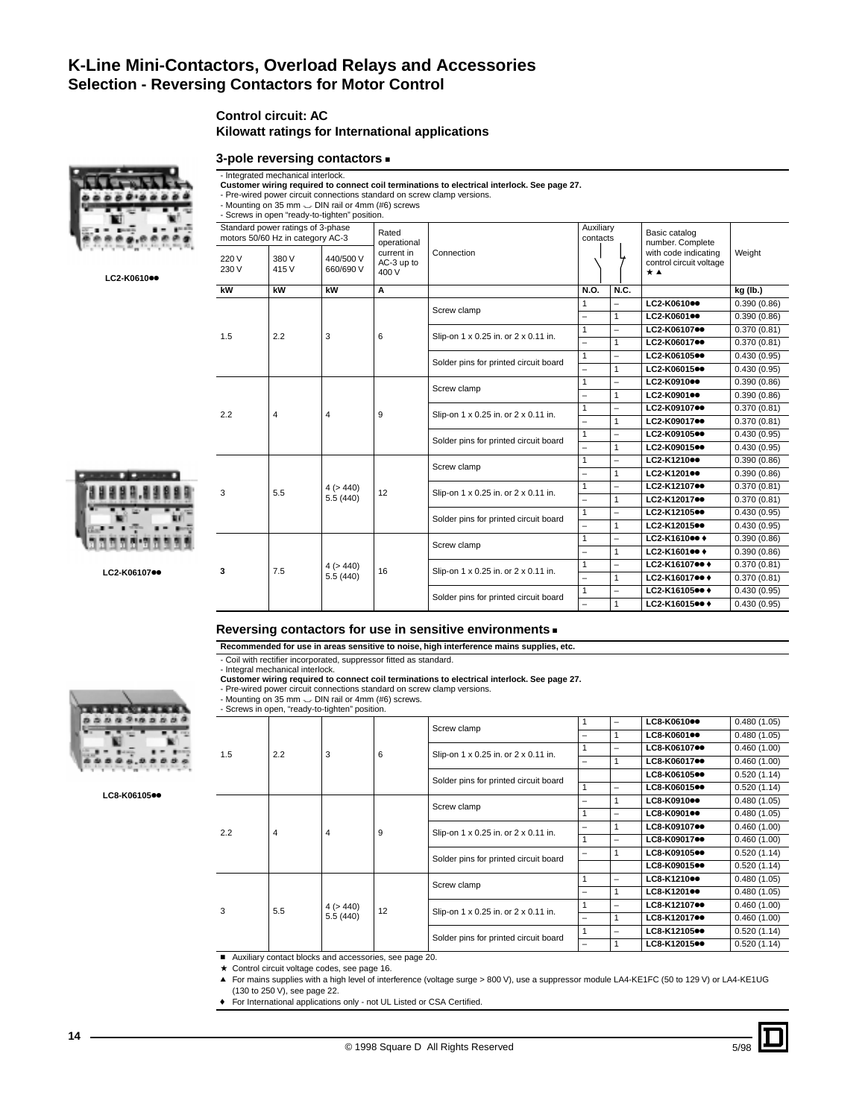#### **Control circuit: AC Kilowatt ratings for International applications**

- Pre-wired power circuit connections standard on screw clamp versions.

**Customer wiring required to connect coil terminations to electrical interlock. See page 27.**

#### **3-pole reversing contactors**

- Mounting on 35 mm  $-$  DIN rail or 4mm (#6) screws - Screws in open "ready-to-tighten" position.

- Integrated mechanical interlock.



**LC2-K0610**kk



LC2-K06107<sup>e</sup>

|                | Standard power ratings of 3-phase<br>motors 50/60 Hz in category AC-3 |                        | Rated<br>operational              |                                       | Auxiliary<br>contacts    |                          | Basic catalog<br>number. Complete                                           |             |
|----------------|-----------------------------------------------------------------------|------------------------|-----------------------------------|---------------------------------------|--------------------------|--------------------------|-----------------------------------------------------------------------------|-------------|
| 220 V<br>230 V | 380 V<br>415 V                                                        | 440/500 V<br>660/690 V | current in<br>AC-3 up to<br>400 V | Connection                            |                          |                          | with code indicating<br>control circuit voltage<br>$\star$ $\blacktriangle$ | Weight      |
| kW             | kW                                                                    | kW                     | A                                 |                                       | N.O.                     | N.C.                     |                                                                             | kg (lb.)    |
|                |                                                                       |                        |                                   | Screw clamp                           | 1                        | $\overline{\phantom{0}}$ | LC2-K061000                                                                 | 0.390(0.86) |
|                |                                                                       |                        |                                   |                                       | $\equiv$                 | $\mathbf{1}$             | LC2-K060100                                                                 | 0.390(0.86) |
| 1.5            | 2.2                                                                   | 3                      | 6                                 | Slip-on 1 x 0.25 in. or 2 x 0.11 in.  | 1                        | $\overline{\phantom{0}}$ | LC2-K0610700                                                                | 0.370(0.81) |
|                |                                                                       |                        |                                   |                                       | $\overline{\phantom{0}}$ | $\mathbf{1}$             | LC2-K0601700                                                                | 0.370(0.81) |
|                |                                                                       |                        |                                   | Solder pins for printed circuit board | 1                        | $\equiv$                 | LC2-K0610500                                                                | 0.430(0.95) |
|                |                                                                       |                        |                                   |                                       | $\overline{\phantom{0}}$ | $\mathbf{1}$             | LC2-K0601500                                                                | 0.430(0.95) |
|                |                                                                       |                        |                                   | Screw clamp                           | 1                        | $\overline{a}$           | LC2-K091000                                                                 | 0.390(0.86) |
|                |                                                                       |                        |                                   |                                       | $\equiv$                 | $\mathbf{1}$             | LC2-K090100                                                                 | 0.390(0.86) |
| 2.2            | 4                                                                     | $\overline{4}$         | 9                                 | Slip-on 1 x 0.25 in. or 2 x 0.11 in.  | 1                        | ÷                        | LC2-K0910700                                                                | 0.370(0.81) |
|                |                                                                       |                        |                                   |                                       | $\overline{\phantom{0}}$ | $\mathbf{1}$             | LC2-K0901700                                                                | 0.370(0.81) |
|                |                                                                       |                        |                                   | Solder pins for printed circuit board | 1                        | $\overline{\phantom{0}}$ | LC2-K0910500                                                                | 0.430(0.95) |
|                |                                                                       |                        |                                   |                                       | $\equiv$                 | $\mathbf{1}$             | LC2-K0901500                                                                | 0.430(0.95) |
|                |                                                                       |                        |                                   | Screw clamp                           | 1                        | $\overline{\phantom{0}}$ | LC2-K121000                                                                 | 0.390(0.86) |
|                |                                                                       |                        |                                   |                                       | Ξ.                       | $\mathbf{1}$             | LC2-K120100                                                                 | 0.390(0.86) |
| 3              | 5.5                                                                   | 4(>440)                | 12                                | Slip-on 1 x 0.25 in. or 2 x 0.11 in.  | $\mathbf{1}$             | $\equiv$                 | LC2-K1210700                                                                | 0.370(0.81) |
|                |                                                                       | 5.5(440)               |                                   |                                       | $\overline{a}$           | $\mathbf{1}$             | LC2-K1201700                                                                | 0.370(0.81) |
|                |                                                                       |                        |                                   | Solder pins for printed circuit board | 1                        | $\overline{\phantom{0}}$ | LC2-K1210500                                                                | 0.430(0.95) |
|                |                                                                       |                        |                                   |                                       | $\equiv$                 | $\mathbf{1}$             | LC2-K1201500                                                                | 0.430(0.95) |
|                |                                                                       |                        |                                   |                                       | 1                        | $\overline{\phantom{0}}$ | LC2-K161000 +                                                               | 0.390(0.86) |
|                |                                                                       |                        |                                   | Screw clamp                           | $\overline{\phantom{0}}$ | $\mathbf{1}$             | LC2-K160100 +                                                               | 0.390(0.86) |
| 3              | 7.5                                                                   | 4(>440)                | 16                                | Slip-on 1 x 0.25 in. or 2 x 0.11 in.  | 1                        | $\overline{\phantom{0}}$ | LC2-K1610700+                                                               | 0.370(0.81) |
|                |                                                                       | 5.5(440)               |                                   |                                       | $\overline{\phantom{0}}$ | $\mathbf{1}$             | LC2-K1601700 +                                                              | 0.370(0.81) |
|                |                                                                       |                        |                                   |                                       | $\mathbf{1}$             | $\overline{\phantom{0}}$ | LC2-K1610500+                                                               | 0.430(0.95) |
|                |                                                                       |                        |                                   | Solder pins for printed circuit board | ÷,                       | $\mathbf{1}$             | LC2-K1601500 +                                                              | 0.430(0.95) |

**Auxiliary** 

### Reversing contactors for use in sensitive environments -

**Recommended for use in areas sensitive to noise, high interference mains supplies, etc.**

- Coil with rectifier incorporated, suppressor fitted as standard.

- Integral mechanical interlock.

**Customer wiring required to connect coil terminations to electrical interlock. See page 27.**

- Pre-wired power circuit connections standard on screw clamp versions.

- Mounting on 35 mm  $\leftarrow$  DIN rail or 4mm (#6) screws.

- Screws in open, "ready-to-tighten" position.

|     |                |                |    | Screw clamp                           |                          | $\overline{\phantom{0}}$ | LC8-K061000              | 0.480(1.05) |
|-----|----------------|----------------|----|---------------------------------------|--------------------------|--------------------------|--------------------------|-------------|
|     |                |                |    |                                       | -                        | 1                        | LC8-K0601 <sup>ee</sup>  | 0.480(1.05) |
| 1.5 | 2.2            | 3              | 6  | Slip-on 1 x 0.25 in. or 2 x 0.11 in.  |                          | -                        | LC8-K0610700             | 0.460(1.00) |
|     |                |                |    |                                       | $\overline{\phantom{0}}$ |                          | LC8-K0601700             | 0.460(1.00) |
|     |                |                |    | Solder pins for printed circuit board |                          |                          | LC8-K0610500             | 0.520(1.14) |
|     |                |                |    |                                       |                          | -                        | LC8-K0601500             | 0.520(1.14) |
|     |                |                |    | Screw clamp                           |                          |                          | LC8-K091000              | 0.480(1.05) |
|     |                |                |    |                                       |                          | $\overline{\phantom{0}}$ | LC8-K0901 ee             | 0.480(1.05) |
| 2.2 | $\overline{4}$ | $\overline{4}$ | 9  | Slip-on 1 x 0.25 in. or 2 x 0.11 in.  |                          |                          | LC8-K0910700             | 0.460(1.00) |
|     |                |                |    |                                       |                          | $\overline{\phantom{0}}$ | LC8-K09017 <sup>e</sup>  | 0.460(1.00) |
|     |                |                |    | Solder pins for printed circuit board |                          |                          | LC8-K0910500             | 0.520(1.14) |
|     |                |                |    |                                       |                          |                          | LC8-K09015               | 0.520(1.14) |
|     |                |                |    | Screw clamp                           |                          | $\overline{\phantom{0}}$ | LC8-K1210 <sup>e</sup>   | 0.480(1.05) |
|     |                |                |    |                                       | -                        |                          | LC8-K120100              | 0.480(1.05) |
| 3   | 5.5            | 4(>440)        | 12 | Slip-on 1 x 0.25 in. or 2 x 0.11 in.  |                          | $\overline{\phantom{0}}$ | LC8-K1210700             | 0.460(1.00) |
|     |                | 5.5(440)       |    |                                       | $\overline{\phantom{0}}$ |                          | LC8-K12017 <sup>e</sup>  | 0.460(1.00) |
|     |                |                |    | Solder pins for printed circuit board |                          | -                        | LC8-K1210500             | 0.520(1.14) |
|     |                |                |    |                                       | $\overline{\phantom{0}}$ |                          | LC8-K12015 <sup>oo</sup> | 0.520(1.14) |
|     |                |                |    |                                       |                          |                          |                          |             |

Auxiliary contact blocks and accessories, see page 20.

 $\star$  Control circuit voltage codes, see page 16.

q For mains supplies with a high level of interference (voltage surge > 800 V), use a suppressor module LA4-KE1FC (50 to 129 V) or LA4-KE1UG (130 to 250 V), see page 22.

**f** For International applications only - not UL Listed or CSA Certified.



LC8-K06105<sup>e</sup>

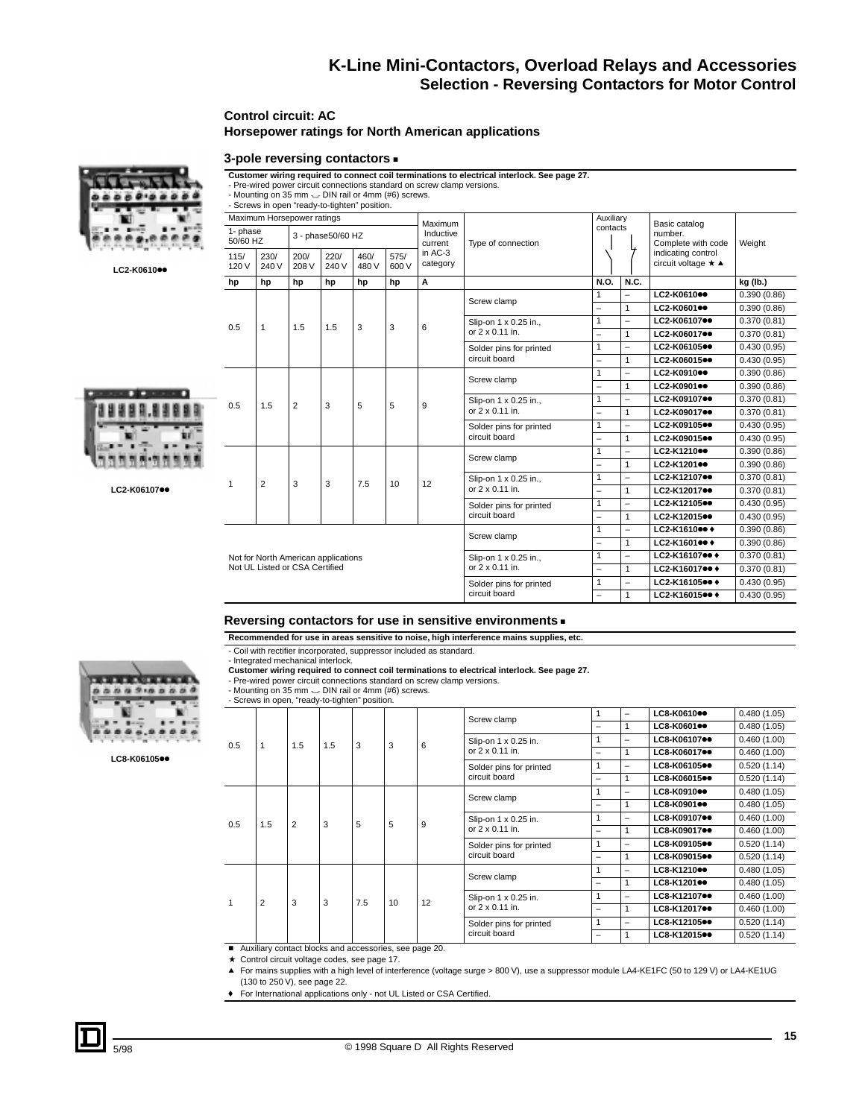### **Control circuit: AC Horsepower ratings for North American applications**

#### **3-pole reversing contactors**

**Customer wiring required to connect coil terminations to electrical interlock. See page 27.**

- Pre-wired power circuit connections standard on screw clamp versions. - Mounting on 35 mm " DIN rail or 4mm (#6) screws.

- Screws in open "ready-to-tighten" position. Maximum Horsepower ratings



**LC2-K0610**kk



**LC2-K06107**kk

|                      | Maximum Horsepower ratings     |                |                                     |               |               | Maximum              |                         | Auxiliary                |                          | Basic catalog                             |             |
|----------------------|--------------------------------|----------------|-------------------------------------|---------------|---------------|----------------------|-------------------------|--------------------------|--------------------------|-------------------------------------------|-------------|
| 1- phase<br>50/60 HZ |                                |                | 3 - phase50/60 HZ                   |               |               | Inductive<br>current | Type of connection      | contacts                 |                          | number.<br>Complete with code             | Weight      |
| 115/<br>120 V        | 230/<br>240 V                  | 200/<br>208 V  | 220/<br>240 V                       | 460/<br>480 V | 575/<br>600 V | in AC-3<br>category  |                         |                          |                          | indicating control<br>circuit voltage * ▲ |             |
| hp                   | hp                             | hp             | hp                                  | hp            | hp            | A                    |                         | N.O.                     | N.C.                     |                                           | kg (lb.)    |
|                      |                                |                |                                     |               |               |                      |                         | $\mathbf{1}$             | $\overline{\phantom{0}}$ | LC2-K061000                               | 0.390(0.86) |
|                      |                                |                |                                     |               |               |                      | Screw clamp             | $\equiv$                 | $\mathbf{1}$             | LC2-K060100                               | 0.390(0.86) |
| 0.5                  | $\mathbf{1}$                   | 1.5            | 1.5                                 | 3             | 3             | 6                    | Slip-on 1 x 0.25 in.,   | $\mathbf{1}$             | $\qquad \qquad -$        | LC2-K0610700                              | 0.370(0.81) |
|                      |                                |                |                                     |               |               |                      | or 2 x 0.11 in.         | $\equiv$                 | $\mathbf{1}$             | LC2-K0601700                              | 0.370(0.81) |
|                      |                                |                |                                     |               |               |                      | Solder pins for printed | $\mathbf{1}$             | $\overline{\phantom{0}}$ | LC2-K0610500                              | 0.430(0.95) |
|                      |                                |                |                                     |               |               |                      | circuit board           | $\overline{\phantom{0}}$ | $\mathbf{1}$             | LC2-K0601500                              | 0.430(0.95) |
|                      |                                |                |                                     |               |               |                      |                         | $\mathbf{1}$             | $\equiv$                 | LC2-K091000                               | 0.390(0.86) |
|                      |                                |                |                                     |               |               |                      | Screw clamp             | $\equiv$                 | $\mathbf{1}$             | LC2-K090100                               | 0.390(0.86) |
| 0.5                  |                                |                |                                     |               |               |                      | Slip-on 1 x 0.25 in.,   | $\mathbf{1}$             | $\overline{\phantom{0}}$ | LC2-K0910700                              | 0.370(0.81) |
|                      | 1.5                            | $\overline{2}$ | 3                                   | 5             | 5             | 9                    | or 2 x 0.11 in.         |                          | $\mathbf{1}$             | LC2-K0901700                              | 0.370(0.81) |
|                      |                                |                |                                     |               |               |                      | Solder pins for printed | $\mathbf{1}$             | $\overline{\phantom{0}}$ | LC2-K0910500                              | 0.430(0.95) |
|                      |                                |                |                                     |               |               |                      | circuit board           |                          | $\mathbf{1}$             | LC2-K0901500                              | 0.430(0.95) |
|                      |                                |                |                                     |               |               |                      |                         | $\mathbf{1}$             | $\equiv$                 | LC2-K121000                               | 0.390(0.86) |
|                      |                                |                |                                     |               |               |                      | Screw clamp             |                          | $\mathbf{1}$             | LC2-K120100                               | 0.390(0.86) |
|                      |                                |                |                                     |               |               |                      | Slip-on 1 x 0.25 in.,   | $\mathbf{1}$             | $\equiv$                 | LC2-K1210700                              | 0.370(0.81) |
| 1                    | 2                              | 3              | 3                                   | 7.5           | 10            | 12                   | or 2 x 0.11 in.         |                          | $\mathbf{1}$             | LC2-K1201700                              | 0.370(0.81) |
|                      |                                |                |                                     |               |               |                      | Solder pins for printed | $\mathbf{1}$             | $\equiv$                 | LC2-K1210500                              | 0.430(0.95) |
|                      |                                |                |                                     |               |               |                      | circuit board           |                          | $\mathbf{1}$             | LC2-K1201500                              | 0.430(0.95) |
|                      |                                |                |                                     |               |               |                      |                         | $\mathbf{1}$             | $\overline{\phantom{a}}$ | LC2-K161000 +                             | 0.390(0.86) |
|                      |                                |                |                                     |               |               |                      | Screw clamp             | ÷                        | $\mathbf{1}$             | LC2-K160100 +                             | 0.390(0.86) |
|                      |                                |                | Not for North American applications |               |               |                      | Slip-on 1 x 0.25 in.,   | $\mathbf{1}$             | $\qquad \qquad -$        | LC2-K1610700 +                            | 0.370(0.81) |
|                      | Not UL Listed or CSA Certified |                |                                     |               |               |                      | or 2 x 0.11 in.         | $\overline{\phantom{a}}$ | $\mathbf{1}$             | LC2-K1601700 +                            | 0.370(0.81) |
|                      |                                |                |                                     |               |               |                      | Solder pins for printed | $\mathbf{1}$             | $\equiv$                 | LC2-K1610500+                             | 0.430(0.95) |
|                      |                                |                |                                     |               |               |                      | circuit board           |                          | $\mathbf{1}$             | LC2-K1601500 +                            | 0.430(0.95) |

#### Reversing contactors for use in sensitive environments **-**

**Recommended for use in areas sensitive to noise, high interference mains supplies, etc.**

- Coil with rectifier incorporated, suppressor included as standard.

- Integrated mechanical interlock. **Customer wiring required to connect coil terminations to electrical interlock. See page 27.**

- Pre-wired power circuit connections standard on screw clamp versions.<br>- Mounting on 35 mm ← DIN rail or 4mm (#6) screws.

- Screws in open, "ready-to-tighten" position.

|     |                |                |     |     |    |    | Screw clamp             |                          |   | LC8-K061000             | 0.480(1.05) |
|-----|----------------|----------------|-----|-----|----|----|-------------------------|--------------------------|---|-------------------------|-------------|
|     |                |                |     |     |    |    |                         | -                        |   | LC8-K060100             | 0.480(1.05) |
| 0.5 |                | 1.5            | 1.5 | 3   | 3  | 6  | Slip-on 1 x 0.25 in.    |                          | - | LC8-K0610700            | 0.460(1.00) |
|     |                |                |     |     |    |    | or 2 x 0.11 in.         | $\overline{\phantom{0}}$ |   | LC8-K0601700            | 0.460(1.00) |
|     |                |                |     |     |    |    | Solder pins for printed |                          | - | LC8-K0610500            | 0.520(1.14) |
|     |                |                |     |     |    |    | circuit board           | -                        |   | LC8-K0601500            | 0.520(1.14) |
|     |                |                |     |     |    |    | Screw clamp             |                          | - | LC8-K0910 <sup>e</sup>  | 0.480(1.05) |
|     |                |                |     |     |    |    |                         |                          |   | LC8-K0901 ee            | 0.480(1.05) |
| 0.5 | 1.5            | $\overline{2}$ | 3   | 5   | 5  | 9  | Slip-on 1 x 0.25 in.    |                          |   | LC8-K0910700            | 0.460(1.00) |
|     |                |                |     |     |    |    | or 2 x 0.11 in.         | $\overline{\phantom{0}}$ |   | LC8-K0901700            | 0.460(1.00) |
|     |                |                |     |     |    |    | Solder pins for printed |                          | - | LC8-K0910500            | 0.520(1.14) |
|     |                |                |     |     |    |    | circuit board           |                          |   | LC8-K0901500            | 0.520(1.14) |
|     |                |                |     |     |    |    | Screw clamp             |                          | - | LC8-K1210 <sup>e</sup>  | 0.480(1.05) |
|     |                |                |     |     |    |    |                         |                          |   | LC8-K120100             | 0.480(1.05) |
|     | $\overline{2}$ | 3              | 3   | 7.5 | 10 | 12 | Slip-on 1 x 0.25 in.    |                          | - | LC8-K1210700            | 0.460(1.00) |
|     |                |                |     |     |    |    | or 2 x 0.11 in.         | $\overline{\phantom{0}}$ |   | LC8-K12017 <sup>e</sup> | 0.460(1.00) |
|     |                |                |     |     |    |    | Solder pins for printed |                          | - | LC8-K1210500            | 0.520(1.14) |
|     |                |                |     |     |    |    | circuit board           | -                        |   | LC8-K12015 <sup>e</sup> | 0.520(1.14) |
|     |                |                |     |     |    |    |                         |                          |   |                         |             |

Auxiliary contact blocks and accessories, see page 20.

 $\star$ Control circuit voltage codes, see page 17.

 $\bullet$ 

 $\blacktriangle$  For mains supplies with a high level of interference (voltage surge > 800 V), use a suppressor module LA4-KE1FC (50 to 129 V) or LA4-KE1UG (130 to 250 V), see page 22.

For International applications only - not UL Listed or CSA Certified.



LC8-K06105<sup>e</sup>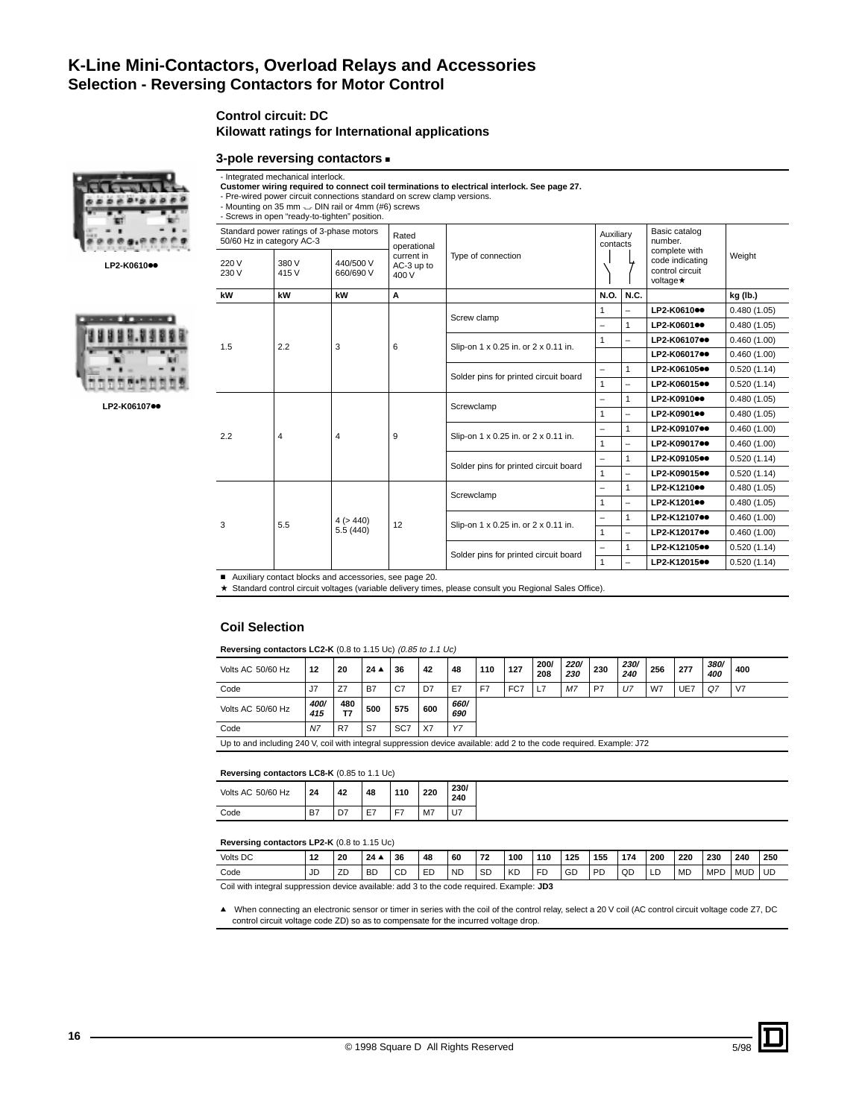### **Control circuit: DC Kilowatt ratings for International applications**

**Customer wiring required to connect coil terminations to electrical interlock. See page 27.**

#### **3-pole reversing contactors**

- Integrated mechanical interlock.



LP2-K0610<sup>e</sup>



**LP2-K06107**kk

|                | 50/60 Hz in category AC-3 | Standard power ratings of 3-phase motors | Rated<br>operational                  |                                       | Auxiliarv<br>contacts    |                          | Basic catalog<br>number.                                        |             |
|----------------|---------------------------|------------------------------------------|---------------------------------------|---------------------------------------|--------------------------|--------------------------|-----------------------------------------------------------------|-------------|
| 220 V<br>230 V | 380 V<br>415 V            | 440/500 V<br>660/690 V                   | current in<br>AC-3 up to<br>400 V     | Type of connection                    |                          |                          | complete with<br>code indicating<br>control circuit<br>voltage★ | Weight      |
| kW             | kW                        | kW                                       | A                                     |                                       | N.O.                     | N.C.                     |                                                                 | kg (lb.)    |
|                |                           |                                          |                                       |                                       | $\mathbf{1}$             | $\equiv$                 | LP2-K061000                                                     | 0.480(1.05) |
|                |                           |                                          |                                       | Screw clamp                           | $\overline{\phantom{0}}$ | 1                        | LP2-K060100                                                     | 0.480(1.05) |
| 1.5            | 2.2                       | 3                                        |                                       | Slip-on 1 x 0.25 in. or 2 x 0.11 in.  | $\mathbf{1}$             | $\overline{\phantom{0}}$ | LP2-K0610700                                                    | 0.460(1.00) |
|                |                           |                                          | 6                                     |                                       |                          |                          | LP2-K0601700                                                    | 0.460(1.00) |
|                |                           |                                          |                                       | Solder pins for printed circuit board | $\qquad \qquad -$        | 1                        | LP2-K0610500                                                    | 0.520(1.14) |
|                |                           |                                          |                                       |                                       | $\mathbf{1}$             | -                        | LP2-K0601500                                                    | 0.520(1.14) |
|                |                           |                                          |                                       | Screwclamp                            | $\equiv$                 | 1                        | LP2-K091000                                                     | 0.480(1.05) |
|                |                           |                                          |                                       |                                       | $\mathbf{1}$             | -                        | LP2-K090100                                                     | 0.480(1.05) |
| 2.2            | 4                         | 4                                        | 9                                     | Slip-on 1 x 0.25 in. or 2 x 0.11 in.  | ۳                        | 1                        | LP2-K0910700                                                    | 0.460(1.00) |
|                |                           |                                          |                                       |                                       | $\mathbf{1}$             | -                        | LP2-K0901700                                                    | 0.460(1.00) |
|                |                           |                                          |                                       | Solder pins for printed circuit board | $\overline{\phantom{0}}$ | $\mathbf{1}$             | LP2-K0910500                                                    | 0.520(1.14) |
|                |                           |                                          |                                       |                                       | $\mathbf{1}$             | -                        | LP2-K0901500                                                    | 0.520(1.14) |
|                |                           |                                          |                                       | Screwclamp                            | $\equiv$                 | $\mathbf{1}$             | LP2-K121000                                                     | 0.480(1.05) |
|                |                           |                                          |                                       |                                       | $\mathbf{1}$             | $\overline{\phantom{0}}$ | LP2-K120100                                                     | 0.480(1.05) |
|                | 4(>440)                   |                                          | 12                                    | Slip-on 1 x 0.25 in. or 2 x 0.11 in.  | $\overline{\phantom{0}}$ | 1                        | LP2-K1210700                                                    | 0.460(1.00) |
| 5.5<br>3       | 5.5(440)                  |                                          |                                       | $\mathbf{1}$                          | $\overline{\phantom{0}}$ | LP2-K1201700             | 0.460(1.00)                                                     |             |
|                |                           |                                          | Solder pins for printed circuit board | ۳                                     | 1                        | LP2-K1210500             | 0.520(1.14)                                                     |             |
|                |                           |                                          |                                       |                                       | $\overline{1}$           | -                        | LP2-K1201500                                                    | 0.520(1.14) |

Auxiliary contact blocks and accessories, see page 20.

\* Standard control circuit voltages (variable delivery times, please consult you Regional Sales Office).

### **Coil Selection**

**Reversing contactors LC2-K** (0.8 to 1.15 Uc) (0.85 to 1.1 Uc)

| Volts AC 50/60 Hz                                                                                                    | 12          | 20        | $24 \triangle$ | 36              | 42  | 48          | 110 | 127 | 200/<br>208 | 220/<br>230 | 230 | 230/<br>240 | 256 | 277 | 380/<br>400 | 400            |
|----------------------------------------------------------------------------------------------------------------------|-------------|-----------|----------------|-----------------|-----|-------------|-----|-----|-------------|-------------|-----|-------------|-----|-----|-------------|----------------|
| Code                                                                                                                 | J7          | Z7        | B7             | C7              | D7  | E7          | F7  | FC7 | . L7        | M7          | P7  | $U$ 7       | W7  | UE7 | Q7          | V <sub>7</sub> |
| Volts AC 50/60 Hz                                                                                                    | 400/<br>415 | 480<br>Τ7 | 500            | 575             | 600 | 660/<br>690 |     |     |             |             |     |             |     |     |             |                |
| Code                                                                                                                 | N7          | R7        | S7             | SC <sub>7</sub> | X7  | Y7          |     |     |             |             |     |             |     |     |             |                |
| Up to and including 240 V, coil with integral suppression device available: add 2 to the code required. Example: J72 |             |           |                |                 |     |             |     |     |             |             |     |             |     |     |             |                |

#### **Reversing contactors LC8-K** (0.85 to 1.1 Uc)

| Volts AC 50/60 Hz | 24        | 42 | 48 | 110 | 220 | 230/<br>240 |
|-------------------|-----------|----|----|-----|-----|-------------|
| Code              | <b>B7</b> | D7 | E7 | $-$ | M7  | U7          |

#### **Reversing contactors LP2-K** (0.8 to 1.15 Uc)

| <b>Volts DC</b>                                                                                 | 12 | 20 | 24.4      | 36 | 48 | 60        | 72<br> | 100 | 110       | 125 | 155 | 174 | 200 | 220       | 230        | 240        | 250 |
|-------------------------------------------------------------------------------------------------|----|----|-----------|----|----|-----------|--------|-----|-----------|-----|-----|-----|-----|-----------|------------|------------|-----|
| Code                                                                                            | JD | ZD | <b>BD</b> | CD | ED | <b>ND</b> | SD     | KD  | <b>FD</b> | GD  | PD  | QD  | LD  | <b>MD</b> | <b>MPD</b> | <b>MUD</b> | UD  |
| <b>Coil with integral suppression device available: add 3 to the code required Example: JD3</b> |    |    |           |    |    |           |        |     |           |     |     |     |     |           |            |            |     |

Coil with integral suppression device available: add 3 to the code required. Example: **JD3**

A When connecting an electronic sensor or timer in series with the coil of the control relay, select a 20 V coil (AC control circuit voltage code Z7, DC control circuit voltage code ZD) so as to compensate for the incurred voltage drop.

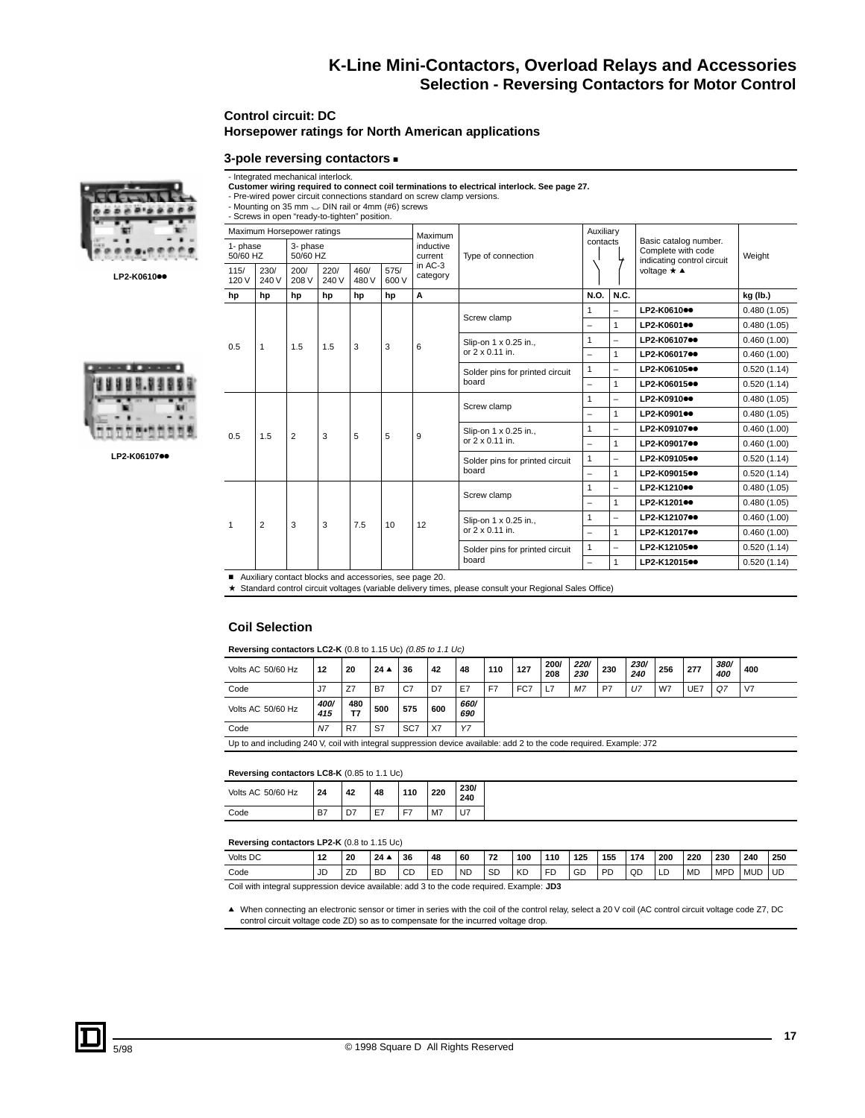### **Control circuit: DC Horsepower ratings for North American applications**

**Customer wiring required to connect coil terminations to electrical interlock. See page 27.**

#### **3-pole reversing contactors**

- Integrated mechanical interlock.



**LP2-K0610**kk



**LP2-K06107**kk

|                      | Maximum Horsepower ratings |                      |                      |               |                 |                                 |                                 | Auxiliary                |                          |                                                                           |             |
|----------------------|----------------------------|----------------------|----------------------|---------------|-----------------|---------------------------------|---------------------------------|--------------------------|--------------------------|---------------------------------------------------------------------------|-------------|
| 1- phase<br>50/60 HZ |                            | 3- phase<br>50/60 HZ |                      |               |                 | Maximum<br>inductive<br>current | Type of connection              | contacts                 |                          | Basic catalog number.<br>Complete with code<br>indicating control circuit | Weight      |
| 115/<br>120 V        | 230/<br>240 V              | 200/<br>208 V        | 220/<br>240 V        | 460/<br>480 V | 575/<br>600 V   | in $AC-3$<br>category           |                                 |                          |                          | voltage $\star \blacktriangle$                                            |             |
| hp                   | hp                         | hp                   | hp                   | hp            | hp              | A                               |                                 | N.O.                     | N.C.                     |                                                                           | kg (lb.)    |
|                      |                            |                      |                      |               |                 |                                 | Screw clamp                     | 1                        |                          | LP2-K061000                                                               | 0.480(1.05) |
|                      |                            |                      |                      |               |                 |                                 |                                 | $\overline{\phantom{0}}$ | 1                        | LP2-K060100                                                               | 0.480(1.05) |
| 0.5                  | $\mathbf{1}$               | 1.5                  | 1.5                  | 3             | 3               |                                 | Slip-on 1 x 0.25 in.,           | $\mathbf{1}$             | ▃                        | LP2-K0610700                                                              | 0.460(1.00) |
|                      |                            |                      |                      |               |                 | 6                               | or 2 x 0.11 in.                 | $\overline{\phantom{0}}$ | 1                        | LP2-K0601700                                                              | 0.460(1.00) |
|                      |                            |                      |                      |               |                 |                                 | Solder pins for printed circuit | $\mathbf{1}$             | ▃                        | LP2-K0610500                                                              | 0.520(1.14) |
|                      |                            |                      |                      |               |                 |                                 | board                           | ۳                        | 1                        | LP2-K0601500                                                              | 0.520(1.14) |
|                      |                            |                      |                      |               |                 |                                 | Screw clamp                     | 1                        | -                        | LP2-K091000                                                               | 0.480(1.05) |
|                      |                            |                      |                      |               |                 |                                 |                                 | $\overline{a}$           | 1                        | LP2-K090100                                                               | 0.480(1.05) |
| 0.5                  | 1.5                        | $\overline{2}$       | 3                    | 5             | 5               | 9                               | Slip-on 1 x 0.25 in.,           | 1                        | $\overline{\phantom{0}}$ | LP2-K0910700                                                              | 0.460(1.00) |
|                      |                            |                      |                      |               |                 |                                 | or 2 x 0.11 in.                 | $\equiv$                 | 1                        | LP2-K0901700                                                              | 0.460(1.00) |
|                      |                            |                      |                      |               |                 |                                 | Solder pins for printed circuit | $\mathbf{1}$             | $\overline{\phantom{0}}$ | LP2-K0910500                                                              | 0.520(1.14) |
|                      |                            |                      |                      |               |                 |                                 | board                           | $\equiv$                 | 1                        | LP2-K0901500                                                              | 0.520(1.14) |
|                      |                            |                      |                      |               |                 |                                 | Screw clamp                     | $\mathbf{1}$             | -                        | LP2-K121000                                                               | 0.480(1.05) |
|                      |                            |                      |                      |               |                 |                                 |                                 | $\equiv$                 | 1                        | LP2-K120100                                                               | 0.480(1.05) |
| $\mathbf{1}$         | $\overline{2}$             | 3                    |                      |               |                 |                                 | Slip-on 1 x 0.25 in.,           | 1                        | -                        | LP2-K1210700                                                              | 0.460(1.00) |
|                      |                            |                      | 3<br>10<br>7.5<br>12 |               | or 2 x 0.11 in. | $\equiv$                        | 1                               | LP2-K1201700             | 0.460(1.00)              |                                                                           |             |
|                      |                            |                      |                      |               |                 |                                 | Solder pins for printed circuit | $\mathbf{1}$             | -                        | LP2-K1210500                                                              | 0.520(1.14) |
|                      |                            |                      |                      |               |                 |                                 | board                           | $\overline{\phantom{0}}$ | 1                        | LP2-K1201500                                                              | 0.520(1.14) |

Auxiliary contact blocks and accessories, see page 20.

\* Standard control circuit voltages (variable delivery times, please consult your Regional Sales Office)

### **Coil Selection**

**Reversing contactors LC2-K** (0.8 to 1.15 Uc) (0.85 to 1.1 Uc)

| Volts AC 50/60 Hz                                                                                                    | 12          | 20        | $24 \triangle$ | 36  | 42  | 48          | 110 | 127 | 200/<br>208 | 220/<br>230 | 230 | 230/<br>240 | 256 | 277 | 380/<br>400 | 400 |
|----------------------------------------------------------------------------------------------------------------------|-------------|-----------|----------------|-----|-----|-------------|-----|-----|-------------|-------------|-----|-------------|-----|-----|-------------|-----|
| Code                                                                                                                 | J7          | Z7        | B7             | C7  | D7  | E7          | F7  | FC7 | . L7        | M7          | P7  | U7          | W7  | UE7 | Q7          | V7  |
| Volts AC 50/60 Hz                                                                                                    | 400/<br>415 | 480<br>T7 | 500            | 575 | 600 | 660/<br>690 |     |     |             |             |     |             |     |     |             |     |
| SC <sub>7</sub><br>X7<br>Y7<br>Code<br>R7<br>-S7<br>N7                                                               |             |           |                |     |     |             |     |     |             |             |     |             |     |     |             |     |
| Up to and including 240 V, coil with integral suppression device available: add 2 to the code required. Example: J72 |             |           |                |     |     |             |     |     |             |             |     |             |     |     |             |     |

#### **Reversing contactors LC8-K** (0.85 to 1.1 Uc)

| Volts AC 50/60 Hz | 24        | 42 | 48         | 110       | 220<br>-- | 230/<br>240 |
|-------------------|-----------|----|------------|-----------|-----------|-------------|
| Code              | <b>B7</b> | D7 | $- -$<br>ы | <b>F7</b> | . M7      | . U7        |

#### **Reversing contactors LP2-K** (0.8 to 1.15 Uc)

| Volts DC                                                                                  | 12 | 20 | 24 <sub>4</sub> | 36 | 48 | 60        | 72        | 100       | 110       | 125 | 155 | 174 | 200 | 220       | 230        | 240        | 250 |
|-------------------------------------------------------------------------------------------|----|----|-----------------|----|----|-----------|-----------|-----------|-----------|-----|-----|-----|-----|-----------|------------|------------|-----|
| Code                                                                                      | JD | ZD | <b>BD</b>       | CD | ED | <b>ND</b> | <b>SD</b> | <b>KD</b> | <b>FD</b> | GD  | PD  | QD  | LD  | <b>MD</b> | <b>MPD</b> | <b>MUD</b> | UD  |
| Coil with integral suppression device available: add 3 to the code required. Example: JD3 |    |    |                 |    |    |           |           |           |           |     |     |     |     |           |            |            |     |

Coil with integral suppression device available: add 3 to the code required. Example: **JD3**

A When connecting an electronic sensor or timer in series with the coil of the control relay, select a 20 V coil (AC control circuit voltage code Z7, DC control circuit voltage code ZD) so as to compensate for the incurred voltage drop.

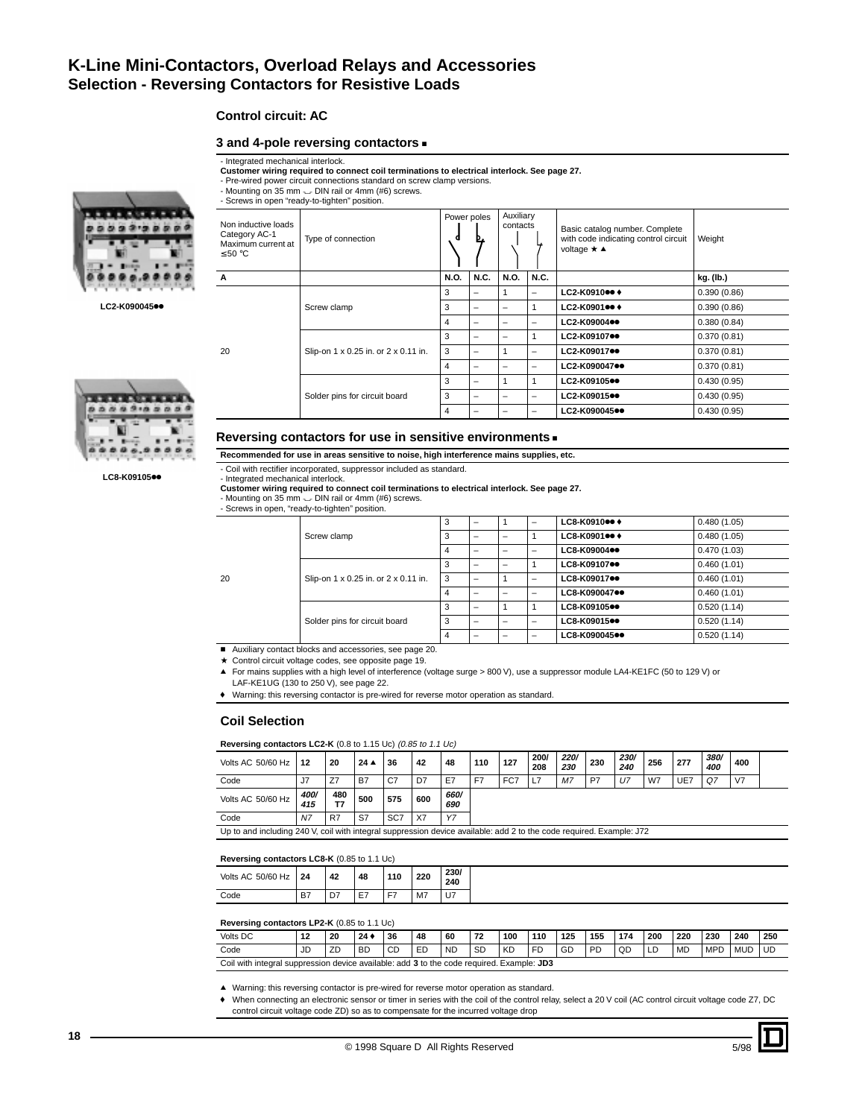# **K-Line Mini-Contactors, Overload Relays and Accessories Selection - Reversing Contactors for Resistive Loads**

- Screws in open "ready-to-tighten" position.

### **Control circuit: AC**

20

- Integrated mechanical interlock.

#### **3 and 4-pole reversing contactors .**

- Pre-wired power circuit connections standard on screw clamp versions. - Mounting on 35 mm " DIN rail or 4mm (#6) screws.



**LC2-K090045**kk



| Non inductive loads<br>Category AC-1<br>Maximum current at<br>≤ 50 °C | Type of connection                   | Power poles |      | <b>AUXIII</b> dI V<br>contacts |                          | Basic catalog number. Complete<br>with code indicating control circuit<br>voltage $\star \blacktriangle$ | Weight      |
|-----------------------------------------------------------------------|--------------------------------------|-------------|------|--------------------------------|--------------------------|----------------------------------------------------------------------------------------------------------|-------------|
| A                                                                     |                                      | N.O.        | N.C. | N.O.                           | <b>N.C.</b>              |                                                                                                          | kg. (lb.)   |
|                                                                       |                                      | 3           | -    |                                | $\overline{\phantom{0}}$ | LC2-K0910●● ◆                                                                                            | 0.390(0.86) |
|                                                                       | Screw clamp                          | 3           |      |                                | 1                        | LC2-K090100 +                                                                                            | 0.390(0.86) |
|                                                                       |                                      | 4           |      |                                | -                        | LC2-K0900400                                                                                             | 0.380(0.84) |
|                                                                       |                                      | 3           |      |                                | 1                        | LC2-K0910700                                                                                             | 0.370(0.81) |
| 20                                                                    | Slip-on 1 x 0.25 in. or 2 x 0.11 in. | 3           | -    |                                | -                        | LC2-K0901700                                                                                             | 0.370(0.81) |
|                                                                       |                                      | 4           | -    |                                | -                        | LC2-K090047 <sup>ee</sup>                                                                                | 0.370(0.81) |
|                                                                       |                                      | 3           | -    |                                | 1                        | LC2-K0910500                                                                                             | 0.430(0.95) |
|                                                                       | Solder pins for circuit board        | 3           | -    | -                              | -                        | LC2-K0901500                                                                                             | 0.430(0.95) |
|                                                                       |                                      | 4           | -    |                                | -                        | LC2-K09004500                                                                                            | 0.430(0.95) |
|                                                                       |                                      |             |      |                                |                          |                                                                                                          |             |

**Power poles** Auxiliary

#### Reversing contactors for use in sensitive environments .

- Coil with rectifier incorporated, suppressor included as standard.

- Integrated mechanical interlock.

**Recommended for use in areas sensitive to noise, high interference mains supplies, etc.**

Customer wiring required to connect coil terminations to electrical interlock. See page 27.<br>
- Mounting on 35 mm . Dibl rail or 4mm (#6) screws

**Customer wiring required to connect coil terminations to electrical interlock. See page 27.**

LC8-K09105<sup>e</sup>

|    | - Mounting on 35 mm $\sim$ DIN rail or 4mm (#6) screws.<br>- Screws in open, "ready-to-tighten" position. |                |   |  |                           |             |
|----|-----------------------------------------------------------------------------------------------------------|----------------|---|--|---------------------------|-------------|
|    |                                                                                                           | 3              |   |  | LC8-K091000 +             | 0.480(1.05) |
|    | Screw clamp                                                                                               | 3              | - |  | LC8-K0901●● ◆             | 0.480(1.05) |
|    |                                                                                                           | $\overline{4}$ | - |  | LC8-K0900400              | 0.470(1.03) |
| 20 |                                                                                                           | 3              |   |  | LC8-K09107 <sup>e</sup>   | 0.460(1.01) |
|    | Slip-on 1 x 0.25 in. or 2 x 0.11 in.                                                                      | 3              | - |  | LC8-K0901700              | 0.460(1.01) |
|    |                                                                                                           | $\overline{4}$ | - |  | LC8-K090047 <sup>ee</sup> | 0.460(1.01) |
|    |                                                                                                           | 3              | - |  | LC8-K0910500              | 0.520(1.14) |
|    | Solder pins for circuit board                                                                             | 3              | - |  | LC8-K0901500              | 0.520(1.14) |
|    |                                                                                                           | $\overline{4}$ | - |  | LC8-K090045               | 0.520(1.14) |

Auxiliary contact blocks and accessories, see page 20.

\* Control circuit voltage codes, see opposite page 19.

■ For mains supplies with a high level of interference (voltage surge > 800 V), use a suppressor module LA4-KE1FC (50 to 129 V) or LAF-KE1UG (130 to 250 V), see page 22.

**Warning: this reversing contactor is pre-wired for reverse motor operation as standard.** 

#### **Coil Selection**

#### **Reversing contactors LC2-K** (0.8 to 1.15 Uc) (0.85 to 1.1 Uc)

| Volts AC 50/60 Hz | 12          | 20        | $24 \triangle$ | 36              | 42   | 48          | 110 | 127 | 200/<br>208 | 220/<br>230 | 230            | 230/<br>240 | 256 | 277 | 380/<br>400 | 400            |  |
|-------------------|-------------|-----------|----------------|-----------------|------|-------------|-----|-----|-------------|-------------|----------------|-------------|-----|-----|-------------|----------------|--|
| Code              | J           |           | B7             | C7              | D7   | E7          | F7  | FC7 | 7           | M7          | P <sub>7</sub> | $U$ 7       | W7  | UE7 | Q7          | V <sub>7</sub> |  |
| Volts AC 50/60 Hz | 400/<br>415 | 480<br>T7 | 500            | 575             | 600  | 660/<br>690 |     |     |             |             |                |             |     |     |             |                |  |
| Code              | N7          | R7        | S7             | SC <sub>7</sub> | . X7 | Y7          |     |     |             |             |                |             |     |     |             |                |  |

Up to and including 240 V, coil with integral suppression device available: add 2 to the code required. Example: J72

#### **Reversing contactors LC8-K** (0.85 to 1.1 Uc)

| Volts AC 50/60 Hz | 24        | 42 | 48  | 110 | 220 | 230/ |
|-------------------|-----------|----|-----|-----|-----|------|
|                   |           |    |     |     |     | 240  |
| Code              | <b>B7</b> | D7 | . . | $-$ | M7  | . U7 |

#### **Reversing contactors LP2-K** (0.85 to 1.1 Uc)

|                                                                                           |    | .  |           |           |    |           |           |           |           |     |           |     |     |     |            |            |     |
|-------------------------------------------------------------------------------------------|----|----|-----------|-----------|----|-----------|-----------|-----------|-----------|-----|-----------|-----|-----|-----|------------|------------|-----|
| Volts DC                                                                                  | 12 | 20 | 24        | 36        | 48 | 60        | 72<br>. . | 100       | 110       | 125 | 155       | 174 | 200 | 220 | 230        | 240        | 250 |
| Code                                                                                      | JD | ZD | <b>BD</b> | <b>CD</b> | ED | <b>ND</b> | SD        | <b>KD</b> | <b>FD</b> | GD  | <b>PD</b> | QD  | LD  | MD  | <b>MPD</b> | <b>MUD</b> | UD  |
| Coil with integral suppression device available: add 3 to the code required. Example: JD3 |    |    |           |           |    |           |           |           |           |     |           |     |     |     |            |            |     |

▲ Warning: this reversing contactor is pre-wired for reverse motor operation as standard.

fWhen connecting an electronic sensor or timer in series with the coil of the control relay, select a 20 V coil (AC control circuit voltage code Z7, DC control circuit voltage code ZD) so as to compensate for the incurred voltage drop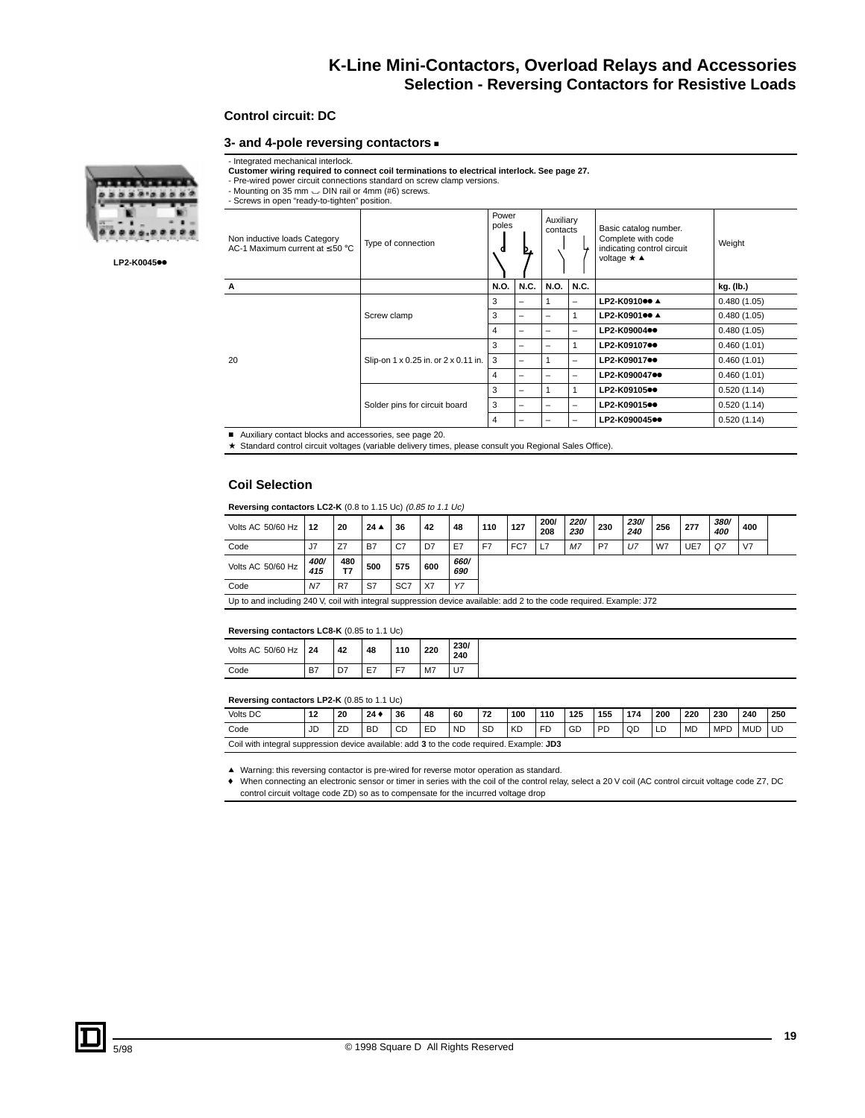# **K-Line Mini-Contactors, Overload Relays and Accessories Selection - Reversing Contactors for Resistive Loads**

### **Control circuit: DC**

- Integrated mechanical interlock.

#### **3- and 4-pole reversing contactors .**

- Pre-wired power circuit connections standard on screw clamp versions. - Mounting on 35 mm " DIN rail or 4mm (#6) screws.



**LP2-K0045**kk

| - Screws in open "ready-to-tighten" position.                        |                                      |                     |                          |                          |                          |                                                                                                             |             |
|----------------------------------------------------------------------|--------------------------------------|---------------------|--------------------------|--------------------------|--------------------------|-------------------------------------------------------------------------------------------------------------|-------------|
| Non inductive loads Category<br>AC-1 Maximum current at $\leq 50$ °C | Type of connection                   | Power<br>poles<br>đ | P.                       | Auxiliary<br>contacts    |                          | Basic catalog number.<br>Complete with code<br>indicating control circuit<br>voltage $\star \blacktriangle$ | Weight      |
| A                                                                    |                                      | N.O.                | <b>N.C.</b>              | N.O.                     | <b>N.C.</b>              |                                                                                                             | kg. (lb.)   |
|                                                                      |                                      | 3                   | $\overline{\phantom{0}}$ |                          | $\overline{\phantom{0}}$ | LP2-K0910●● ▲                                                                                               | 0.480(1.05) |
|                                                                      | Screw clamp                          | 3                   |                          |                          |                          | LP2-K0901●● ▲                                                                                               | 0.480(1.05) |
|                                                                      |                                      | 4                   | $\overline{\phantom{0}}$ | -                        | $\overline{\phantom{0}}$ | LP2-K0900400                                                                                                | 0.480(1.05) |
|                                                                      |                                      | 3                   |                          | -                        |                          | LP2-K0910700                                                                                                | 0.460(1.01) |
| 20                                                                   | Slip-on 1 x 0.25 in. or 2 x 0.11 in. | 3                   | $\overline{\phantom{0}}$ |                          | $\overline{\phantom{0}}$ | LP2-K0901700                                                                                                | 0.460(1.01) |
|                                                                      |                                      | 4                   | $\overline{\phantom{0}}$ | $\overline{\phantom{0}}$ | $\overline{\phantom{0}}$ | LP2-K09004700                                                                                               | 0.460(1.01) |
|                                                                      |                                      | 3                   | $\overline{\phantom{0}}$ |                          |                          | LP2-K0910500                                                                                                | 0.520(1.14) |
|                                                                      | Solder pins for circuit board        | 3                   |                          |                          | $\overline{\phantom{0}}$ | LP2-K0901500                                                                                                | 0.520(1.14) |
|                                                                      |                                      | 4                   |                          |                          |                          | LP2-K09004500                                                                                               | 0.520(1.14) |
|                                                                      |                                      |                     |                          |                          |                          |                                                                                                             |             |

Auxiliary contact blocks and accessories, see page 20.

\* Standard control circuit voltages (variable delivery times, please consult you Regional Sales Office).

**Customer wiring required to connect coil terminations to electrical interlock. See page 27.**

#### **Coil Selection**

#### **Reversing contactors LC2-K** (0.8 to 1.15 Uc) (0.85 to 1.1 Uc)

| Volts AC 50/60 Hz                                                                                                    | 12          | 20        | $24 \triangle$ | 36              | 42  | 48          | 110 | 127 | 200/<br>208 | 220/<br>230 | 230 | 230/<br>240 | 256 | 277 | 380/<br>400 | 400            |  |
|----------------------------------------------------------------------------------------------------------------------|-------------|-----------|----------------|-----------------|-----|-------------|-----|-----|-------------|-------------|-----|-------------|-----|-----|-------------|----------------|--|
| Code                                                                                                                 | J7          |           | <b>B7</b>      | C7              | D7  | E7          | F7  | FC7 | L7          | M7          | P7  | U7          | W7  | UE7 | Q7          | V <sub>7</sub> |  |
| Volts AC 50/60 Hz                                                                                                    | 400/<br>415 | 480<br>T7 | 500            | 575             | 600 | 660/<br>690 |     |     |             |             |     |             |     |     |             |                |  |
| Code                                                                                                                 | N7          | R7        | S7             | SC <sub>7</sub> | X7  | Y7          |     |     |             |             |     |             |     |     |             |                |  |
| Up to and including 240 V, coil with integral suppression device available: add 2 to the code required. Example: J72 |             |           |                |                 |     |             |     |     |             |             |     |             |     |     |             |                |  |

#### **Reversing contactors LC8-K** (0.85 to 1.1 Uc)

| Volts AC 50/60 Hz   24 | 42 | 48 | 110 | 220 | 230/<br>240 |
|------------------------|----|----|-----|-----|-------------|
| Code                   |    |    |     | M7  |             |

#### **Reversing contactors LP2-K** (0.85 to 1.1 Uc)

| Volts DC                                                                                  | 12 | 20 | 24 <sub>0</sub> | 36 | 48 | 60        | 72        | 100       | 110 | 125 | 155 | 174 | 200 | 220 | 230        | 240        | 250 |
|-------------------------------------------------------------------------------------------|----|----|-----------------|----|----|-----------|-----------|-----------|-----|-----|-----|-----|-----|-----|------------|------------|-----|
| Code                                                                                      | JD | ZD | <b>BD</b>       | СD | ED | <b>ND</b> | <b>SD</b> | <b>KD</b> | FD  | GD  | PD  | QD  | ᄔ   | MD  | <b>MPD</b> | <b>MUD</b> | UD  |
| Coil with integral suppression device available: add 3 to the code required. Example: JD3 |    |    |                 |    |    |           |           |           |     |     |     |     |     |     |            |            |     |

 $\blacktriangle$ Warning: this reversing contactor is pre-wired for reverse motor operation as standard.

 $\bullet$  When connecting an electronic sensor or timer in series with the coil of the control relay, select a 20 V coil (AC control circuit voltage code Z7, DC control circuit voltage code ZD) so as to compensate for the incurred voltage drop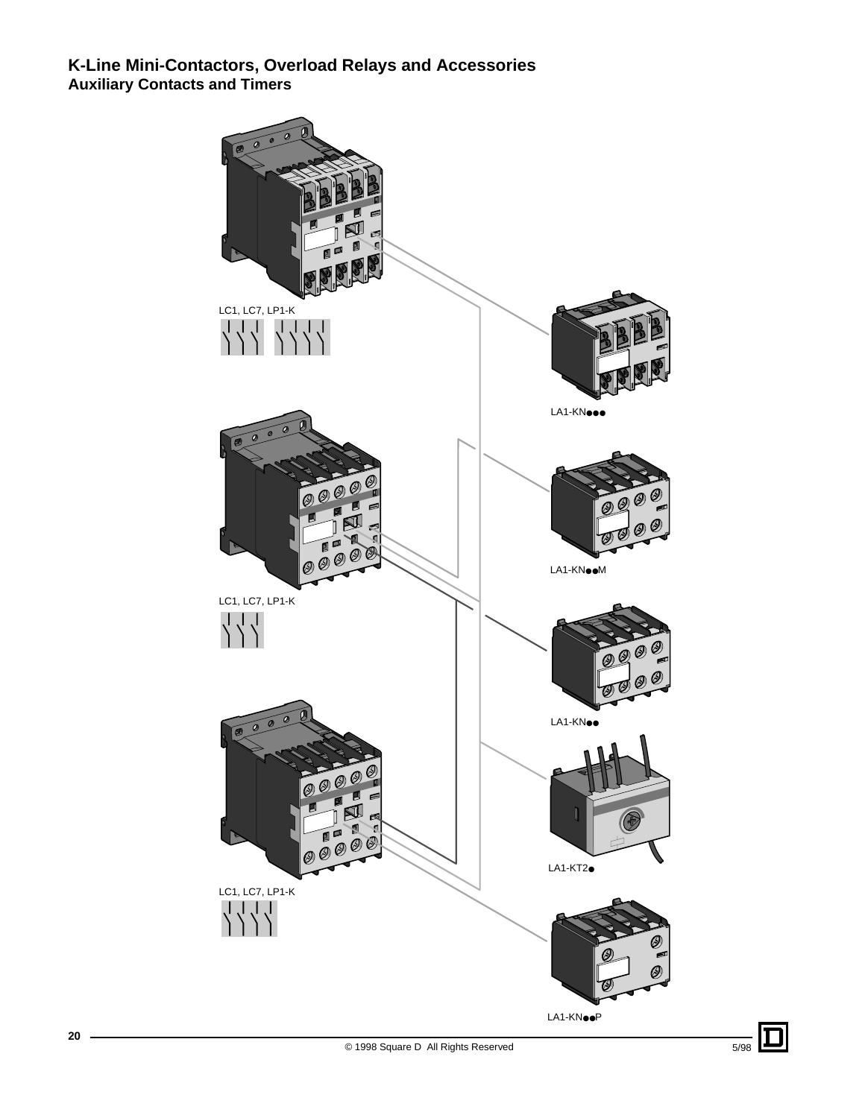**K-Line Mini-Contactors, Overload Relays and Accessories Auxiliary Contacts and Timers**

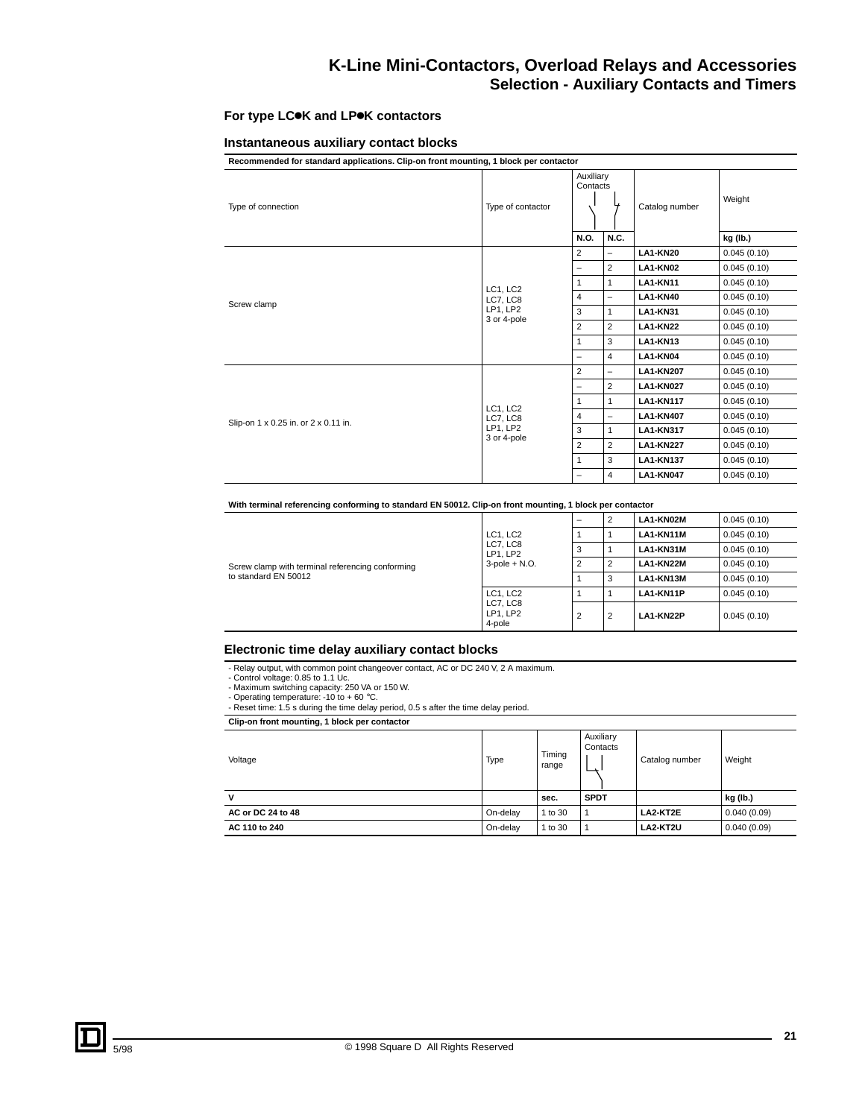# **K-Line Mini-Contactors, Overload Relays and Accessories Selection - Auxiliary Contacts and Timers**

### For type LC<sup>OK</sup> and LP<sup>OK</sup> contactors

#### **Instantaneous auxiliary contact blocks**

| Recommended for standard applications. Clip-on front mounting, 1 block per contactor |                                                 |                   |                          |                  |             |
|--------------------------------------------------------------------------------------|-------------------------------------------------|-------------------|--------------------------|------------------|-------------|
|                                                                                      | Type of contactor                               |                   | Auxiliary<br>Contacts    |                  |             |
| Type of connection                                                                   |                                                 |                   |                          | Catalog number   | Weight      |
|                                                                                      |                                                 | N.O.              | N.C.                     |                  | kg (lb.)    |
|                                                                                      |                                                 | 2                 | $\qquad \qquad -$        | <b>LA1-KN20</b>  | 0.045(0.10) |
|                                                                                      |                                                 |                   | 2                        | <b>LA1-KN02</b>  | 0.045(0.10) |
|                                                                                      | LC1, LC2<br>LC7, LC8<br>LP1. LP2<br>3 or 4-pole | 1                 | $\mathbf{1}$             | <b>LA1-KN11</b>  | 0.045(0.10) |
| Screw clamp                                                                          |                                                 | 4                 | $\qquad \qquad -$        | <b>LA1-KN40</b>  | 0.045(0.10) |
|                                                                                      |                                                 | 3                 | $\mathbf{1}$             | <b>LA1-KN31</b>  | 0.045(0.10) |
|                                                                                      |                                                 | $\overline{2}$    | $\overline{2}$           | <b>LA1-KN22</b>  | 0.045(0.10) |
|                                                                                      |                                                 | $\mathbf{1}$      | 3                        | <b>LA1-KN13</b>  | 0.045(0.10) |
|                                                                                      |                                                 | $\qquad \qquad -$ | 4                        | LA1-KN04         | 0.045(0.10) |
|                                                                                      |                                                 | 2                 | $\qquad \qquad -$        | <b>LA1-KN207</b> | 0.045(0.10) |
|                                                                                      |                                                 | $\qquad \qquad -$ | $\overline{2}$           | <b>LA1-KN027</b> | 0.045(0.10) |
|                                                                                      | LC1. LC2                                        | $\mathbf{1}$      | 1                        | <b>LA1-KN117</b> | 0.045(0.10) |
| Slip-on 1 x 0.25 in. or 2 x 0.11 in.                                                 | LC7. LC8                                        | $\overline{4}$    | $\overline{\phantom{a}}$ | <b>LA1-KN407</b> | 0.045(0.10) |
|                                                                                      | LP1. LP2<br>3 or 4-pole                         | 3                 | $\mathbf{1}$             | <b>LA1-KN317</b> | 0.045(0.10) |
|                                                                                      |                                                 | $\overline{2}$    | $\overline{2}$           | <b>LA1-KN227</b> | 0.045(0.10) |
|                                                                                      |                                                 | $\mathbf{1}$      | 3                        | <b>LA1-KN137</b> | 0.045(0.10) |
|                                                                                      |                                                 |                   | $\overline{4}$           | <b>LA1-KN047</b> | 0.045(0.10) |

**With terminal referencing conforming to standard EN 50012. Clip-on front mounting, 1 block per contactor**

|                                                  |                                        | $\overline{\phantom{0}}$ | $\overline{2}$ | LA1-KN02M | 0.045(0.10) |
|--------------------------------------------------|----------------------------------------|--------------------------|----------------|-----------|-------------|
|                                                  | LC1. LC2                               |                          |                | LA1-KN11M | 0.045(0.10) |
|                                                  | LC7. LC8<br>LP1.LP2<br>$3-pole + N.O.$ | 3                        |                | LA1-KN31M | 0.045(0.10) |
| Screw clamp with terminal referencing conforming |                                        | 2                        | $\overline{2}$ | LA1-KN22M | 0.045(0.10) |
| to standard EN 50012                             |                                        |                          | 3              | LA1-KN13M | 0.045(0.10) |
|                                                  | LC1. LC2                               |                          |                | LA1-KN11P | 0.045(0.10) |
|                                                  | LC7. LC8<br>LP1. LP2<br>4-pole         | 2                        | $\overline{2}$ | LA1-KN22P | 0.045(0.10) |

#### **Electronic time delay auxiliary contact blocks**

- Relay output, with common point changeover contact, AC or DC 240 V, 2 A maximum.<br>- Control voltage: 0.85 to 1.1 Uc.<br>- Maximum switching capacity: 250 VA or 150 W.<br>- Operating temperature: -10 to + 60 ℃.<br>- Reset time: 1.

**Clip-on front mounting, 1 block per contactor**

| Voltage           | Type     | Timing<br>range | Auxiliary<br>Contacts | Catalog number | Weight      |
|-------------------|----------|-----------------|-----------------------|----------------|-------------|
| V                 |          | sec.            | <b>SPDT</b>           |                | kg (lb.)    |
| AC or DC 24 to 48 | On-delay | 1 to 30         |                       | LA2-KT2E       | 0.040(0.09) |
| AC 110 to 240     | On-delay | 1 to 30         |                       | LA2-KT2U       | 0.040(0.09) |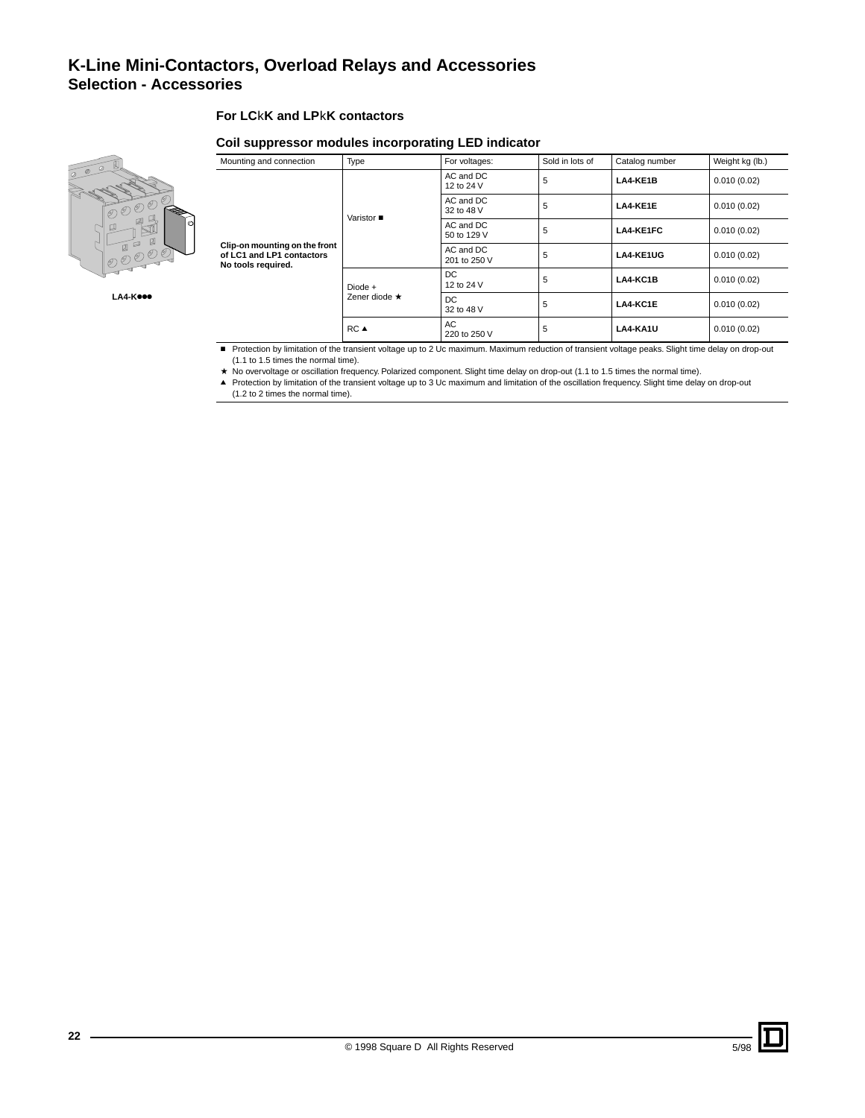# **K-Line Mini-Contactors, Overload Relays and Accessories Selection - Accessories**

# **For LC**k**K and LP**k**K contactors**

### **Coil suppressor modules incorporating LED indicator**



LA4-Keee

| Mounting and connection                                                          | Type                           | For voltages:             | Sold in lots of | Catalog number | Weight kg (lb.) |
|----------------------------------------------------------------------------------|--------------------------------|---------------------------|-----------------|----------------|-----------------|
| Clip-on mounting on the front<br>of LC1 and LP1 contactors<br>No tools required. | Varistor $\blacksquare$        | AC and DC<br>12 to 24 V   | 5               | LA4-KE1B       | 0.010(0.02)     |
|                                                                                  |                                | AC and DC<br>32 to 48 V   | 5               | LA4-KE1E       | 0.010(0.02)     |
|                                                                                  |                                | AC and DC<br>50 to 129 V  | 5               | LA4-KE1FC      | 0.010(0.02)     |
|                                                                                  |                                | AC and DC<br>201 to 250 V | 5               | LA4-KE1UG      | 0.010(0.02)     |
|                                                                                  | Diode +<br>Zener diode $\star$ | DC.<br>12 to 24 V         | 5               | LA4-KC1B       | 0.010(0.02)     |
|                                                                                  |                                | DC.<br>32 to 48 V         | 5               | LA4-KC1E       | 0.010(0.02)     |
|                                                                                  | $RC$ $\triangle$               | AC.<br>220 to 250 V       | 5               | LA4-KA1U       | 0.010(0.02)     |

■ Protection by limitation of the transient voltage up to 2 Uc maximum. Maximum reduction of transient voltage peaks. Slight time delay on drop-out (1.1 to 1.5 times the normal time).

\* No overvoltage or oscillation frequency. Polarized component. Slight time delay on drop-out (1.1 to 1.5 times the normal time).

■ Protection by limitation of the transient voltage up to 3 Uc maximum and limitation of the oscillation frequency. Slight time delay on drop-out (1.2 to 2 times the normal time).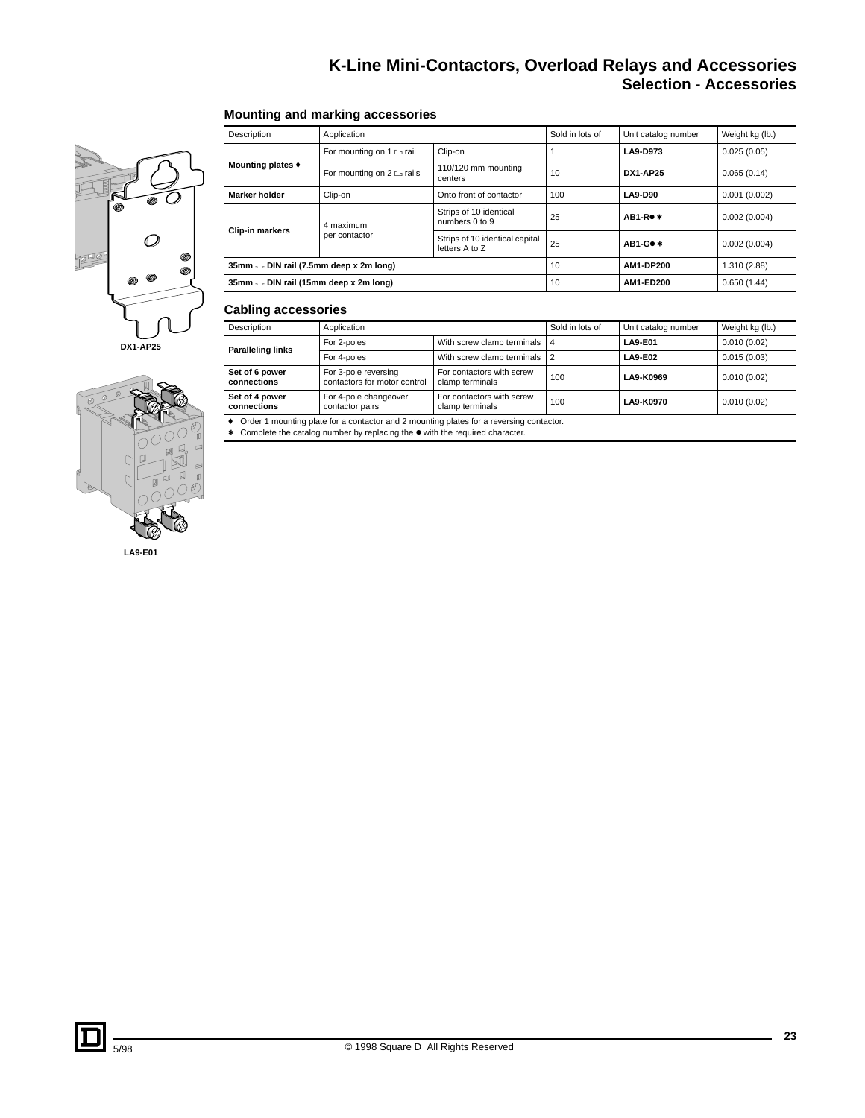# **K-Line Mini-Contactors, Overload Relays and Accessories Selection - Accessories**

# **Mounting and marking accessories**



| Description                                | Application                                |                                                  | Sold in lots of | Unit catalog number  | Weight kg (lb.) |
|--------------------------------------------|--------------------------------------------|--------------------------------------------------|-----------------|----------------------|-----------------|
|                                            | Clip-on<br>For mounting on $1 \sqcup$ rail |                                                  | LA9-D973        | 0.025(0.05)          |                 |
| Mounting plates ♦                          | For mounting on $2 \sqcup$ rails           | 110/120 mm mounting<br>centers                   | 10              | <b>DX1-AP25</b>      | 0.065(0.14)     |
| Marker holder                              | Clip-on                                    | Onto front of contactor                          | 100             | <b>LA9-D90</b>       | 0.001(0.002)    |
| Clip-in markers                            | 4 maximum<br>per contactor                 | Strips of 10 identical<br>numbers 0 to 9         | 25              | $AB1-R$ $*$          | 0.002(0.004)    |
|                                            |                                            | Strips of 10 identical capital<br>letters A to Z | 25              | $AB1-G$ <sup>*</sup> | 0.002(0.004)    |
| 35mm  DIN rail (7.5mm deep x 2m long)      |                                            |                                                  | 10              | AM1-DP200            | 1.310 (2.88)    |
| 35mm $\sim$ DIN rail (15mm deep x 2m long) |                                            |                                                  | 10              | <b>AM1-ED200</b>     | 0.650(1.44)     |

### **Cabling accessories**

| Description                   | Application                                          |                                              | Sold in lots of | Unit catalog number | Weight kg (lb.) |
|-------------------------------|------------------------------------------------------|----------------------------------------------|-----------------|---------------------|-----------------|
| Paralleling links             | For 2-poles<br>With screw clamp terminals   4        |                                              | <b>LA9-E01</b>  | 0.010(0.02)         |                 |
|                               | For 4-poles                                          | With screw clamp terminals                   |                 | <b>LA9-E02</b>      | 0.015(0.03)     |
| Set of 6 power<br>connections | For 3-pole reversing<br>contactors for motor control | For contactors with screw<br>clamp terminals | 100             | LA9-K0969           | 0.010(0.02)     |
| Set of 4 power<br>connections | For 4-pole changeover<br>contactor pairs             | For contactors with screw<br>clamp terminals | 100             | LA9-K0970           | 0.010(0.02)     |

f Order 1 mounting plate for a contactor and 2 mounting plates for a reversing contactor. \* Complete the catalog number by replacing the  $\bullet$  with the required character.



**LA9-E01**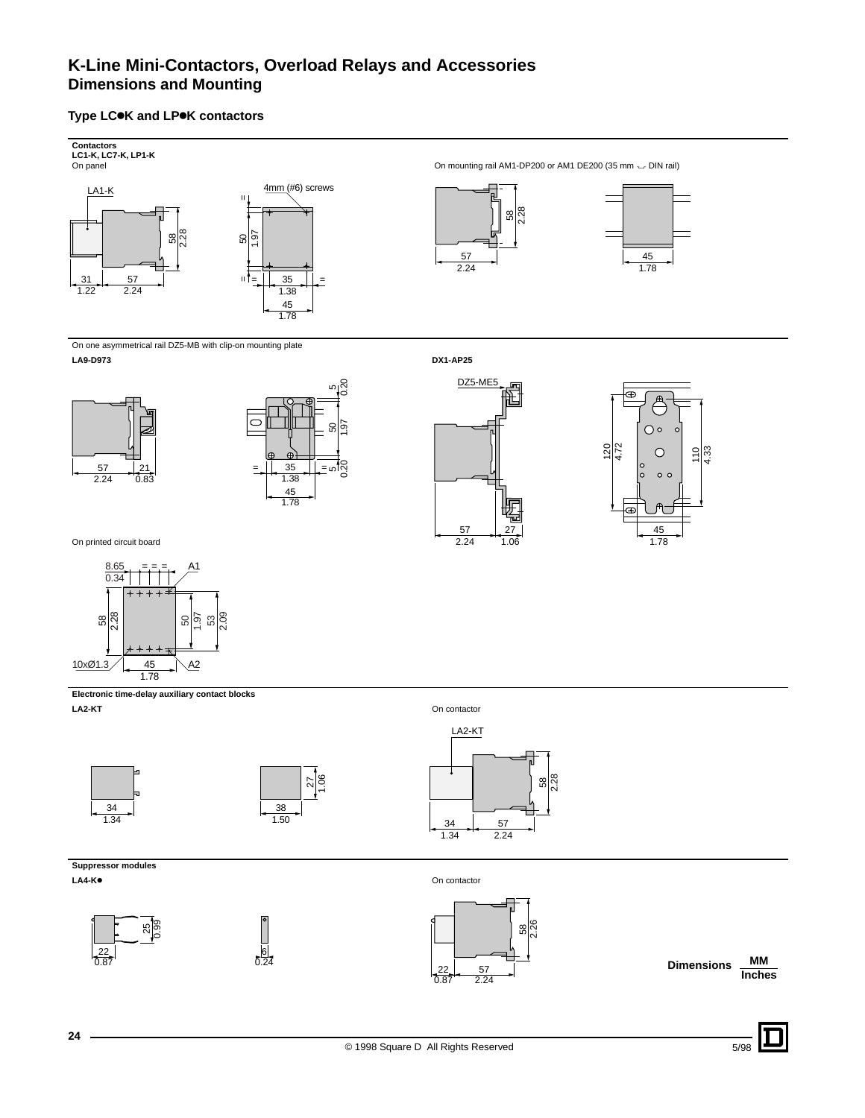# **K-Line Mini-Contactors, Overload Relays and Accessories Dimensions and Mounting**

# Type LC $\bullet$ K and LP $\bullet$ K contactors





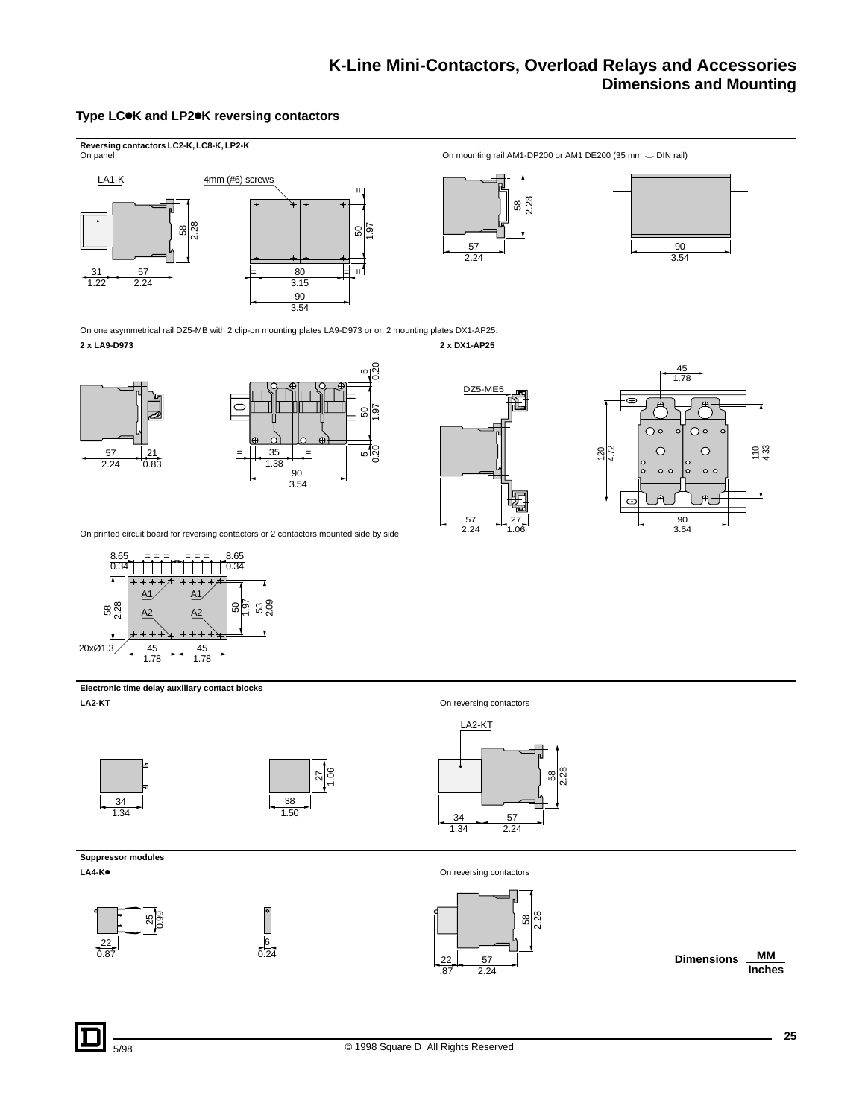### Type LC<sup>OK</sup> and LP2<sup>O</sup>K reversing contactors



1.97 0.20

On one asymmetrical rail DZ5-MB with 2 clip-on mounting plates LA9-D973 or on 2 mounting plates DX1-AP25. **2 x LA9-D973 2 x DX1-AP25**









On printed circuit board for reversing contactors or 2 contactors mounted side by side



**Electronic time delay auxiliary contact blocks LA2-KT** On reversing contactors





**Suppressor modules LA4-K●** On reversing contactors





1.06



 $.8777924$ 

**MM Inches Dimensions**

**25**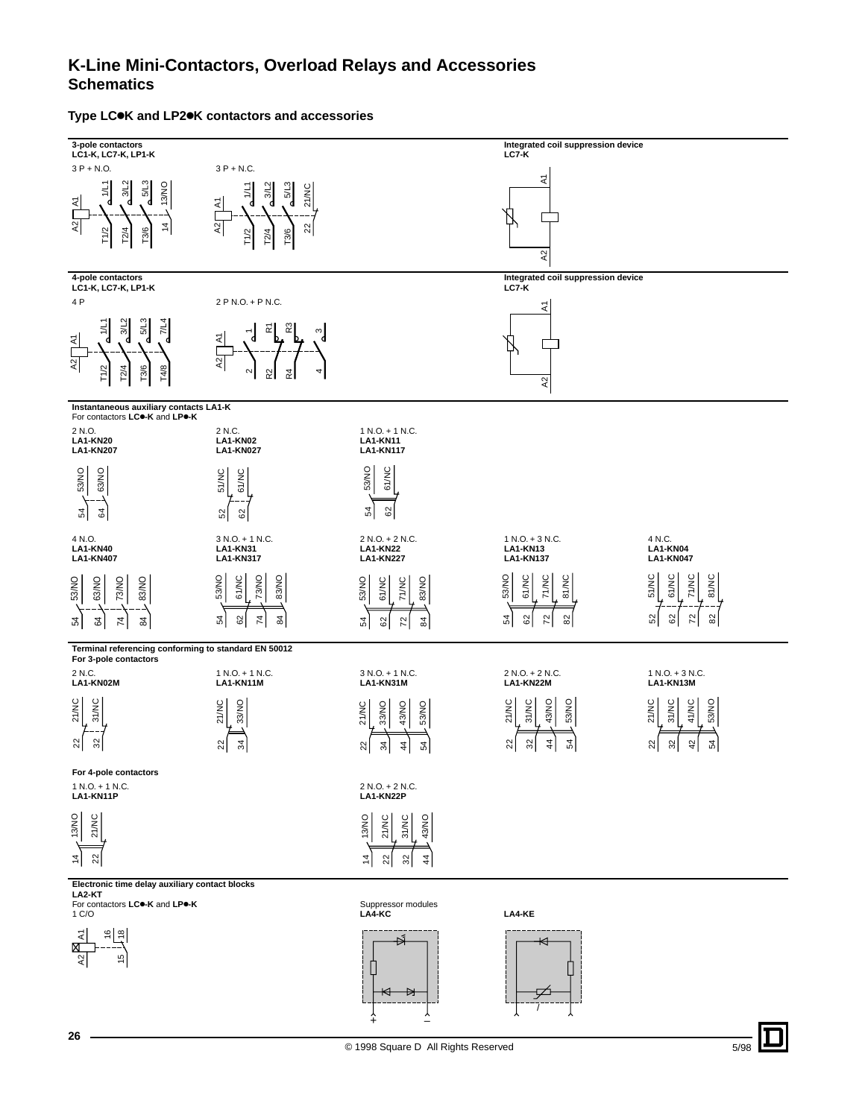#### Type LC<sup>OK</sup> and LP2<sup>OK</sup> contactors and accessories



© 1998 Square D All Rights Reserved

5/98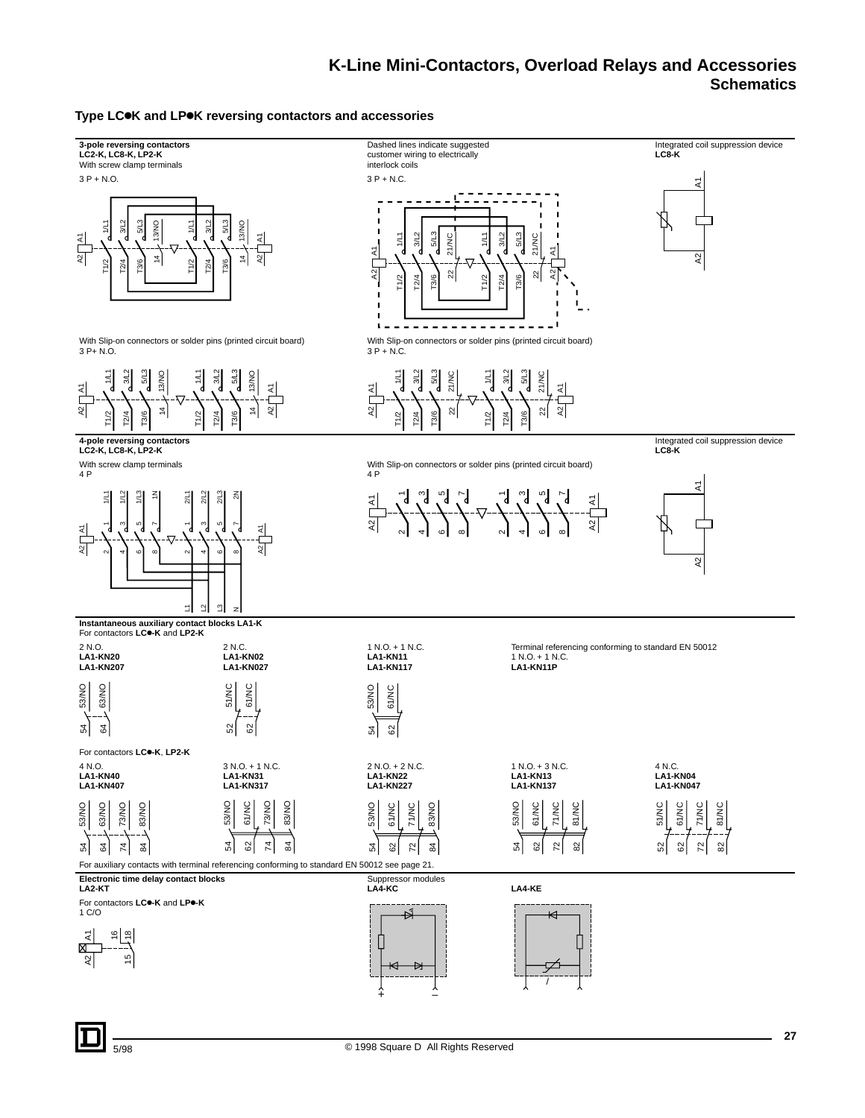### Type LC<sup>OK</sup> and LPOK reversing contactors and accessories

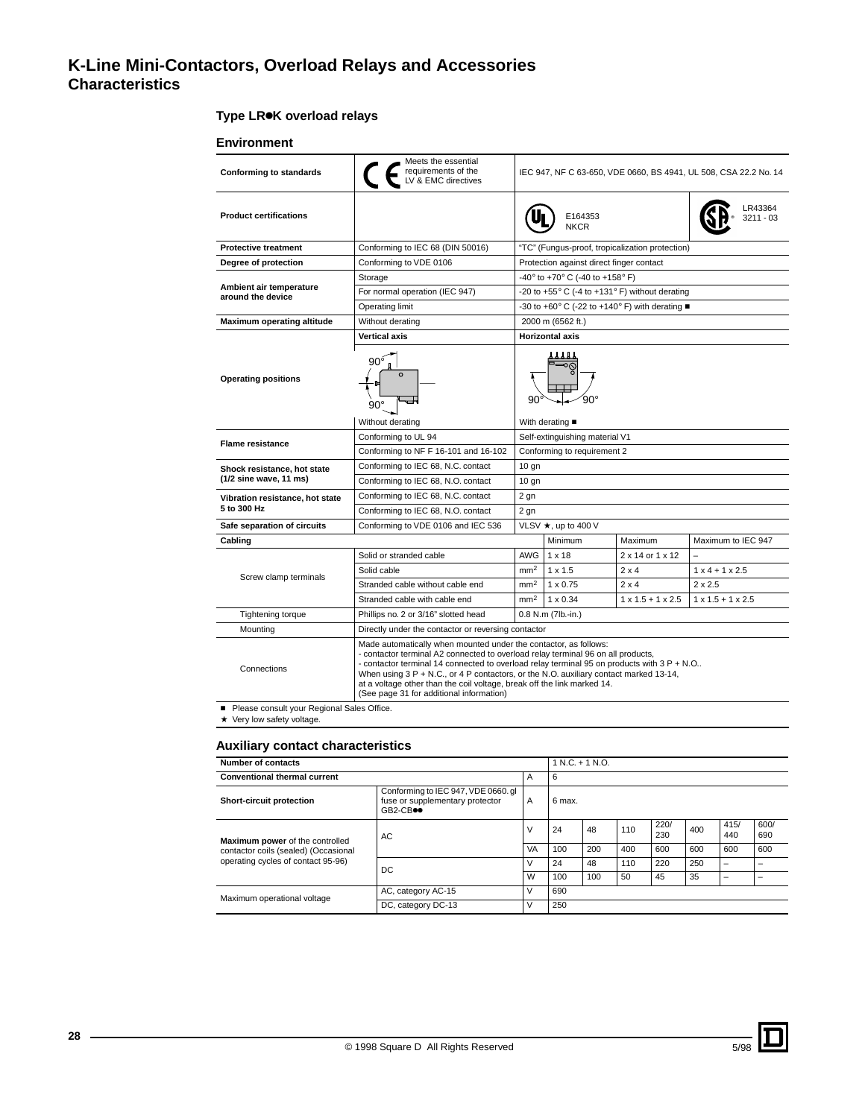# Type LR<sup>OK</sup> overload relays

### **Environment**

| <b>Conforming to standards</b>               | Meets the essential<br>requirements of the<br>LV & EMC directives                                                                                                                                                                                                                                                                                                                                                                                                      | IEC 947, NF C 63-650, VDE 0660, BS 4941, UL 508, CSA 22.2 No. 14 |                                                                                 |                               |                        |
|----------------------------------------------|------------------------------------------------------------------------------------------------------------------------------------------------------------------------------------------------------------------------------------------------------------------------------------------------------------------------------------------------------------------------------------------------------------------------------------------------------------------------|------------------------------------------------------------------|---------------------------------------------------------------------------------|-------------------------------|------------------------|
| <b>Product certifications</b>                |                                                                                                                                                                                                                                                                                                                                                                                                                                                                        | E164353<br><b>NKCR</b>                                           |                                                                                 |                               | LR43364<br>$3211 - 03$ |
| <b>Protective treatment</b>                  | Conforming to IEC 68 (DIN 50016)                                                                                                                                                                                                                                                                                                                                                                                                                                       |                                                                  | "TC" (Fungus-proof, tropicalization protection)                                 |                               |                        |
| Degree of protection                         | Conforming to VDE 0106                                                                                                                                                                                                                                                                                                                                                                                                                                                 |                                                                  | Protection against direct finger contact                                        |                               |                        |
|                                              | Storage                                                                                                                                                                                                                                                                                                                                                                                                                                                                |                                                                  | -40° to +70° C (-40 to +158° F)                                                 |                               |                        |
| Ambient air temperature<br>around the device | For normal operation (IEC 947)                                                                                                                                                                                                                                                                                                                                                                                                                                         |                                                                  | -20 to +55 $\degree$ C (-4 to +131 $\degree$ F) without derating                |                               |                        |
|                                              | Operating limit                                                                                                                                                                                                                                                                                                                                                                                                                                                        |                                                                  | -30 to +60 $^{\circ}$ C (-22 to +140 $^{\circ}$ F) with derating $\blacksquare$ |                               |                        |
| <b>Maximum operating altitude</b>            | Without derating                                                                                                                                                                                                                                                                                                                                                                                                                                                       |                                                                  | 2000 m (6562 ft.)                                                               |                               |                        |
|                                              | <b>Vertical axis</b>                                                                                                                                                                                                                                                                                                                                                                                                                                                   |                                                                  | <b>Horizontal axis</b>                                                          |                               |                        |
| <b>Operating positions</b>                   | $90^\circ$<br>$90^{\circ}$                                                                                                                                                                                                                                                                                                                                                                                                                                             |                                                                  |                                                                                 |                               |                        |
|                                              | Without derating                                                                                                                                                                                                                                                                                                                                                                                                                                                       | With derating ■                                                  |                                                                                 |                               |                        |
| <b>Flame resistance</b>                      | Conforming to UL 94                                                                                                                                                                                                                                                                                                                                                                                                                                                    | Self-extinguishing material V1                                   |                                                                                 |                               |                        |
|                                              | Conforming to NF F 16-101 and 16-102                                                                                                                                                                                                                                                                                                                                                                                                                                   |                                                                  | Conforming to requirement 2                                                     |                               |                        |
| Shock resistance, hot state                  | Conforming to IEC 68, N.C. contact                                                                                                                                                                                                                                                                                                                                                                                                                                     | 10 gn                                                            |                                                                                 |                               |                        |
| $(1/2)$ sine wave, 11 ms)                    | Conforming to IEC 68, N.O. contact                                                                                                                                                                                                                                                                                                                                                                                                                                     | $10$ gn                                                          |                                                                                 |                               |                        |
| Vibration resistance, hot state              | Conforming to IEC 68, N.C. contact                                                                                                                                                                                                                                                                                                                                                                                                                                     | $2$ gn                                                           |                                                                                 |                               |                        |
| 5 to 300 Hz                                  | Conforming to IEC 68, N.O. contact                                                                                                                                                                                                                                                                                                                                                                                                                                     | $2$ gn                                                           |                                                                                 |                               |                        |
| Safe separation of circuits                  | Conforming to VDE 0106 and IEC 536                                                                                                                                                                                                                                                                                                                                                                                                                                     |                                                                  | VLSV $\star$ , up to 400 V                                                      |                               |                        |
| Cabling                                      |                                                                                                                                                                                                                                                                                                                                                                                                                                                                        |                                                                  | Minimum                                                                         | Maximum                       | Maximum to IEC 947     |
|                                              | Solid or stranded cable                                                                                                                                                                                                                                                                                                                                                                                                                                                | <b>AWG</b>                                                       | $1 \times 18$                                                                   | 2 x 14 or 1 x 12              |                        |
| Screw clamp terminals                        | Solid cable                                                                                                                                                                                                                                                                                                                                                                                                                                                            | mm <sup>2</sup>                                                  | $1 \times 1.5$                                                                  | $2 \times 4$                  | $1 x 4 + 1 x 2.5$      |
|                                              | Stranded cable without cable end                                                                                                                                                                                                                                                                                                                                                                                                                                       | mm <sup>2</sup>                                                  | $1 \times 0.75$                                                                 | $2 \times 4$                  | $2 \times 2.5$         |
|                                              | Stranded cable with cable end                                                                                                                                                                                                                                                                                                                                                                                                                                          | mm <sup>2</sup>                                                  | $1 \times 0.34$                                                                 | $1 \times 1.5 + 1 \times 2.5$ | $1 x 1.5 + 1 x 2.5$    |
| <b>Tightening torque</b>                     | Phillips no. 2 or 3/16" slotted head                                                                                                                                                                                                                                                                                                                                                                                                                                   |                                                                  | 0.8 N.m (7lb.-in.)                                                              |                               |                        |
| Mounting                                     | Directly under the contactor or reversing contactor                                                                                                                                                                                                                                                                                                                                                                                                                    |                                                                  |                                                                                 |                               |                        |
| Connections                                  | Made automatically when mounted under the contactor, as follows:<br>- contactor terminal A2 connected to overload relay terminal 96 on all products,<br>- contactor terminal 14 connected to overload relay terminal 95 on products with $3P + N.O.$<br>When using $3P + N.C.,$ or $4P$ contactors, or the N.O. auxiliary contact marked 13-14,<br>at a voltage other than the coil voltage, break off the link marked 14.<br>(See page 31 for additional information) |                                                                  |                                                                                 |                               |                        |

■ Please consult your Regional Sales Office.<br>★ Very low safety voltage.

# **Auxiliary contact characteristics**

| Number of contacts                   |                                                                                    |        |        | $1 N.C. + 1 N.O.$ |     |             |     |             |             |
|--------------------------------------|------------------------------------------------------------------------------------|--------|--------|-------------------|-----|-------------|-----|-------------|-------------|
| <b>Conventional thermal current</b>  |                                                                                    | A      | 6      |                   |     |             |     |             |             |
| Short-circuit protection             | Conforming to IEC 947, VDE 0660. gl<br>fuse or supplementary protector<br>GB2-CBee | A      | 6 max. |                   |     |             |     |             |             |
| Maximum power of the controlled      | AC                                                                                 |        | 24     | 48                | 110 | 220/<br>230 | 400 | 415/<br>440 | 600/<br>690 |
| contactor coils (sealed) (Occasional |                                                                                    | VA     | 100    | 200               | 400 | 600         | 600 | 600         | 600         |
| operating cycles of contact 95-96)   | DC                                                                                 |        | 24     | 48                | 110 | 220         | 250 | -           |             |
|                                      |                                                                                    | W      | 100    | 100               | 50  | 45          | 35  | -           |             |
| Maximum operational voltage          | AC, category AC-15                                                                 | v      | 690    |                   |     |             |     |             |             |
|                                      | DC, category DC-13                                                                 | $\vee$ | 250    |                   |     |             |     |             |             |

П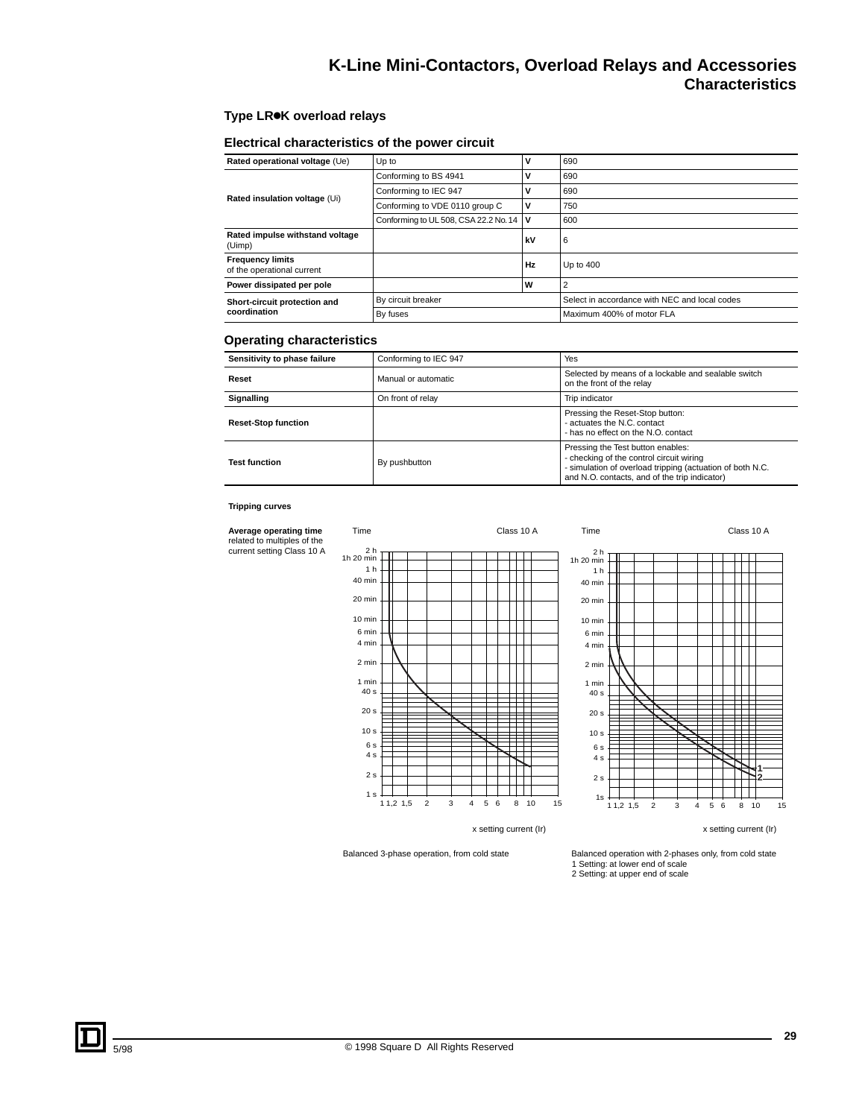### Type LR<sup>ok</sup> overload relays

#### **Electrical characteristics of the power circuit**

| Rated operational voltage (Ue)                        | Up to                                     | v         | 690                                           |  |
|-------------------------------------------------------|-------------------------------------------|-----------|-----------------------------------------------|--|
|                                                       | Conforming to BS 4941                     | ٧         | 690                                           |  |
| Rated insulation voltage (Ui)                         | Conforming to IEC 947                     | ν         | 690                                           |  |
|                                                       | Conforming to VDE 0110 group C            | ν         | 750                                           |  |
|                                                       | Conforming to UL 508, CSA 22.2 No. 14   V |           | 600                                           |  |
| Rated impulse withstand voltage<br>(Uimp)             |                                           | <b>kV</b> | 6                                             |  |
| <b>Frequency limits</b><br>of the operational current |                                           | Hz        | Up to $400$                                   |  |
| Power dissipated per pole                             |                                           | W         | 2                                             |  |
| Short-circuit protection and                          | By circuit breaker                        |           | Select in accordance with NEC and local codes |  |
| coordination                                          | By fuses                                  |           | Maximum 400% of motor FLA                     |  |

### **Operating characteristics**

| Sensitivity to phase failure | Conforming to IEC 947 | Yes                                                                                                                                                                                         |
|------------------------------|-----------------------|---------------------------------------------------------------------------------------------------------------------------------------------------------------------------------------------|
| Reset                        | Manual or automatic   | Selected by means of a lockable and sealable switch<br>on the front of the relay                                                                                                            |
| Signalling                   | On front of relay     | Trip indicator                                                                                                                                                                              |
| <b>Reset-Stop function</b>   |                       | Pressing the Reset-Stop button:<br>- actuates the N.C. contact<br>- has no effect on the N.O. contact                                                                                       |
| <b>Test function</b>         | By pushbutton         | Pressing the Test button enables:<br>- checking of the control circuit wiring<br>- simulation of overload tripping (actuation of both N.C.<br>and N.O. contacts, and of the trip indicator) |

#### **Tripping curves**



Balanced 3-phase operation, from cold state Balanced operation with 2-phases only, from cold state 1 Setting: at lower end of scale 2 Setting: at upper end of scale

 $\overline{\phantom{a}}$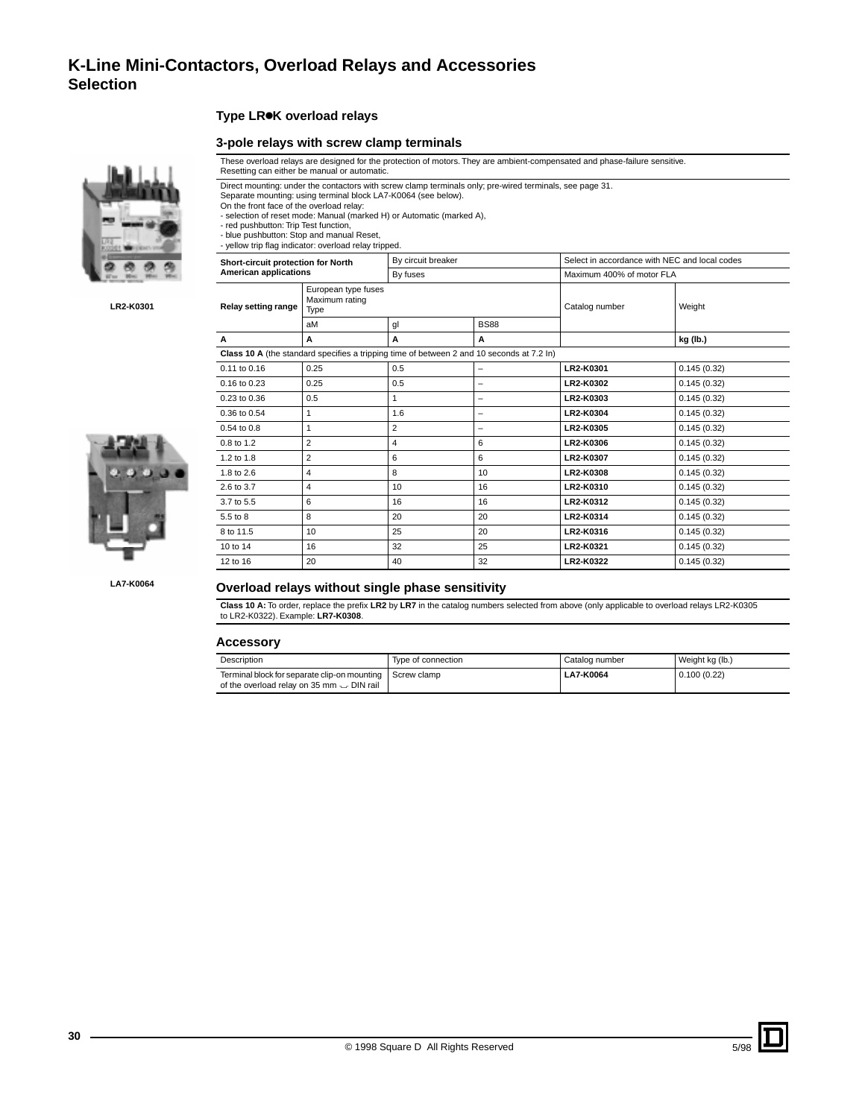# **K-Line Mini-Contactors, Overload Relays and Accessories Selection**

# Type LR<sup>OK</sup> overload relays

- red pushbutton: Trip Test function, - blue pushbutton: Stop and manual Reset, - yellow trip flag indicator: overload relay tripped.

#### **3-pole relays with screw clamp terminals**

Separate mounting: using terminal block LA7-K0064 (see below). On the front face of the overload relay: - selection of reset mode: Manual (marked H) or Automatic (marked A),



**LR2-K0301**



**LA7-K0064**

| Short-circuit protection for North |                                               | By circuit breaker                                                                        |                                | Select in accordance with NEC and local codes |             |  |
|------------------------------------|-----------------------------------------------|-------------------------------------------------------------------------------------------|--------------------------------|-----------------------------------------------|-------------|--|
| <b>American applications</b>       |                                               | By fuses                                                                                  |                                | Maximum 400% of motor FLA                     |             |  |
| Relay setting range                | European type fuses<br>Maximum rating<br>Type | Catalog number                                                                            |                                |                                               | Weight      |  |
|                                    | aM                                            | gl                                                                                        | <b>BS88</b>                    |                                               |             |  |
| A                                  | A                                             | A                                                                                         | A                              |                                               | kg (lb.)    |  |
|                                    |                                               | Class 10 A (the standard specifies a tripping time of between 2 and 10 seconds at 7.2 In) |                                |                                               |             |  |
| 0.11 to 0.16                       | 0.25                                          | 0.5                                                                                       |                                | LR2-K0301                                     | 0.145(0.32) |  |
| 0.16 to 0.23                       | 0.25                                          | 0.5                                                                                       | -                              | LR2-K0302                                     | 0.145(0.32) |  |
| 0.23 to 0.36                       | 0.5                                           | 1                                                                                         | $\qquad \qquad \longleftarrow$ | LR2-K0303                                     | 0.145(0.32) |  |
| 0.36 to 0.54                       | 1                                             | 1.6                                                                                       | $\qquad \qquad -$              | LR2-K0304                                     | 0.145(0.32) |  |
| 0.54 to 0.8                        | 1                                             | $\overline{2}$                                                                            | $\qquad \qquad -$              | LR2-K0305                                     | 0.145(0.32) |  |
| 0.8 to 1.2                         | $\overline{2}$                                | $\overline{4}$                                                                            | 6                              | LR2-K0306                                     | 0.145(0.32) |  |
| 1.2 to 1.8                         | $\overline{2}$                                | 6                                                                                         | 6                              | LR2-K0307                                     | 0.145(0.32) |  |
| 1.8 to 2.6                         | 4                                             | 8                                                                                         | 10                             | LR2-K0308                                     | 0.145(0.32) |  |
| 2.6 to 3.7                         | 4                                             | 10                                                                                        | 16                             | LR2-K0310                                     | 0.145(0.32) |  |
| 3.7 to 5.5                         | 6                                             | 16                                                                                        | 16                             | LR2-K0312                                     | 0.145(0.32) |  |
| 5.5 to 8                           | 8                                             | 20                                                                                        | 20                             | LR2-K0314                                     | 0.145(0.32) |  |
| 8 to 11.5                          | 10                                            | 25                                                                                        | 20                             | LR2-K0316                                     | 0.145(0.32) |  |
| 10 to 14                           | 16                                            | 32                                                                                        | 25                             | LR2-K0321                                     | 0.145(0.32) |  |
| 12 to 16                           | 20                                            | 40                                                                                        | 32                             | LR2-K0322                                     | 0.145(0.32) |  |

These overload relays are designed for the protection of motors. They are ambient-compensated and phase-failure sensitive. Resetting can either be manual or automatic.

Direct mounting: under the contactors with screw clamp terminals only; pre-wired terminals, see page 31.

#### **Overload relays without single phase sensitivity**

**Class 10 A:** To order, replace the prefix **LR2** by **LR7** in the catalog numbers selected from above (only applicable to overload relays LR2-K0305 to LR2-K0322). Example: **LR7-K0308**.

#### **Accessory**

| Description                                                                                                  | Type of connection | Catalog number   | Weight kg (lb.) |
|--------------------------------------------------------------------------------------------------------------|--------------------|------------------|-----------------|
| Terminal block for separate clip-on mounting   Screw clamp<br>of the overload relay on 35 mm $\sim$ DIN rail |                    | <b>LA7-K0064</b> | 0.100(0.22)     |

5/98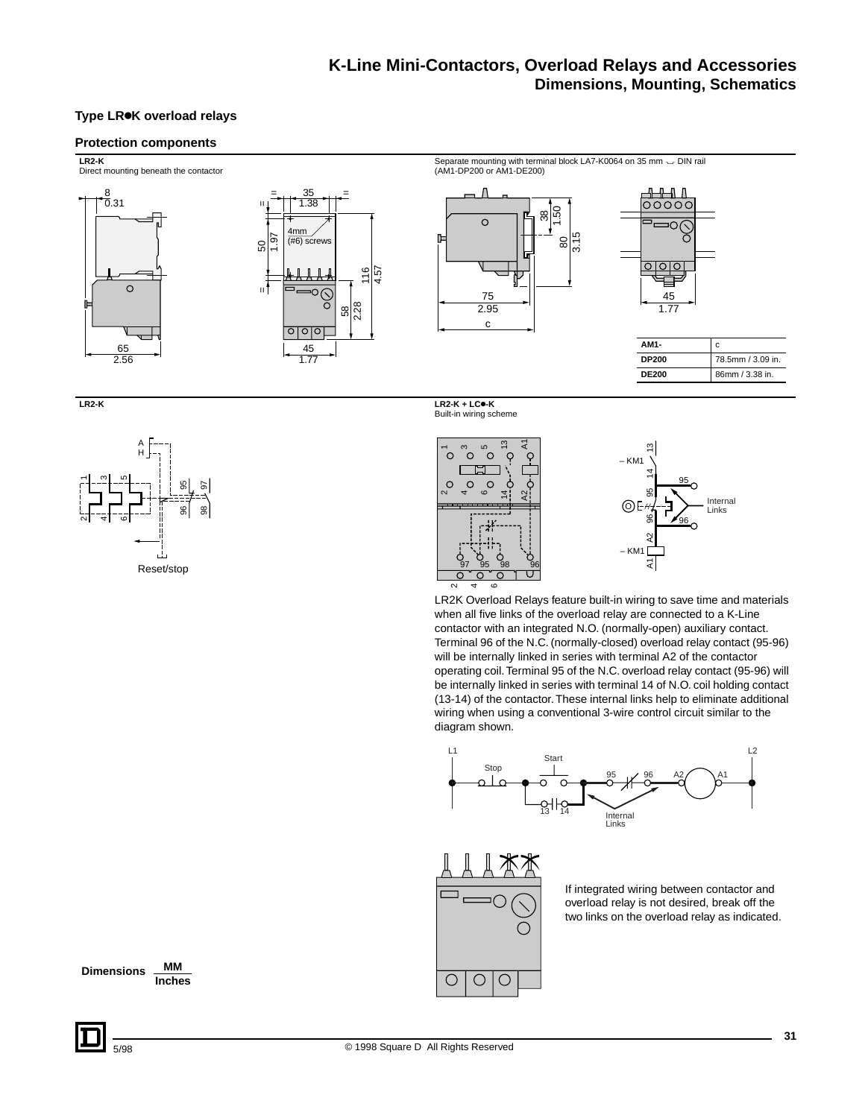### Type LR<sup>ok</sup> overload relays

#### **Protection components**









LR2K Overload Relays feature built-in wiring to save time and materials when all five links of the overload relay are connected to a K-Line contactor with an integrated N.O. (normally-open) auxiliary contact. Terminal 96 of the N.C. (normally-closed) overload relay contact (95-96) will be internally linked in series with terminal A2 of the contactor operating coil. Terminal 95 of the N.C. overload relay contact (95-96) will be internally linked in series with terminal 14 of N.O. coil holding contact (13-14) of the contactor. These internal links help to eliminate additional wiring when using a conventional 3-wire control circuit similar to the diagram shown.





If integrated wiring between contactor and overload relay is not desired, break off the two links on the overload relay as indicated.

**MM Inches Dimensions**

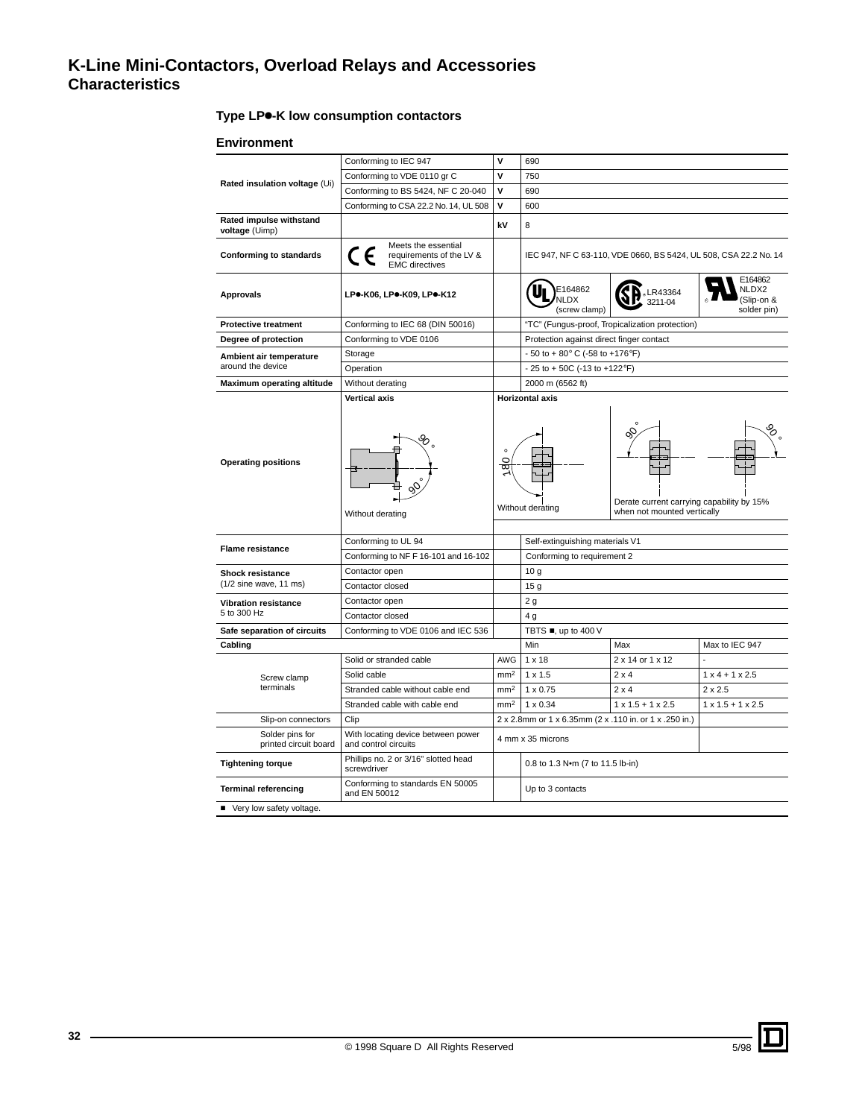# Type LP<sup>o-K</sup> low consumption contactors

### **Environment**

|                                           | Conforming to IEC 947                                                    | V                         | 690                                                                                                             |                               |  |  |  |  |  |  |
|-------------------------------------------|--------------------------------------------------------------------------|---------------------------|-----------------------------------------------------------------------------------------------------------------|-------------------------------|--|--|--|--|--|--|
|                                           | Conforming to VDE 0110 gr C                                              | v                         | 750                                                                                                             |                               |  |  |  |  |  |  |
| Rated insulation voltage (Ui)             | Conforming to BS 5424, NF C 20-040                                       | ٧                         | 690                                                                                                             |                               |  |  |  |  |  |  |
|                                           | Conforming to CSA 22.2 No. 14, UL 508                                    | V                         | 600                                                                                                             |                               |  |  |  |  |  |  |
| Rated impulse withstand<br>voltage (Uimp) |                                                                          | kV                        | 8                                                                                                               |                               |  |  |  |  |  |  |
| <b>Conforming to standards</b>            | Meets the essential<br>requirements of the LV &<br><b>EMC</b> directives |                           | IEC 947, NF C 63-110, VDE 0660, BS 5424, UL 508, CSA 22.2 No. 14                                                |                               |  |  |  |  |  |  |
| <b>Approvals</b>                          | LPO-K06, LPO-K09, LPO-K12                                                |                           | E164862<br>E164862<br>NLDX2<br>"LR43364<br>(Slip-on &<br><b>NLDX</b><br>3211-04<br>solder pin)<br>(screw clamp) |                               |  |  |  |  |  |  |
| <b>Protective treatment</b>               | Conforming to IEC 68 (DIN 50016)                                         |                           | "TC" (Fungus-proof, Tropicalization protection)                                                                 |                               |  |  |  |  |  |  |
| Degree of protection                      | Conforming to VDE 0106                                                   |                           | Protection against direct finger contact                                                                        |                               |  |  |  |  |  |  |
| Ambient air temperature                   | Storage                                                                  |                           | $-50$ to $+80^{\circ}$ C (-58 to +176 $^{\circ}$ F)                                                             |                               |  |  |  |  |  |  |
| around the device                         | Operation                                                                |                           | - 25 to + 50C (-13 to +122°F)                                                                                   |                               |  |  |  |  |  |  |
| <b>Maximum operating altitude</b>         | Without derating                                                         |                           | 2000 m (6562 ft)                                                                                                |                               |  |  |  |  |  |  |
| <b>Operating positions</b>                | Without derating                                                         | $\Omega$<br>$\frac{8}{1}$ | Derate current carrying capability by 15%<br>Without derating<br>when not mounted vertically                    |                               |  |  |  |  |  |  |
| <b>Flame resistance</b>                   | Conforming to UL 94                                                      |                           | Self-extinguishing materials V1                                                                                 |                               |  |  |  |  |  |  |
|                                           | Conforming to NF F 16-101 and 16-102                                     |                           | Conforming to requirement 2                                                                                     |                               |  |  |  |  |  |  |
|                                           |                                                                          |                           |                                                                                                                 |                               |  |  |  |  |  |  |
| <b>Shock resistance</b>                   | Contactor open                                                           |                           | 10 <sub>g</sub>                                                                                                 |                               |  |  |  |  |  |  |
| $(1/2)$ sine wave, 11 ms)                 | Contactor closed                                                         |                           | 15 <sub>g</sub>                                                                                                 |                               |  |  |  |  |  |  |
| <b>Vibration resistance</b>               | Contactor open                                                           |                           | 2g                                                                                                              |                               |  |  |  |  |  |  |
| 5 to 300 Hz                               | Contactor closed                                                         |                           | 4 g                                                                                                             |                               |  |  |  |  |  |  |
| Safe separation of circuits               | Conforming to VDE 0106 and IEC 536                                       |                           | TBTS ■, up to 400 V                                                                                             |                               |  |  |  |  |  |  |
| Cabling                                   |                                                                          |                           | Min<br>Max                                                                                                      | Max to IEC 947                |  |  |  |  |  |  |
|                                           | Solid or stranded cable                                                  | <b>AWG</b>                | 2 x 14 or 1 x 12<br>$1 \times 18$                                                                               |                               |  |  |  |  |  |  |
| Screw clamp                               | Solid cable                                                              | mm <sup>2</sup>           | $1 \times 1.5$<br>$2 \times 4$                                                                                  | $1 x 4 + 1 x 2.5$             |  |  |  |  |  |  |
| terminals                                 | Stranded cable without cable end                                         | mm <sup>2</sup>           | $1 \times 0.75$<br>$2 \times 4$                                                                                 | $2 \times 2.5$                |  |  |  |  |  |  |
|                                           | Stranded cable with cable end                                            | mm <sup>2</sup>           | $1 \times 0.34$<br>$1 x 1.5 + 1 x 2.5$                                                                          | $1 \times 1.5 + 1 \times 2.5$ |  |  |  |  |  |  |
| Slip-on connectors                        | Clip                                                                     |                           | 2 x 2.8mm or 1 x 6.35mm (2 x .110 in. or 1 x .250 in.)                                                          |                               |  |  |  |  |  |  |
| Solder pins for<br>printed circuit board  | With locating device between power<br>and control circuits               |                           | 4 mm x 35 microns                                                                                               |                               |  |  |  |  |  |  |
| <b>Tightening torque</b>                  | Phillips no. 2 or 3/16" slotted head<br>screwdriver                      |                           | 0.8 to 1.3 Nom (7 to 11.5 lb-in)                                                                                |                               |  |  |  |  |  |  |
| <b>Terminal referencing</b>               | Conforming to standards EN 50005<br>and EN 50012                         |                           | Up to 3 contacts                                                                                                |                               |  |  |  |  |  |  |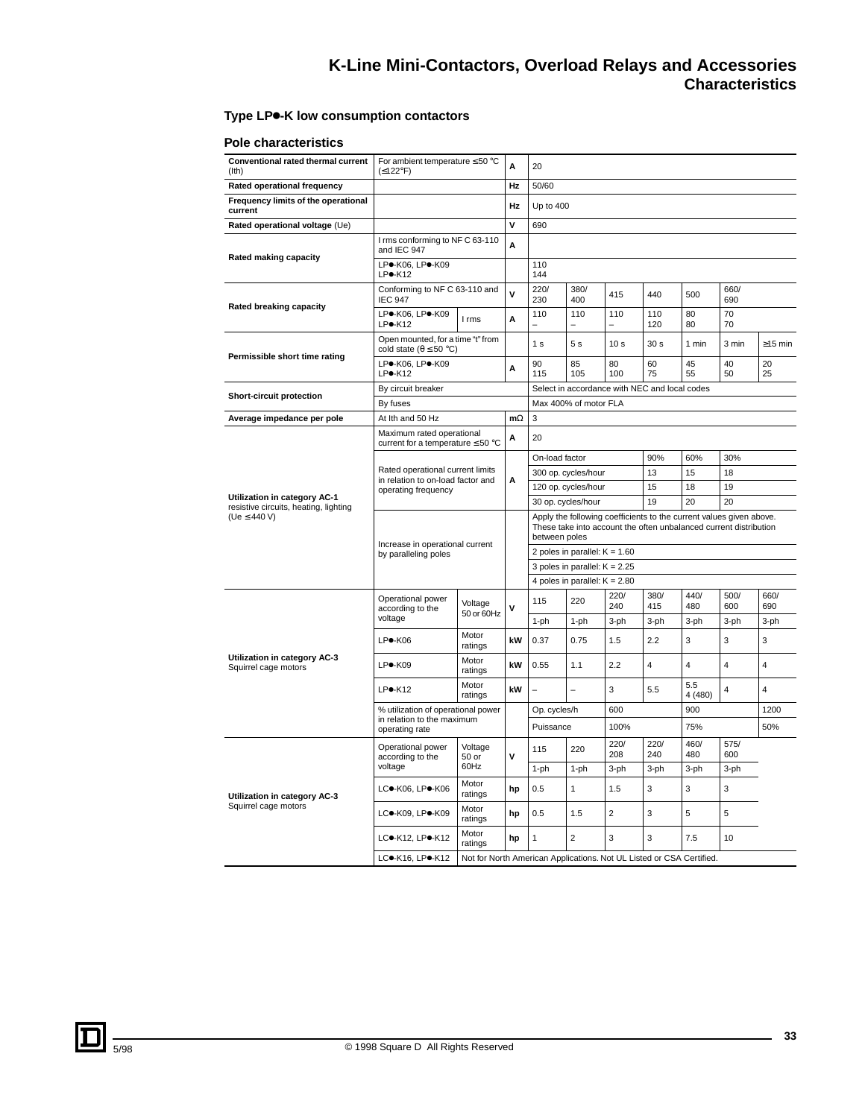# Type LP<sup>o</sup>-K low consumption contactors

### **Pole characteristics**

| Conventional rated thermal current<br>(lth)          | For ambient temperature $\leq 50$ °C<br>(≤122°F)                      |                                                                                          | Α                                                                                                                                                         | 20                              |                                               |                                  |                 |                |                         |                         |  |  |  |
|------------------------------------------------------|-----------------------------------------------------------------------|------------------------------------------------------------------------------------------|-----------------------------------------------------------------------------------------------------------------------------------------------------------|---------------------------------|-----------------------------------------------|----------------------------------|-----------------|----------------|-------------------------|-------------------------|--|--|--|
| Rated operational frequency                          |                                                                       |                                                                                          | Нz                                                                                                                                                        | 50/60                           |                                               |                                  |                 |                |                         |                         |  |  |  |
| Frequency limits of the operational<br>current       |                                                                       |                                                                                          | Hz                                                                                                                                                        | Up to 400                       |                                               |                                  |                 |                |                         |                         |  |  |  |
| Rated operational voltage (Ue)                       |                                                                       |                                                                                          | v                                                                                                                                                         | 690                             |                                               |                                  |                 |                |                         |                         |  |  |  |
|                                                      | I rms conforming to NF C 63-110<br>and IEC 947                        | A                                                                                        |                                                                                                                                                           |                                 |                                               |                                  |                 |                |                         |                         |  |  |  |
| <b>Rated making capacity</b>                         | LP●-K06, LP●-K09<br>$LP•$ -K12                                        |                                                                                          | 110<br>144                                                                                                                                                |                                 |                                               |                                  |                 |                |                         |                         |  |  |  |
|                                                      | Conforming to NF C 63-110 and<br><b>IEC 947</b>                       |                                                                                          | v                                                                                                                                                         | 220/<br>230                     | 380/<br>400                                   | 660/<br>415<br>440<br>500<br>690 |                 |                |                         |                         |  |  |  |
| Rated breaking capacity                              | LP <sup>o</sup> -K06, LP <sup>o</sup> -K09<br>$LP• - K12$             | I rms                                                                                    | A                                                                                                                                                         | 110                             | 110                                           | 110                              | 110<br>120      | 80<br>80       | 70<br>70                |                         |  |  |  |
|                                                      | Open mounted, for a time "t" from<br>cold state ( $\theta \le 50$ °C) |                                                                                          |                                                                                                                                                           | 1 <sub>s</sub>                  | 5s                                            | 10 <sub>s</sub>                  | 30 <sub>s</sub> | 1 min          | 3 min                   | $\geq$ 15 min           |  |  |  |
| Permissible short time rating                        | LP <sup>●</sup> -K06, LP <sup>●</sup> -K09<br>$LP•$ -K12              |                                                                                          | A                                                                                                                                                         | 90<br>115                       | 85<br>105                                     | 80<br>100                        | 60<br>75        | 45<br>55       | 40<br>50                | 20<br>25                |  |  |  |
| <b>Short-circuit protection</b>                      | By circuit breaker                                                    |                                                                                          |                                                                                                                                                           |                                 | Select in accordance with NEC and local codes |                                  |                 |                |                         |                         |  |  |  |
|                                                      | By fuses                                                              |                                                                                          |                                                                                                                                                           |                                 | Max 400% of motor FLA                         |                                  |                 |                |                         |                         |  |  |  |
| Average impedance per pole                           | At Ith and 50 Hz                                                      |                                                                                          | $m\Omega$                                                                                                                                                 | 3                               |                                               |                                  |                 |                |                         |                         |  |  |  |
|                                                      | Maximum rated operational<br>current for a temperature $\leq 50$ °C   |                                                                                          | А                                                                                                                                                         | 20                              |                                               |                                  |                 |                |                         |                         |  |  |  |
|                                                      |                                                                       |                                                                                          | On-load factor                                                                                                                                            |                                 |                                               | 90%                              | 60%<br>30%      |                |                         |                         |  |  |  |
|                                                      | Rated operational current limits<br>in relation to on-load factor and | Α                                                                                        | 300 op. cycles/hour                                                                                                                                       |                                 |                                               | 13                               | 15              | 18             |                         |                         |  |  |  |
| Utilization in category AC-1                         | operating frequency                                                   |                                                                                          |                                                                                                                                                           |                                 | 120 op. cycles/hour                           |                                  | 15              | 18             | 19                      |                         |  |  |  |
| resistive circuits, heating, lighting                |                                                                       |                                                                                          |                                                                                                                                                           | 30 op. cycles/hour              |                                               | 19                               | 20              | 20             |                         |                         |  |  |  |
| (Ue $\leq$ 440 V)                                    |                                                                       |                                                                                          | Apply the following coefficients to the current values given above.<br>These take into account the often unbalanced current distribution<br>between poles |                                 |                                               |                                  |                 |                |                         |                         |  |  |  |
|                                                      | Increase in operational current<br>by paralleling poles               |                                                                                          |                                                                                                                                                           | 2 poles in parallel: $K = 1.60$ |                                               |                                  |                 |                |                         |                         |  |  |  |
|                                                      |                                                                       |                                                                                          |                                                                                                                                                           | 3 poles in parallel: $K = 2.25$ |                                               |                                  |                 |                |                         |                         |  |  |  |
|                                                      |                                                                       |                                                                                          |                                                                                                                                                           |                                 | 4 poles in parallel: $K = 2.80$               |                                  |                 |                |                         |                         |  |  |  |
|                                                      | Operational power<br>according to the                                 | Voltage                                                                                  |                                                                                                                                                           |                                 |                                               | 220/                             | 380/            | 440/           | 500/                    | 660/                    |  |  |  |
|                                                      |                                                                       |                                                                                          | V                                                                                                                                                         | 115                             | 220                                           | 240                              | 415             | 480            | 600                     | 690                     |  |  |  |
|                                                      | voltage                                                               | 50 or 60Hz                                                                               |                                                                                                                                                           | $1$ -ph                         | $1$ -ph                                       | 3-ph                             | 3-ph            | 3-ph           | 3-ph                    | 3-ph                    |  |  |  |
|                                                      | LP●-K06                                                               | Motor<br>ratings                                                                         | kW                                                                                                                                                        | 0.37                            | 0.75                                          | 1.5                              | 2.2             | 3              | 3                       | 3                       |  |  |  |
| Utilization in category AC-3<br>Squirrel cage motors | $LP•$ -K09                                                            | Motor<br>ratings                                                                         | kW                                                                                                                                                        | 0.55                            | 1.1                                           | 2.2                              | 4               | 4              | $\overline{\mathbf{4}}$ | $\overline{4}$          |  |  |  |
|                                                      | $LP•$ -K12                                                            | Motor<br>ratings                                                                         | kW                                                                                                                                                        |                                 |                                               | 3                                | 5.5             | 5.5<br>4 (480) | $\overline{\mathbf{4}}$ | $\overline{\mathbf{4}}$ |  |  |  |
|                                                      | % utilization of operational power                                    |                                                                                          |                                                                                                                                                           | Op. cycles/h                    |                                               | 600                              |                 | 900            |                         | 1200                    |  |  |  |
|                                                      | in relation to the maximum<br>operating rate                          |                                                                                          |                                                                                                                                                           | Puissance                       |                                               | 100%                             |                 | 75%            |                         | 50%                     |  |  |  |
|                                                      | Operational power<br>according to the                                 | Voltage<br>50 or                                                                         | V                                                                                                                                                         | 115                             | 220                                           | 220/<br>208                      | 220/<br>240     | 460/<br>480    | 575/<br>600             |                         |  |  |  |
|                                                      | voltage                                                               | 60Hz<br>Motor                                                                            |                                                                                                                                                           | $1$ -ph<br>0.5                  | $1$ -ph<br>1                                  | 3-ph<br>1.5                      | 3-ph<br>3       | 3-ph<br>3      | 3-ph<br>3               |                         |  |  |  |
| Utilization in category AC-3<br>Squirrel cage motors | LCO-K06, LPO-K06                                                      | ratings<br>Motor                                                                         | hp                                                                                                                                                        |                                 |                                               |                                  |                 |                |                         |                         |  |  |  |
|                                                      | LCO-K09, LPO-K09                                                      | ratings                                                                                  | hp                                                                                                                                                        | 0.5                             | 1.5                                           | $\overline{2}$                   | 3               | 5              | 5                       |                         |  |  |  |
|                                                      | LCO-K12, LPO-K12<br>LC.K16, LP.K12                                    | Motor<br>ratings<br>Not for North American Applications. Not UL Listed or CSA Certified. | hp                                                                                                                                                        | $\mathbf{1}$                    | $\overline{2}$                                | 3                                | 3               | 7.5            | 10                      |                         |  |  |  |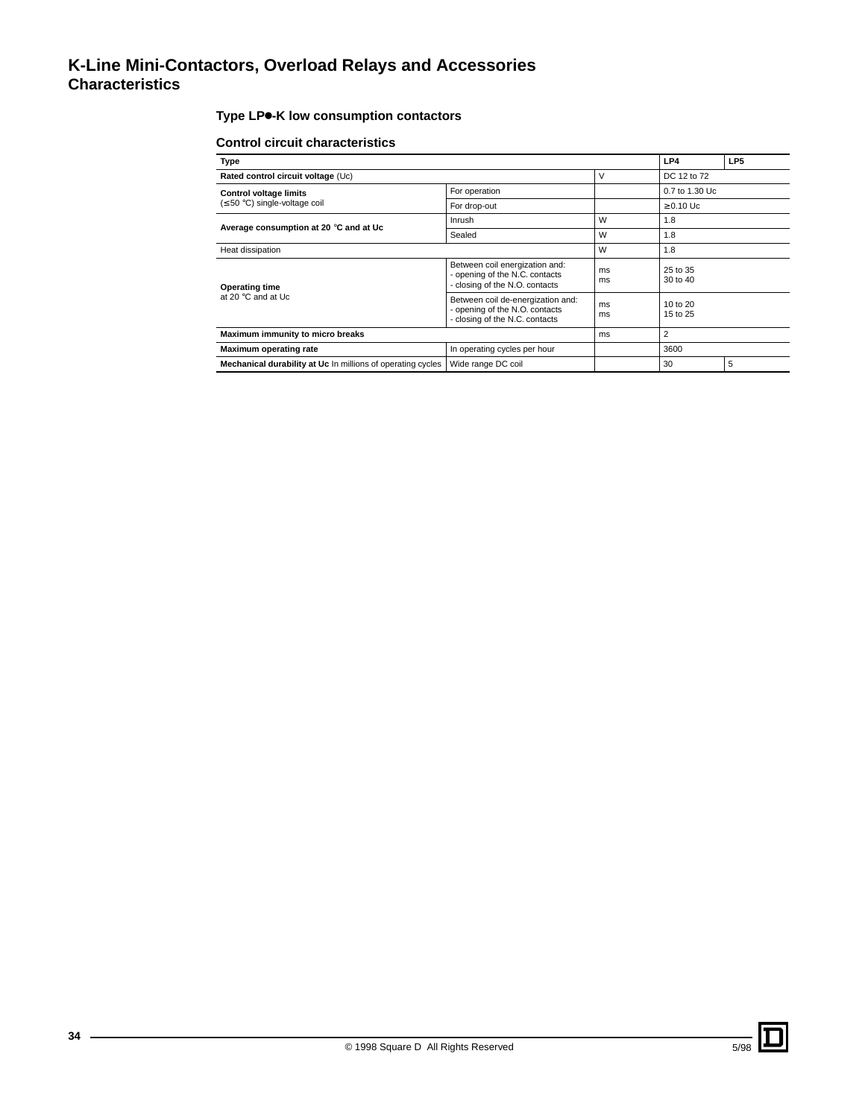# Type LP<sup>o-K</sup> low consumption contactors

### **Control circuit characteristics**

| <b>Type</b>                                                 | LP4                                                                                                   | LP <sub>5</sub> |                          |  |  |
|-------------------------------------------------------------|-------------------------------------------------------------------------------------------------------|-----------------|--------------------------|--|--|
| Rated control circuit voltage (Uc)                          |                                                                                                       | v               | DC 12 to 72              |  |  |
| <b>Control voltage limits</b>                               | For operation                                                                                         |                 | 0.7 to 1.30 Uc           |  |  |
| $(\leq 50$ °C) single-voltage coil                          | For drop-out                                                                                          |                 | $\geq 0.10$ Uc           |  |  |
| Average consumption at 20 °C and at Uc                      | Inrush                                                                                                | W               | 1.8                      |  |  |
|                                                             | Sealed                                                                                                | W               | 1.8                      |  |  |
| Heat dissipation                                            |                                                                                                       | W               | 1.8                      |  |  |
| <b>Operating time</b>                                       | Between coil energization and:<br>- opening of the N.C. contacts<br>- closing of the N.O. contacts    | ms<br>ms        | 25 to 35<br>30 to 40     |  |  |
| at 20 $\degree$ C and at Uc.                                | Between coil de-energization and:<br>- opening of the N.O. contacts<br>- closing of the N.C. contacts | ms<br>ms        | $10$ to $20$<br>15 to 25 |  |  |
| Maximum immunity to micro breaks                            |                                                                                                       | ms              | $\overline{2}$           |  |  |
| <b>Maximum operating rate</b>                               | In operating cycles per hour                                                                          |                 | 3600                     |  |  |
| Mechanical durability at Uc In millions of operating cycles | Wide range DC coil                                                                                    |                 | 5<br>30                  |  |  |

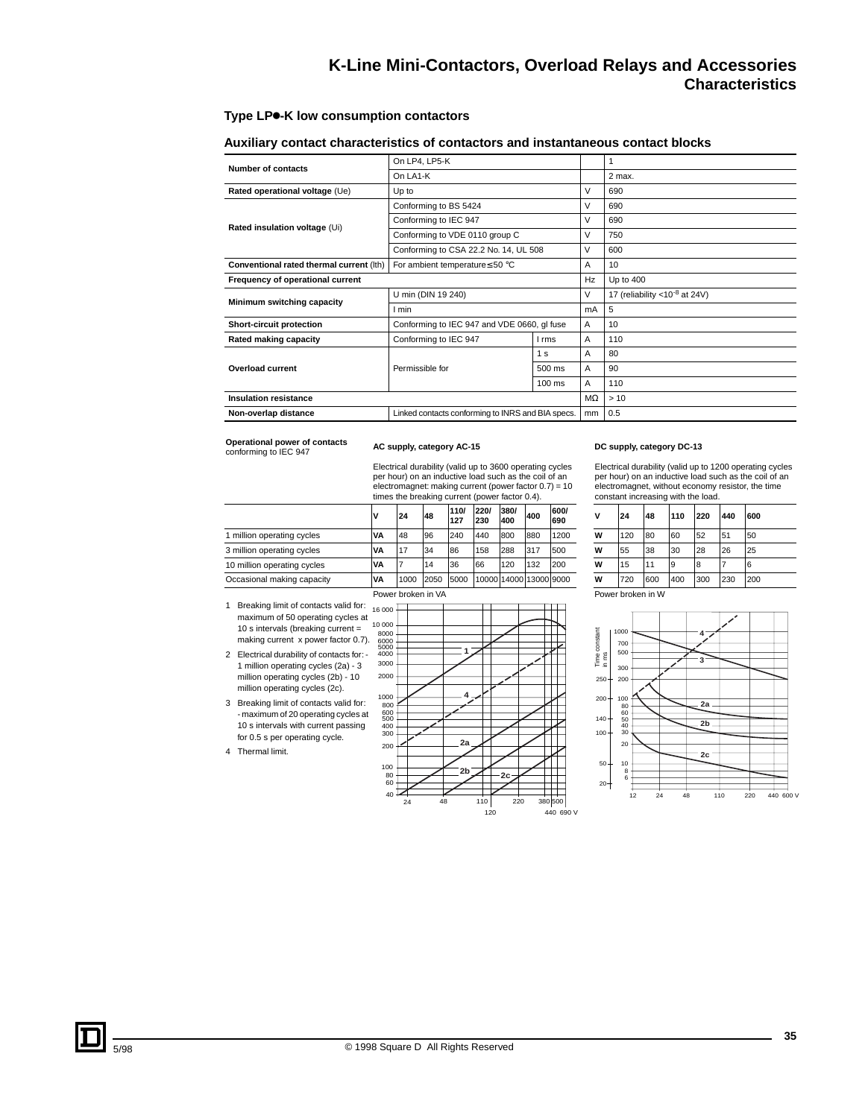### Type LP<sup>o</sup>-K low consumption contactors

| Number of contacts                       | On LP4. LP5-K                                     |                  |                | 1                                   |
|------------------------------------------|---------------------------------------------------|------------------|----------------|-------------------------------------|
|                                          | On LA1-K                                          |                  |                | 2 max.                              |
| Rated operational voltage (Ue)           | Up to                                             |                  | $\vee$         | 690                                 |
|                                          | Conforming to BS 5424                             |                  | $\vee$         | 690                                 |
| Rated insulation voltage (Ui)            | Conforming to IEC 947                             |                  | V              | 690                                 |
|                                          | Conforming to VDE 0110 group C                    |                  | V              | 750                                 |
|                                          | Conforming to CSA 22.2 No. 14, UL 508             |                  | V              | 600                                 |
| Conventional rated thermal current (lth) | For ambient temperature≤ 50 °C                    |                  | A              | 10                                  |
| Frequency of operational current         |                                                   |                  | Hz             | Up to 400                           |
| Minimum switching capacity               | U min (DIN 19 240)                                |                  | V              | 17 (reliability < $10^{-8}$ at 24V) |
|                                          | I min                                             |                  | mA             | 5                                   |
| Short-circuit protection                 | Conforming to IEC 947 and VDE 0660, gl fuse       |                  | A              | 10                                  |
| Rated making capacity                    | Conforming to IEC 947                             | I rms            | A              | 110                                 |
|                                          |                                                   | 1 <sub>s</sub>   | $\overline{A}$ | 80                                  |
| <b>Overload current</b>                  | Permissible for                                   | $500$ ms         | A              | 90                                  |
|                                          |                                                   | $100 \text{ ms}$ | A              | 110                                 |
| <b>Insulation resistance</b>             |                                                   |                  | $M\Omega$      | >10                                 |
| Non-overlap distance                     | Linked contacts conforming to INRS and BIA specs. |                  | mm             | 0.5                                 |
|                                          |                                                   |                  |                |                                     |

**Operational power of contacts Conforming to IEC 947 AC supply, category AC-15 DC supply, category DC-13 DC supply, category DC-13** 

Electrical durability (valid up to 3600 operating cycles per hour) on an inductive load such as the coil of an electromagnet: making current (power factor 0.7) = 10 times the breaking current (power factor 0.4).

|                             |           | 24   | 48   | 110/<br>127 | 220/<br>230 | 380/<br>400 | 400                    | 600/<br>690 |   | 24  | 48  | 110 | 220 | 440 | 600        |
|-----------------------------|-----------|------|------|-------------|-------------|-------------|------------------------|-------------|---|-----|-----|-----|-----|-----|------------|
| 1 million operating cycles  | VA        | 48   | 96   | 240         | 440         | 800         | 880                    | 1200        | W | 120 | 180 | 160 | 152 | 151 | 150        |
| 3 million operating cycles  | 'VA       | 117  | 34   | 186         | 158         | 288         | 317                    | 500         | W | 55  | 38  | 130 | 28  | 126 | 125        |
| 10 million operating cycles | 'VA       |      | 14   | 136         | 166         | 120         | 132                    | 1200        | W | 15  |     | 19  | 18  |     |            |
| Occasional making capacity  | <b>VA</b> | 1000 | 2050 | 5000        |             |             | 1000011400011300019000 |             | W | 720 | 600 | 400 | 300 | 230 | <b>200</b> |
|                             |           |      |      |             |             |             |                        |             |   |     |     |     |     |     |            |

1 Breaking limit of contacts valid for: maximum of 50 operating cycles at 10 s intervals (breaking current = making current x power factor 0.7).

- 2 Electrical durability of contacts for: 1 million operating cycles (2a) - 3 million operating cycles (2b) - 10 million operating cycles (2c).
- 3 Breaking limit of contacts valid for: - maximum of 20 operating cycles at 10 s intervals with current passing for 0.5 s per operating cycle.
- 4 Thermal limit.

Power broken in VA Power broken in W



120 440 690 V

Electrical durability (valid up to 1200 operating cycles per hour) on an inductive load such as the coil of an electromagnet, without economy resistor, the time constant increasing with the load.

| 600/<br>690 | ۷ | 24  | 48   | 110 | 220 | 440 | 600 |
|-------------|---|-----|------|-----|-----|-----|-----|
| 1200        | W | 120 | 180  | 160 | 52  | 151 | 50  |
| 500         | W | 55  | 38   | 130 | 28  | 26  | 25  |
| 200         | W | 15  | 11   | 19  | 18  |     | 16  |
| 9000        | W | 720 | 1600 | 400 | 300 | 230 | 200 |



 $\overline{\phantom{a}}$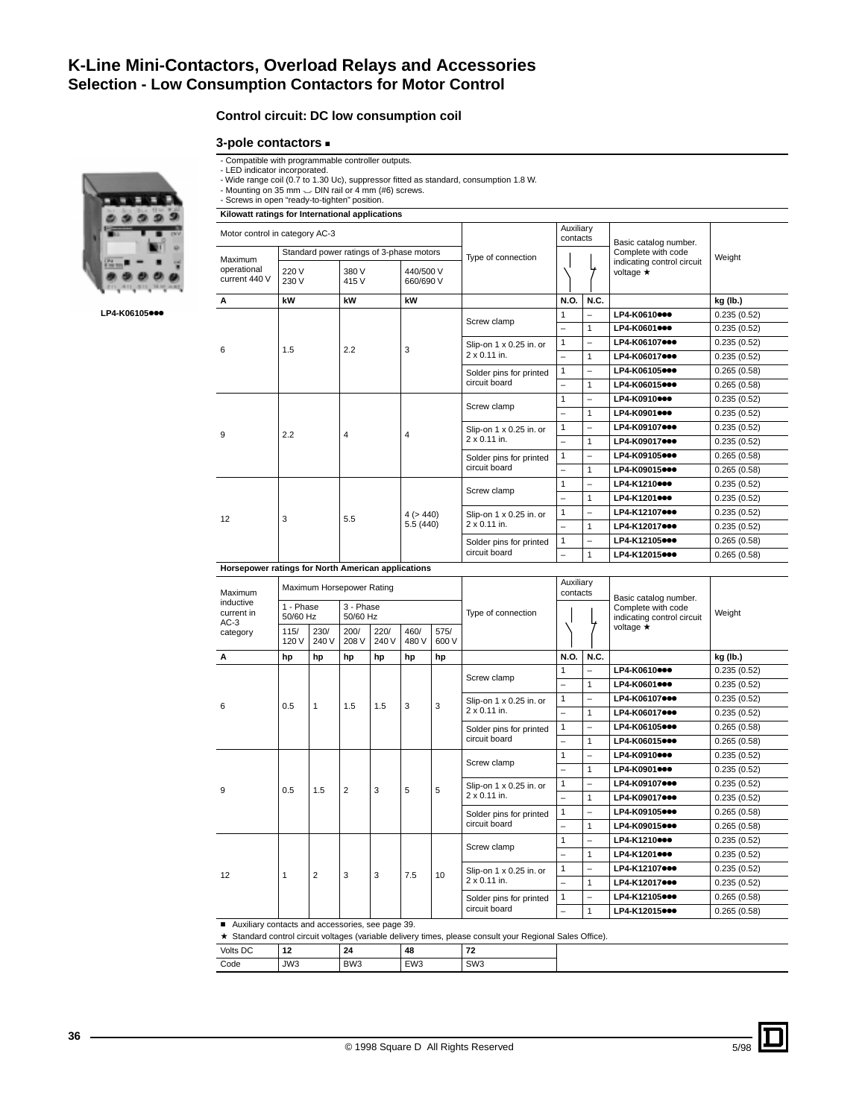- Compatible with programmable controller outputs.

# **Control circuit: DC low consumption coil**

- LED indicator incorporated.<br>- Wide range coil (0.7 to 1.30 Uc), suppressor fitted as standard, consumption 1.8 W.<br>- Mounting on 35 mm - - DIN rail or 4 mm (#6) screws.<br>- Screws in open "ready-to-tighten" position.

#### **3-pole contactors** <sup>c</sup>



LP4-K06105**eee** 

|                                |                | Kilowatt ratings for International applications |                        |                         |                          |              |                                               |             |  |
|--------------------------------|----------------|-------------------------------------------------|------------------------|-------------------------|--------------------------|--------------|-----------------------------------------------|-------------|--|
| Motor control in category AC-3 |                |                                                 |                        |                         | Auxiliary<br>contacts    |              | Basic catalog number.                         |             |  |
| Maximum                        |                | Standard power ratings of 3-phase motors        |                        | Type of connection      |                          |              | Complete with code                            | Weight      |  |
| operational<br>current 440 V   | 220 V<br>230 V | 380 V<br>415 V                                  | 440/500 V<br>660/690 V |                         |                          |              | indicating control circuit<br>voltage $\star$ |             |  |
| A                              | kW             | kW                                              | kW                     |                         | N.O.                     | N.C.         |                                               | kg (lb.)    |  |
|                                |                |                                                 |                        | Screw clamp             | $\mathbf{1}$             | ÷,           | LP4-K0610000                                  | 0.235(0.52) |  |
|                                |                |                                                 |                        |                         | $\overline{\phantom{0}}$ | $\mathbf{1}$ | LP4-K0601 eee                                 | 0.235(0.52) |  |
| 1.5<br>6                       |                | 2.2                                             | 3                      | Slip-on 1 x 0.25 in. or | $\mathbf{1}$             | ÷,           | LP4-K06107000                                 | 0.235(0.52) |  |
|                                |                |                                                 |                        | $2 \times 0.11$ in.     | $\overline{\phantom{0}}$ | 1            | LP4-K06017000                                 | 0.235(0.52) |  |
|                                |                |                                                 |                        | Solder pins for printed | $\mathbf{1}$             | ÷.           | LP4-K06105000                                 | 0.265(0.58) |  |
|                                |                |                                                 |                        | circuit board           | $\overline{\phantom{0}}$ | 1            | LP4-K06015000                                 | 0.265(0.58) |  |
|                                |                |                                                 |                        | Screw clamp             | $\mathbf{1}$             | ÷.           | LP4-K0910000                                  | 0.235(0.52) |  |
|                                |                |                                                 |                        |                         | $\overline{\phantom{a}}$ | $\mathbf{1}$ | LP4-K0901 ···                                 | 0.235(0.52) |  |
| 9                              | 2.2            | 4                                               | $\overline{4}$         | Slip-on 1 x 0.25 in. or | $\mathbf{1}$             | ÷.           | LP4-K09107000                                 | 0.235(0.52) |  |
|                                |                |                                                 |                        | $2 \times 0.11$ in.     | $\qquad \qquad -$        | $\mathbf{1}$ | LP4-K09017000                                 | 0.235(0.52) |  |
|                                |                |                                                 |                        | Solder pins for printed | $\mathbf{1}$             | ÷.           | LP4-K09105000                                 | 0.265(0.58) |  |
|                                |                |                                                 |                        | circuit board           | $\qquad \qquad -$        | $\mathbf{1}$ | LP4-K09015000                                 | 0.265(0.58) |  |
|                                |                |                                                 |                        | Screw clamp             | $\mathbf{1}$             | ÷.           | LP4-K1210000                                  | 0.235(0.52) |  |
|                                |                |                                                 |                        |                         | $\overline{\phantom{0}}$ | 1            | LP4-K1201000                                  | 0.235(0.52) |  |
| 12                             | 3              | 5.5                                             | 4(>440)                | Slip-on 1 x 0.25 in. or | $\mathbf{1}$             | ÷.           | LP4-K12107000                                 | 0.235(0.52) |  |
|                                |                |                                                 | 5.5(440)               | $2 \times 0.11$ in.     | $\qquad \qquad -$        | 1            | LP4-K12017000                                 | 0.235(0.52) |  |
|                                |                |                                                 |                        | Solder pins for printed | $\mathbf{1}$             | ÷.           | LP4-K12105000                                 | 0.265(0.58) |  |
|                                |                |                                                 |                        | circuit board           | $\qquad \qquad -$        | 1            | LP4-K12015000                                 | 0.265(0.58) |  |

#### **Horsepower ratings for North American applications**

| Maximum                           | Maximum Horsepower Rating |                |                       |               |               |               |                         | Auxiliary<br>contacts                                                   |              | Basic catalog number.                            |             |  |  |
|-----------------------------------|---------------------------|----------------|-----------------------|---------------|---------------|---------------|-------------------------|-------------------------------------------------------------------------|--------------|--------------------------------------------------|-------------|--|--|
| inductive<br>current in<br>$AC-3$ | 1 - Phase<br>50/60 Hz     |                | 3 - Phase<br>50/60 Hz |               |               |               | Type of connection      |                                                                         |              | Complete with code<br>indicating control circuit | Weight      |  |  |
| category                          | 115/<br>120 V             | 230/<br>240 V  | 200/<br>208 V         | 220/<br>240 V | 460/<br>480 V | 575/<br>600 V |                         |                                                                         |              | voltage $\star$                                  |             |  |  |
| A                                 | hp                        | hp             | hp                    | hp            | hp            | hp            |                         | N.O.                                                                    | N.C.         |                                                  | kg (lb.)    |  |  |
|                                   |                           |                |                       |               |               |               |                         | 1                                                                       | ÷,           | LP4-K0610000                                     | 0.235(0.52) |  |  |
| 6                                 |                           |                |                       |               |               |               |                         | Screw clamp<br>$\mathbf{1}$<br>LP4-K0601000<br>$\overline{\phantom{0}}$ |              |                                                  | 0.235(0.52) |  |  |
|                                   | 0.5                       | $\mathbf{1}$   | 1.5                   | 1.5           | 3             | 3             | Slip-on 1 x 0.25 in. or | $\mathbf{1}$<br>LP4-K06107000<br>-                                      |              |                                                  |             |  |  |
|                                   |                           |                |                       |               |               |               | $2 \times 0.11$ in.     | $\overline{a}$                                                          | $\mathbf{1}$ | LP4-K06017000                                    | 0.235(0.52) |  |  |
|                                   |                           |                |                       |               |               |               | Solder pins for printed | $\mathbf{1}$<br>LP4-K06105000<br>-                                      |              |                                                  |             |  |  |
|                                   |                           |                |                       |               |               |               | circuit board           | $\overline{\phantom{0}}$                                                | $\mathbf{1}$ | LP4-K06015000                                    | 0.265(0.58) |  |  |
|                                   |                           |                |                       |               |               |               |                         | $\mathbf{1}$<br>LP4-K0910000<br>-<br>Screw clamp                        | 0.235(0.52)  |                                                  |             |  |  |
|                                   |                           |                |                       |               |               |               |                         | $\overline{\phantom{0}}$                                                | $\mathbf{1}$ | LP4-K0901000                                     | 0.235(0.52) |  |  |
| 9                                 | 0.5                       | 1.5            | $\overline{2}$        | 3             | 5             | 5             | Slip-on 1 x 0.25 in. or | 1<br>LP4-K09107000<br>-                                                 |              | 0.235(0.52)                                      |             |  |  |
|                                   |                           |                |                       |               |               |               | $2 \times 0.11$ in.     | $\mathbf{1}$<br>LP4-K09017000<br>$\overline{\phantom{0}}$               |              |                                                  | 0.235(0.52) |  |  |
|                                   |                           |                |                       |               |               |               | Solder pins for printed | $\mathbf{1}$                                                            | ÷,           | LP4-K09105000                                    | 0.265(0.58) |  |  |
|                                   |                           |                |                       |               |               |               | circuit board           | $\overline{\phantom{0}}$                                                | $\mathbf{1}$ | LP4-K09015000                                    | 0.265(0.58) |  |  |
|                                   |                           |                |                       |               |               |               | Screw clamp             | 1                                                                       | -            | LP4-K1210000                                     | 0.235(0.52) |  |  |
|                                   |                           |                |                       |               |               |               |                         | -                                                                       | $\mathbf{1}$ | LP4-K1201000                                     | 0.235(0.52) |  |  |
| 12                                | 1                         | $\overline{2}$ | 3                     | 3             | 7.5           | 10            | Slip-on 1 x 0.25 in. or | $\mathbf{1}$                                                            | -            | LP4-K12107000                                    | 0.235(0.52) |  |  |
|                                   |                           |                |                       |               |               |               | $2 \times 0.11$ in.     | $\overline{\phantom{0}}$                                                | $\mathbf{1}$ | LP4-K12017000                                    | 0.235(0.52) |  |  |
|                                   |                           |                |                       |               |               |               | Solder pins for printed | 1                                                                       | -            | LP4-K12105000                                    | 0.265(0.58) |  |  |
|                                   |                           |                |                       |               |               |               | circuit board           | $\equiv$                                                                | 1            | LP4-K12015000                                    | 0.265(0.58) |  |  |

Auxiliary contacts and accessories, see page 39.

\* Standard control circuit voltages (variable delivery times, please consult your Regional Sales Office).

| <b>Volts DC</b> | . .              | ,,<br>-         | ٨£<br>TV        | $\overline{\phantom{a}}$<br>. . |
|-----------------|------------------|-----------------|-----------------|---------------------------------|
| Code            | <b>IM</b><br>___ | BW <sub>3</sub> | EW <sub>3</sub> | SW3<br><b>.</b>                 |

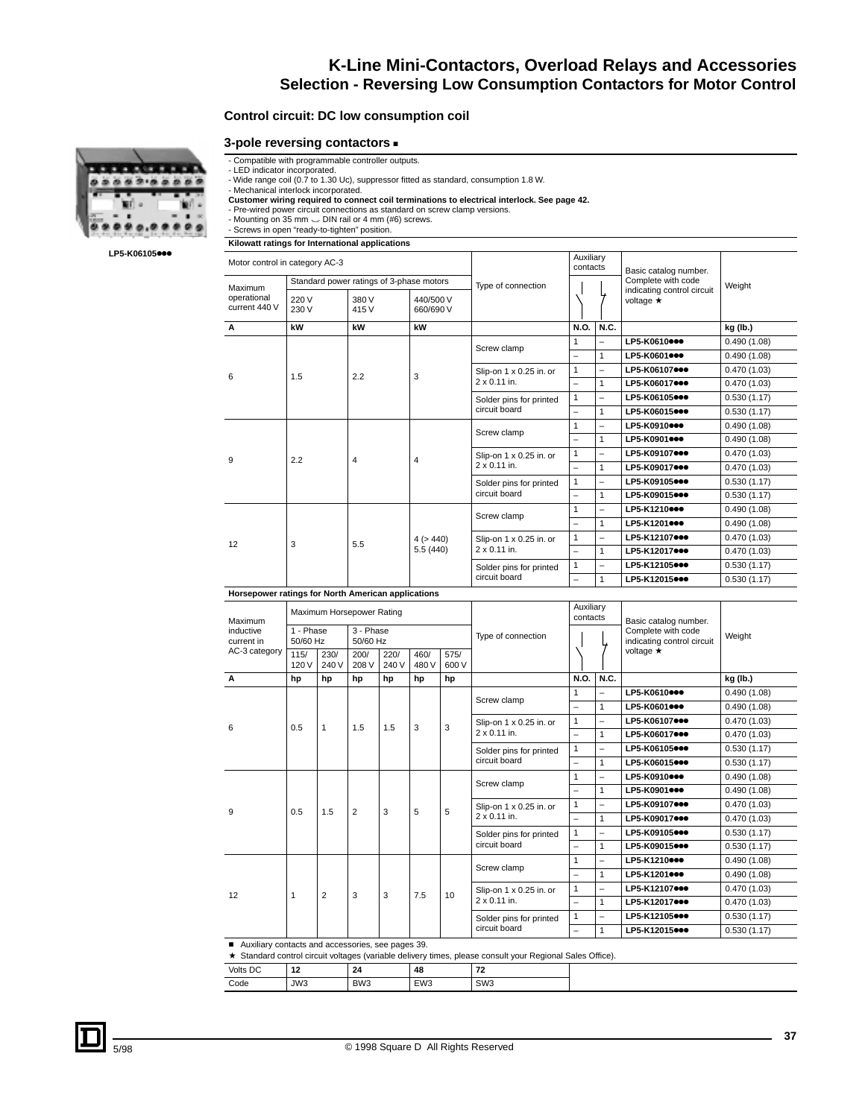### **Control circuit: DC low consumption coil**

- LED indicator incorporated. - Wide range coil (0.7 to 1.30 Uc), suppressor fitted as standard, consumption 1.8 W. - Mechanical interlock incorporated.

**Customer wiring required to connect coil terminations to electrical interlock. See page 42.** - Pre-wired power circuit connections as standard on screw clamp versions.

#### **3-pole reversing contactors**

- Compatible with programmable controller outputs.

- Mounting on 35 mm  $-$  DIN rail or 4 mm (#6) screws.



LP5-K06105<sup>eee</sup>

|                                |                | Kilowatt ratings for International applications |                        |                         |                          |                          |                                               |             |  |
|--------------------------------|----------------|-------------------------------------------------|------------------------|-------------------------|--------------------------|--------------------------|-----------------------------------------------|-------------|--|
| Motor control in category AC-3 |                |                                                 |                        |                         | Auxiliary<br>contacts    |                          | Basic catalog number.                         |             |  |
| Maximum                        |                | Standard power ratings of 3-phase motors        |                        | Type of connection      |                          |                          | Complete with code                            | Weight      |  |
| operational<br>current 440 V   | 220 V<br>230 V | 380 V<br>415 V                                  | 440/500 V<br>660/690 V |                         |                          |                          | indicating control circuit<br>voltage $\star$ |             |  |
| A                              | kW             | kW                                              | kW                     |                         | N.O.                     | N.C.                     |                                               | kg (lb.)    |  |
|                                |                |                                                 |                        | Screw clamp             | 1                        | $\equiv$                 | LP5-K0610000                                  | 0.490(1.08) |  |
| 6                              |                |                                                 |                        |                         | $\equiv$                 | $\mathbf{1}$             | LP5-K0601000                                  | 0.490(1.08) |  |
|                                | 1.5            | 2.2                                             | 3                      | Slip-on 1 x 0.25 in. or | $\mathbf{1}$             | $\overline{\phantom{0}}$ | LP5-K06107000                                 | 0.470(1.03) |  |
|                                |                |                                                 |                        | $2 \times 0.11$ in.     | $\overline{\phantom{0}}$ | $\mathbf{1}$             | LP5-K06017000                                 | 0.470(1.03) |  |
|                                |                |                                                 |                        | Solder pins for printed | 1                        | ÷,                       | LP5-K06105000                                 | 0.530(1.17) |  |
|                                |                |                                                 |                        | circuit board           | ÷,                       | $\mathbf{1}$             | LP5-K06015000                                 | 0.530(1.17) |  |
|                                |                |                                                 |                        | Screw clamp             | $\mathbf{1}$             | ۳                        | LP5-K0910000                                  | 0.490(1.08) |  |
|                                |                |                                                 |                        |                         | ÷,                       | $\mathbf{1}$             | LP5-K0901 000                                 | 0.490(1.08) |  |
| 9                              | 2.2            | $\overline{4}$                                  | 4                      | Slip-on 1 x 0.25 in. or | $\mathbf{1}$             | ÷,                       | LP5-K09107000                                 | 0.470(1.03) |  |
|                                |                |                                                 |                        | $2 \times 0.11$ in.     | $\qquad \qquad -$        | $\mathbf{1}$             | LP5-K09017000                                 | 0.470(1.03) |  |
|                                |                |                                                 |                        | Solder pins for printed | $\mathbf{1}$             | ÷,                       | LP5-K09105000                                 | 0.530(1.17) |  |
|                                |                |                                                 |                        | circuit board           | $\equiv$                 | $\mathbf{1}$             | LP5-K09015000                                 | 0.530(1.17) |  |
|                                |                |                                                 |                        | Screw clamp             | $\mathbf{1}$             | $\qquad \qquad -$        | LP5-K1210000                                  | 0.490(1.08) |  |
|                                |                |                                                 |                        |                         | -                        | $\mathbf{1}$             | LP5-K1201000                                  | 0.490(1.08) |  |
| 12                             | 3              | 5.5                                             | 4(>440)                | Slip-on 1 x 0.25 in, or | $\mathbf{1}$             | ÷,                       | LP5-K12107000                                 | 0.470(1.03) |  |
|                                |                |                                                 | 5.5 (440)              | $2 \times 0.11$ in.     | $\equiv$                 | $\mathbf{1}$             | LP5-K12017000                                 | 0.470(1.03) |  |
|                                |                |                                                 |                        | Solder pins for printed | $\mathbf{1}$             | $\qquad \qquad -$        | LP5-K12105000                                 | 0.530(1.17) |  |
|                                |                |                                                 |                        | circuit board           | $\equiv$                 | $\mathbf{1}$             | LP5-K12015000                                 | 0.530(1.17) |  |

| Maximum                 |                       | Maximum Horsepower Rating |                       |               |               |               |                         | Auxiliary<br>contacts    |                          | Basic catalog number.                            |             |
|-------------------------|-----------------------|---------------------------|-----------------------|---------------|---------------|---------------|-------------------------|--------------------------|--------------------------|--------------------------------------------------|-------------|
| inductive<br>current in | 1 - Phase<br>50/60 Hz |                           | 3 - Phase<br>50/60 Hz |               |               |               | Type of connection      |                          | L.                       | Complete with code<br>indicating control circuit | Weight      |
| AC-3 category           | 115/<br>120 V         | 230/<br>240 V             | 200/<br>208 V         | 220/<br>240 V | 460/<br>480 V | 575/<br>600 V |                         |                          |                          | voltage $\star$                                  |             |
| A                       | hp                    | hp                        | hp                    | hp            | hp            | hp            |                         | N.O.                     | <b>N.C.</b>              |                                                  | kg (lb.)    |
|                         |                       |                           |                       |               |               |               | Screw clamp             | $\mathbf{1}$             | $\overline{\phantom{0}}$ | LP5-K0610000                                     | 0.490(1.08) |
|                         |                       |                           |                       |               |               |               |                         | $\overline{\phantom{0}}$ | 1                        | LP5-K0601000                                     | 0.490(1.08) |
| 6                       | 0.5                   | $\mathbf{1}$              | 1.5                   | 1.5           | 3             | 3             | Slip-on 1 x 0.25 in. or | $\mathbf{1}$             | -                        | LP5-K06107000                                    | 0.470(1.03) |
|                         |                       |                           |                       |               |               |               | $2 \times 0.11$ in.     | $\equiv$                 | $\mathbf{1}$             | LP5-K06017000                                    | 0.470(1.03) |
|                         |                       |                           |                       |               |               |               | Solder pins for printed | $\mathbf{1}$             | ÷,                       | LP5-K06105000                                    | 0.530(1.17) |
|                         |                       |                           |                       |               |               |               | circuit board           | $\equiv$                 | 1                        | LP5-K06015000                                    | 0.530(1.17) |
|                         |                       |                           |                       |               |               |               | Screw clamp             | 1                        | ÷,                       | LP5-K0910000                                     | 0.490(1.08) |
|                         |                       |                           |                       |               |               |               |                         | $\overline{a}$           | 1                        | LP5-K0901000                                     | 0.490(1.08) |
| 9                       | 0.5                   | 1.5                       | $\overline{2}$        | 3             | 5             | 5             | Slip-on 1 x 0.25 in. or | 1<br>÷,                  | LP5-K09107000            | 0.470(1.03)                                      |             |
|                         |                       |                           |                       |               |               |               | $2 \times 0.11$ in.     | $\overline{\phantom{0}}$ | 1                        | LP5-K09017000                                    | 0.470(1.03) |
|                         |                       |                           |                       |               |               |               | Solder pins for printed | $\mathbf{1}$             | -                        | LP5-K09105000                                    | 0.530(1.17) |
|                         |                       |                           |                       |               |               |               | circuit board           | $\equiv$                 | 1                        | LP5-K09015000                                    | 0.530(1.17) |
|                         |                       |                           |                       |               |               |               | Screw clamp             | $\mathbf{1}$             | -                        | LP5-K1210000                                     | 0.490(1.08) |
|                         |                       |                           |                       |               |               |               |                         | $\overline{\phantom{0}}$ | 1                        | LP5-K1201000                                     | 0.490(1.08) |
| 12                      | $\mathbf{1}$          | $\overline{2}$            | 3                     | 3             | 7.5           | 10            | Slip-on 1 x 0.25 in. or | $\mathbf{1}$             | $\overline{\phantom{0}}$ | LP5-K12107000                                    | 0.470(1.03) |
|                         |                       |                           |                       |               |               |               | $2 \times 0.11$ in.     | $\overline{\phantom{0}}$ | 1                        | LP5-K12017000                                    | 0.470(1.03) |
|                         |                       |                           |                       |               |               |               | Solder pins for printed | $\mathbf{1}$             | ÷,                       | LP5-K12105000                                    | 0.530(1.17) |
|                         |                       |                           |                       |               |               |               | circuit board           | $\overline{\phantom{0}}$ | 1                        | LP5-K12015000                                    | 0.530(1.17) |

Auxiliary contacts and accessories, see pages 39.

\* Standard control circuit voltages (variable delivery times, please consult your Regional Sales Office).

| n<br>Volts Du | 24<br>. .              | $\sim$<br>. .         |
|---------------|------------------------|-----------------------|
| Code          | JW3<br>BW <sub>3</sub> | SW <sub>3</sub><br>__ |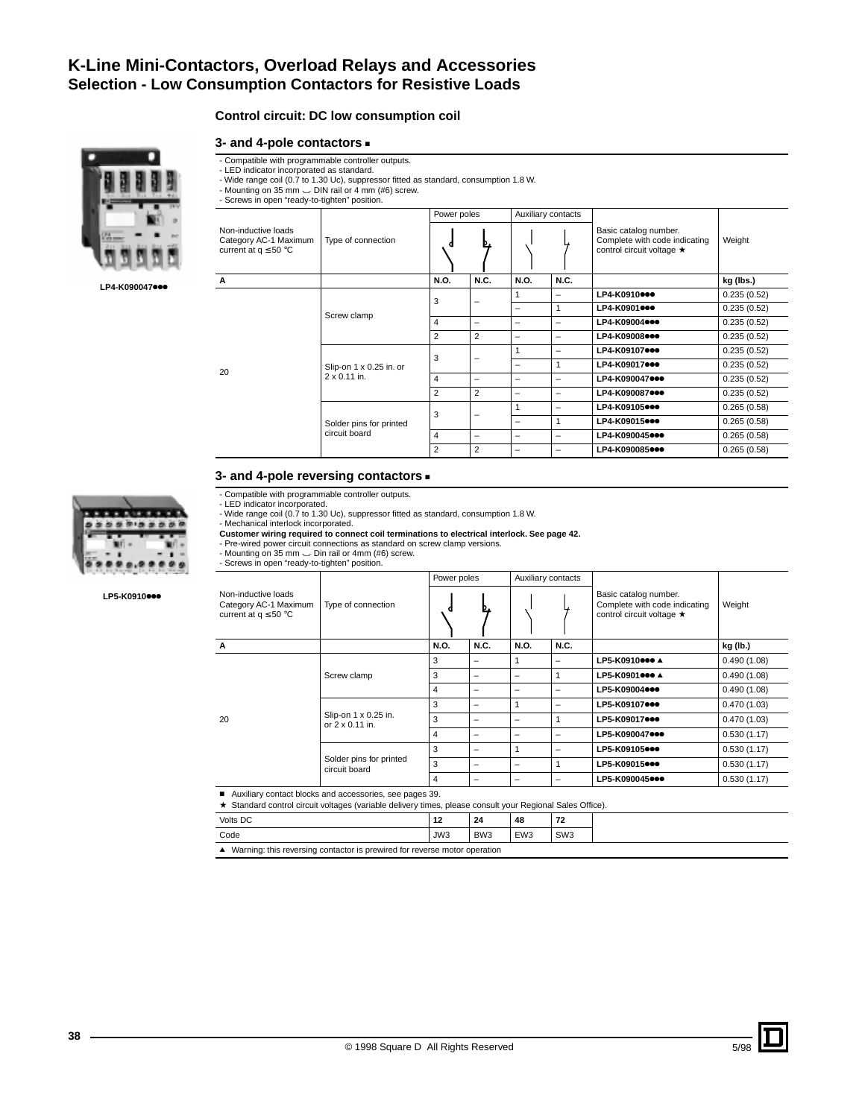# **K-Line Mini-Contactors, Overload Relays and Accessories Selection - Low Consumption Contactors for Resistive Loads**

### **Control circuit: DC low consumption coil**

- LED indicator incorporated as standard.<br>- Wide range coil (0.7 to 1.30 Uc), suppressor fitted as standard, consumption 1.8 W.<br>- Mounting on 35 mm ...- DIN rail or 4 mm (#6) screw.

#### **3- and 4-pole contactors =**

- Compatible with programmable controller outputs.



LP4-K090047<sup>ee4</sup>

| - Screws in open "ready-to-tighten" position.                            |                                                |                |                |                    |                   |                                                                                     |             |  |
|--------------------------------------------------------------------------|------------------------------------------------|----------------|----------------|--------------------|-------------------|-------------------------------------------------------------------------------------|-------------|--|
|                                                                          |                                                | Power poles    |                | Auxiliary contacts |                   |                                                                                     |             |  |
| Non-inductive loads<br>Category AC-1 Maximum<br>current at $q \le 50$ °C | Type of connection                             |                | р,             |                    |                   | Basic catalog number.<br>Complete with code indicating<br>control circuit voltage ★ | Weight      |  |
| A                                                                        |                                                | <b>N.O.</b>    | N.C.           | N.O.               | N.C.              |                                                                                     | kg (lbs.)   |  |
|                                                                          | Screw clamp                                    | 3              |                |                    | $\qquad \qquad -$ | LP4-K0910000                                                                        | 0.235(0.52) |  |
|                                                                          |                                                |                |                | -                  |                   | LP4-K0901000                                                                        | 0.235(0.52) |  |
|                                                                          |                                                | $\overline{4}$ | -              | -                  | $\qquad \qquad -$ | LP4-K09004000                                                                       | 0.235(0.52) |  |
|                                                                          |                                                | $\overline{2}$ | $\overline{2}$ | -                  | $\qquad \qquad =$ | LP4-K09008000                                                                       | 0.235(0.52) |  |
|                                                                          | Slip-on 1 x 0.25 in. or<br>$2 \times 0.11$ in. | 3              |                |                    | $\qquad \qquad =$ | LP4-K09107000                                                                       | 0.235(0.52) |  |
| 20                                                                       |                                                |                |                | -                  |                   | LP4-K09017000                                                                       | 0.235(0.52) |  |
|                                                                          |                                                | $\overline{4}$ | -              | -                  | $\qquad \qquad =$ | LP4-K090047000                                                                      | 0.235(0.52) |  |
|                                                                          |                                                | $\overline{2}$ | $\overline{2}$ | -                  | $\qquad \qquad$   | LP4-K090087000                                                                      | 0.235(0.52) |  |
|                                                                          | Solder pins for printed<br>circuit board       | 3              |                |                    | $\qquad \qquad -$ | LP4-K09105000                                                                       | 0.265(0.58) |  |
|                                                                          |                                                |                |                | -                  |                   | LP4-K09015000                                                                       | 0.265(0.58) |  |
|                                                                          |                                                | $\overline{4}$ | -              | -                  | $\qquad \qquad$   | LP4-K090045000                                                                      | 0.265(0.58) |  |
|                                                                          |                                                | $\overline{2}$ | 2              | -                  | $\qquad \qquad -$ | LP4-K090085000                                                                      | 0.265(0.58) |  |

#### **3- and 4-pole reversing contactors .**



- Compatible with programmable controller outputs. - LED indicator incorporated. - Wide range coil (0.7 to 1.30 Uc), suppressor fitted as standard, consumption 1.8 W.

- Mechanical interlock incorporated. **Customer wiring required to connect coil terminations to electrical interlock. See page 42.**



- Pre-wired power circuit connections as standard on screw clamp versions.

- Mounting on 35 mm — Din rail or 4mm (#6) screw.<br>- Screws in open "ready-to-tighten" position.

|                                                                           |                                                | Power poles    |                          | Auxiliary contacts       |                          |                                                                                     |             |
|---------------------------------------------------------------------------|------------------------------------------------|----------------|--------------------------|--------------------------|--------------------------|-------------------------------------------------------------------------------------|-------------|
| Non-inductive loads<br>Category AC-1 Maximum<br>current at q $\leq$ 50 °C | Type of connection                             | р,             |                          |                          |                          | Basic catalog number.<br>Complete with code indicating<br>control circuit voltage ★ | Weight      |
| А                                                                         |                                                | N.O.           | <b>N.C.</b>              | <b>N.O.</b>              | <b>N.C.</b>              |                                                                                     | kg (lb.)    |
|                                                                           | Screw clamp                                    | 3              | -                        |                          | $\qquad \qquad -$        | LP5-K0910●●●▲                                                                       | 0.490(1.08) |
|                                                                           |                                                | 3              | -                        | $\overline{\phantom{0}}$ | 1                        | LP5-K0901 ●●● ▲                                                                     | 0.490(1.08) |
|                                                                           |                                                | $\overline{4}$ | -                        | $\overline{\phantom{0}}$ | $\overline{\phantom{0}}$ | LP5-K09004000                                                                       | 0.490(1.08) |
|                                                                           | Slip-on 1 x 0.25 in.<br>or $2 \times 0.11$ in. | 3              | -                        |                          | $\overline{\phantom{0}}$ | LP5-K09107000                                                                       | 0.470(1.03) |
| 20                                                                        |                                                | 3              | $\overline{\phantom{0}}$ | $\overline{\phantom{0}}$ | 1                        | LP5-K09017000                                                                       | 0.470(1.03) |
|                                                                           |                                                | $\overline{4}$ | $\overline{\phantom{0}}$ | $\overline{\phantom{0}}$ | $\overline{\phantom{0}}$ | LP5-K090047000                                                                      | 0.530(1.17) |
|                                                                           | Solder pins for printed<br>circuit board       | 3              | $\overline{\phantom{0}}$ |                          | $\overline{\phantom{0}}$ | LP5-K09105000                                                                       | 0.530(1.17) |
|                                                                           |                                                | 3              | $\overline{\phantom{0}}$ | $\qquad \qquad$          | 1                        | LP5-K09015000                                                                       | 0.530(1.17) |
|                                                                           |                                                | $\overline{4}$ | $\overline{\phantom{0}}$ | $\overline{\phantom{0}}$ | -                        | LP5-K090045000                                                                      | 0.530(1.17) |
|                                                                           |                                                |                |                          |                          |                          |                                                                                     |             |

Auxiliary contact blocks and accessories, see pages 39.

\* Standard control circuit voltages (variable delivery times, please consult your Regional Sales Office).

| Volts DC                                                                  | $\ddot{\phantom{0}}$<br> | 24              | AS.<br>40       | 72              |
|---------------------------------------------------------------------------|--------------------------|-----------------|-----------------|-----------------|
| Code                                                                      | JW3                      | BW <sub>3</sub> | EW <sub>3</sub> | SW <sub>3</sub> |
| Warning: this reversing contactor is prewired for reverse motor operation |                          |                 |                 |                 |

Warning: this reversing contactor is prewired for reverse motor operation



**38**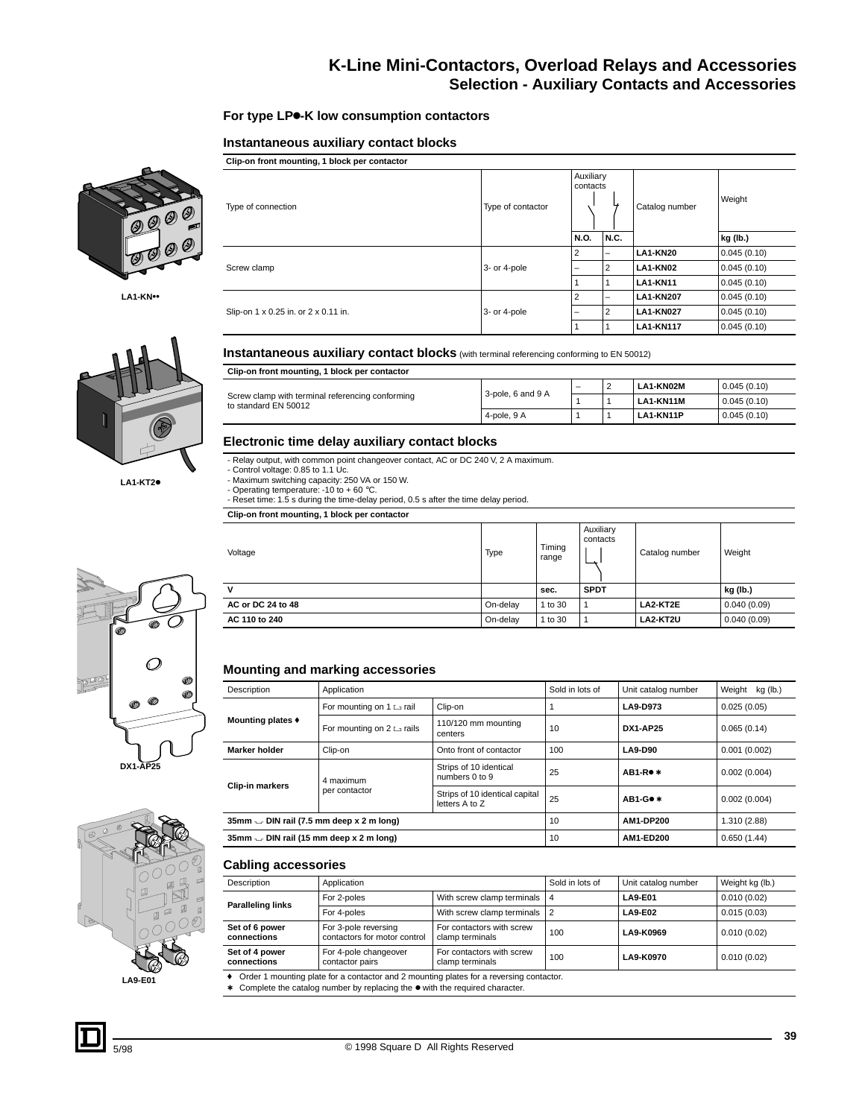# **K-Line Mini-Contactors, Overload Relays and Accessories Selection - Auxiliary Contacts and Accessories**

### For type LP<sup>o-K</sup> low consumption contactors

### **Instantaneous auxiliary contact blocks**



**LA1-KN••**



**LA1-KT2**k





| Clip-on front mounting, 1 block per contactor |                   |                       |                          |                  |             |  |
|-----------------------------------------------|-------------------|-----------------------|--------------------------|------------------|-------------|--|
| Type of connection                            | Type of contactor | Auxiliary<br>contacts |                          | Catalog number   | Weight      |  |
|                                               |                   | N.O.                  | N.C.                     |                  | kg (lb.)    |  |
|                                               | 3- or 4-pole      | $\overline{2}$        | $\overline{\phantom{0}}$ | <b>LA1-KN20</b>  | 0.045(0.10) |  |
| Screw clamp                                   |                   | -                     | $\overline{2}$           | LA1-KN02         | 0.045(0.10) |  |
|                                               |                   |                       |                          | <b>LA1-KN11</b>  | 0.045(0.10) |  |
|                                               |                   | $\overline{2}$        | $\overline{\phantom{0}}$ | <b>LA1-KN207</b> | 0.045(0.10) |  |
| Slip-on 1 x 0.25 in. or 2 x 0.11 in.          | 3- or 4-pole      | -                     | 2                        | <b>LA1-KN027</b> | 0.045(0.10) |  |
|                                               |                   |                       |                          | <b>LA1-KN117</b> | 0.045(0.10) |  |

#### **Instantaneous auxiliary contact blocks** (with terminal referencing conforming to EN 50012)

#### **Clip-on front mounting, 1 block per contactor** Screw clamp with terminal referencing conforming to standard EN 50012 3-pole, 6 and 9 A **- 2 LA1-KN02M** 0.045 (0.10)<br>1 **1 LA1-KN11M** 0.045 (0.10) **LA1-KN11M** 4-pole, 9 A 1 1 **LA1-KN11P** 0.045 (0.10)

#### **Electronic time delay auxiliary contact blocks**

- Relay output, with common point changeover contact, AC or DC 240 V, 2 A maximum.<br>- Control voltage: 0.85 to 1.1 Uc.<br>- Maximum switching capacity: 250 VA or 150 W.

- Operating temperature: -10 to + 60 °C. - Reset time: 1.5 s during the time-delay period, 0.5 s after the time delay period.

**Clip-on front mounting, 1 block per contactor**

| Voltage           | Type     | Timing<br>range | Auxiliary<br>contacts | Catalog number | Weight      |
|-------------------|----------|-----------------|-----------------------|----------------|-------------|
| v                 |          | sec.            | <b>SPDT</b>           |                | kg (lb.)    |
| AC or DC 24 to 48 | On-delay | 1 to 30         |                       | LA2-KT2E       | 0.040(0.09) |
| AC 110 to 240     | On-delay | 1 to 30         |                       | LA2-KT2U       | 0.040(0.09) |

### **Mounting and marking accessories**

| Description                                   | Application                        |                                                  | Sold in lots of | Unit catalog number  | Weight kg (lb.) |
|-----------------------------------------------|------------------------------------|--------------------------------------------------|-----------------|----------------------|-----------------|
| Mounting plates $\triangleleft$               | For mounting on $1 \sqcup$ rail    | Clip-on                                          |                 | LA9-D973             | 0.025(0.05)     |
|                                               | For mounting on $2 \sqcup$ rails   | 110/120 mm mounting<br>centers                   | 10              | <b>DX1-AP25</b>      | 0.065(0.14)     |
| <b>Marker holder</b>                          | Clip-on<br>Onto front of contactor |                                                  | 100             | <b>LA9-D90</b>       | 0.001(0.002)    |
| Clip-in markers                               | 4 maximum                          | Strips of 10 identical<br>numbers 0 to 9         | 25              | $AB1-R$ $*$          | 0.002(0.004)    |
|                                               | per contactor                      | Strips of 10 identical capital<br>letters A to Z | 25              | $AB1-G$ <sup>*</sup> | 0.002(0.004)    |
| 35mm $\sim$ DIN rail (7.5 mm deep x 2 m long) |                                    |                                                  | 10              | AM1-DP200            | 1.310 (2.88)    |
| 35mm $\sim$ DIN rail (15 mm deep x 2 m long)  |                                    |                                                  | 10              | <b>AM1-ED200</b>     | 0.650(1.44)     |

#### **Cabling accessories**

| Description                                                                                                        | Application                                          |                                              | Sold in lots of | Unit catalog number | Weight kg (lb.) |  |
|--------------------------------------------------------------------------------------------------------------------|------------------------------------------------------|----------------------------------------------|-----------------|---------------------|-----------------|--|
| <b>Paralleling links</b>                                                                                           | For 2-poles                                          | With screw clamp terminals   4               |                 | <b>LA9-E01</b>      | 0.010(0.02)     |  |
|                                                                                                                    | For 4-poles                                          | With screw clamp terminals   2               |                 | <b>LA9-E02</b>      | 0.015(0.03)     |  |
| Set of 6 power<br>connections                                                                                      | For 3-pole reversing<br>contactors for motor control | For contactors with screw<br>clamp terminals | 100             | LA9-K0969           | 0.010(0.02)     |  |
| Set of 4 power<br>connections                                                                                      | For 4-pole changeover<br>contactor pairs             | For contactors with screw<br>clamp terminals | 100             | LA9-K0970           | 0.010(0.02)     |  |
| • Order 1 mounting plate for a contactor and 2 mounting plates for a reversing contactor.                          |                                                      |                                              |                 |                     |                 |  |
| $\mathbf{a}$ . According the condition could contribute the the first state the conditional choice of $\mathbf{a}$ |                                                      |                                              |                 |                     |                 |  |

\* Complete the catalog number by replacing the  $\bullet$  with the required character.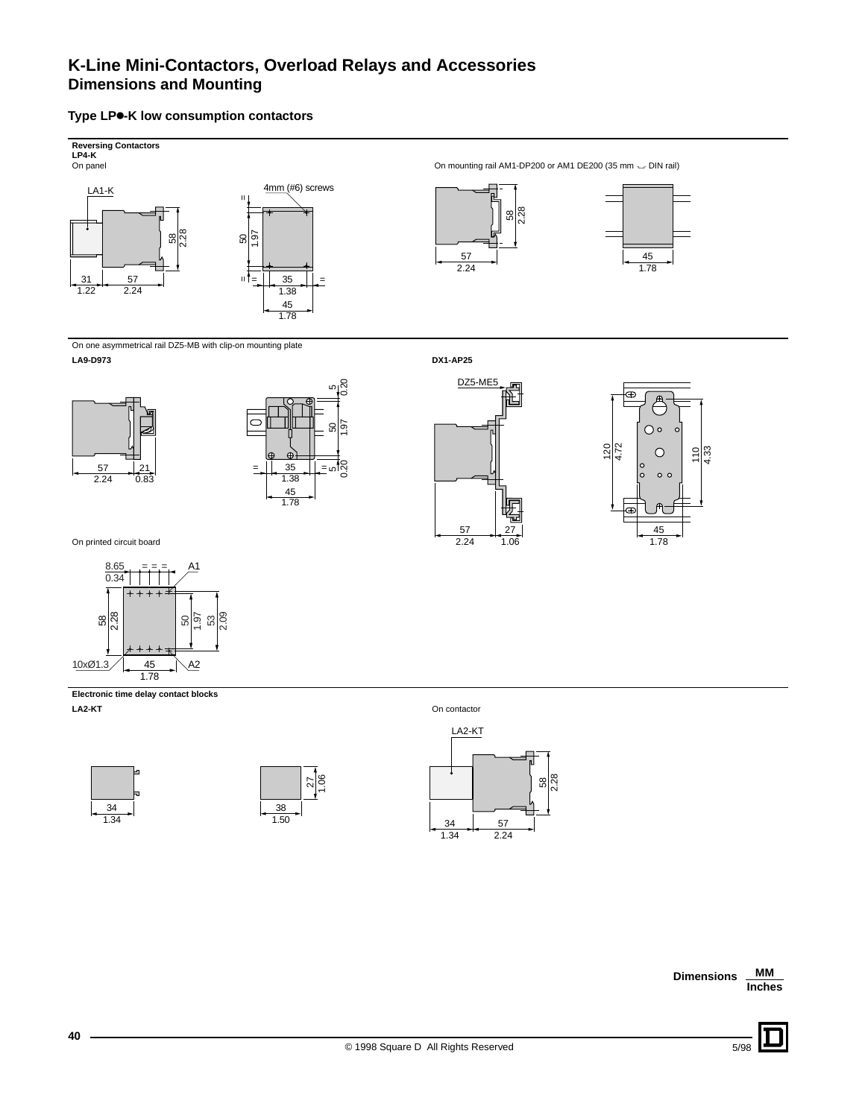# **K-Line Mini-Contactors, Overload Relays and Accessories Dimensions and Mounting**

# Type LP<sup>o-K</sup> low consumption contactors

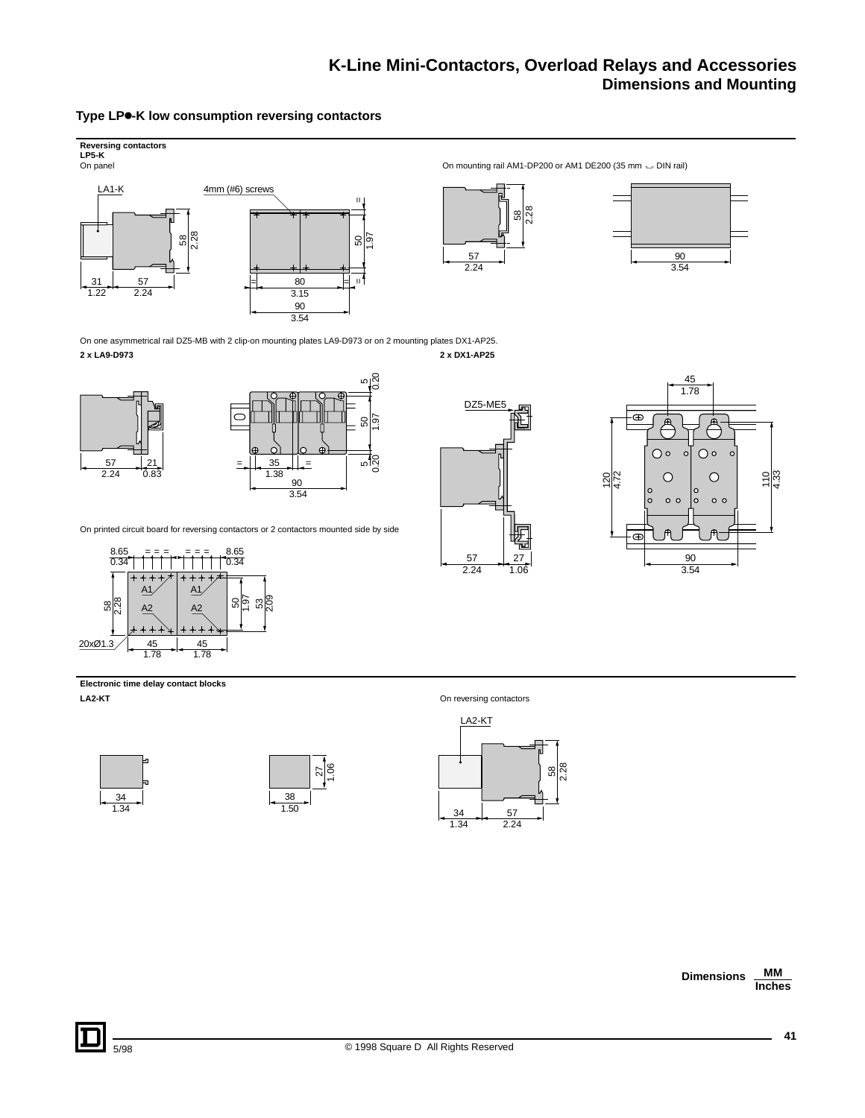### Type LP<sup>e</sup>-K low consumption reversing contactors



On one asymmetrical rail DZ5-MB with 2 clip-on mounting plates LA9-D973 or on 2 mounting plates DX1-AP25. **2 x LA9-D973 2 x DX1-AP25**









On printed circuit board for reversing contactors or 2 contactors mounted side by side



**Electronic time delay contact blocks**





**LA2-KT** On reversing contactors



1.06

**MM Inches Dimensions**

**41**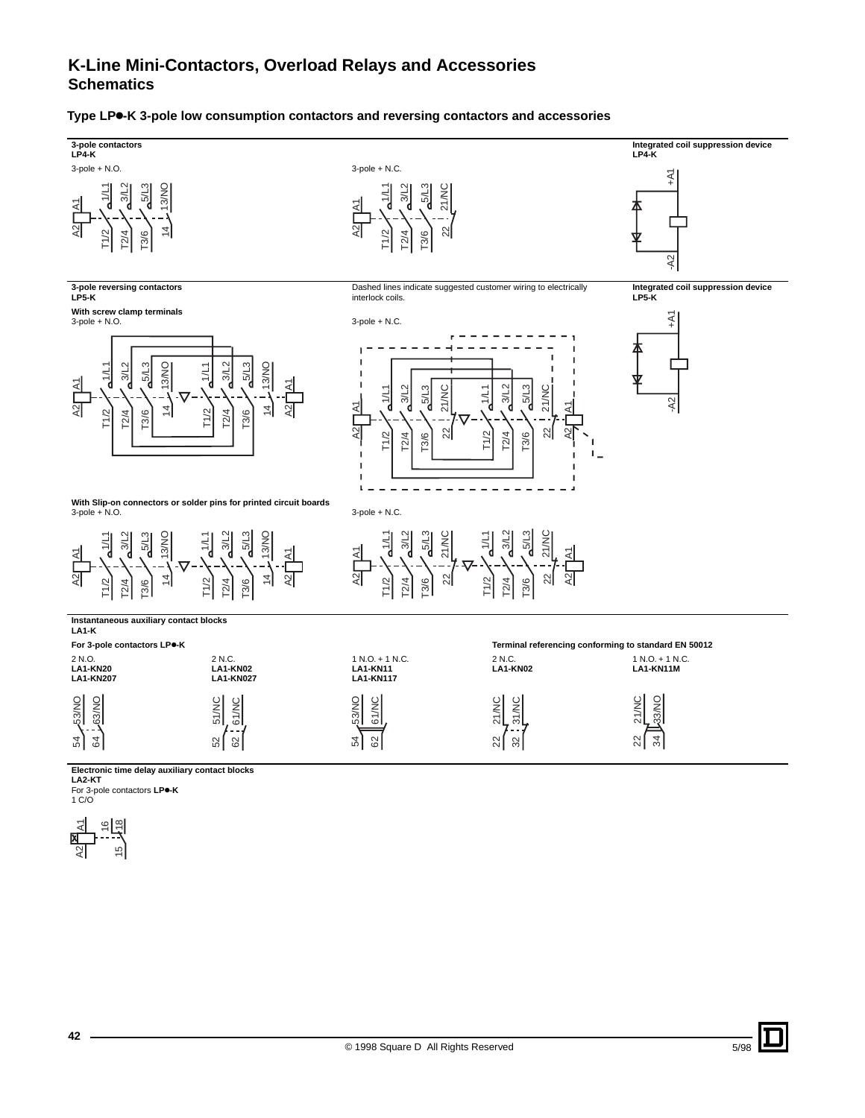### **Type LP**k**-K 3-pole low consumption contactors and reversing contactors and accessories**



**Electronic time delay auxiliary contact blocks**

**LA2-KT**

For 3-pole contactors **LP**k**-K** 1 C/O



Ш 5/98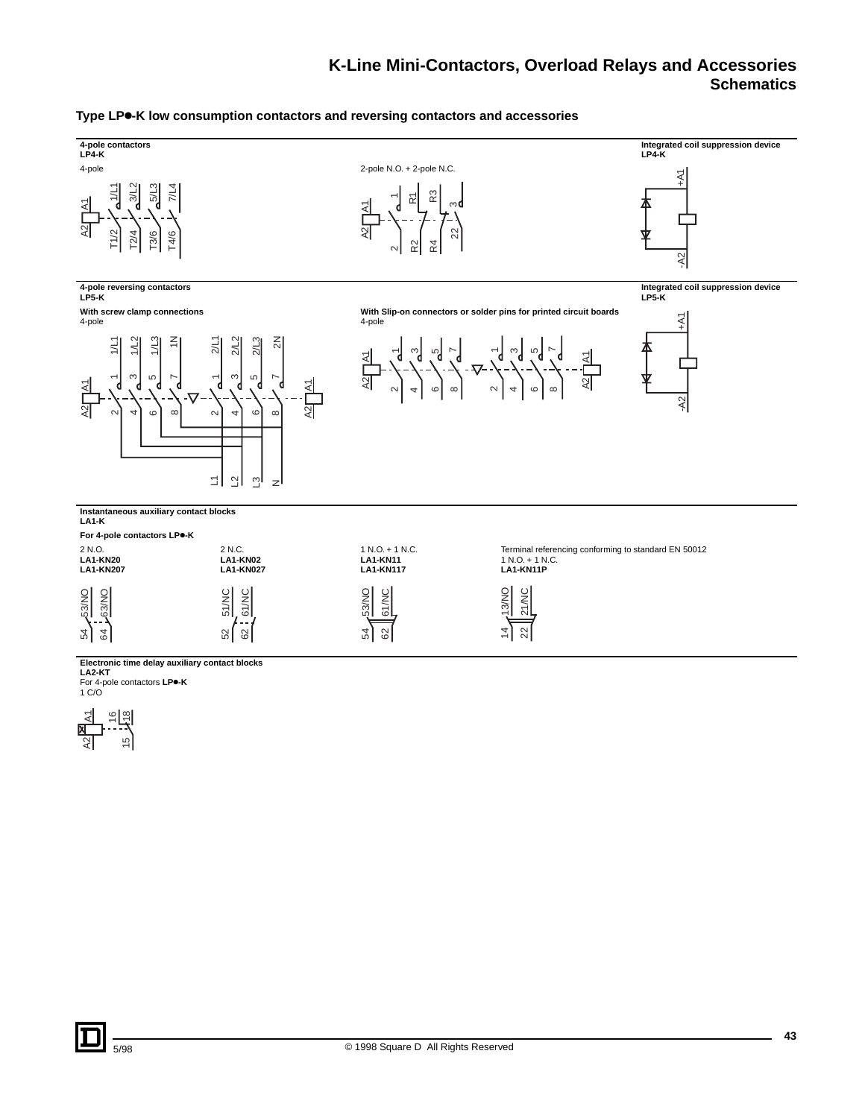



For 4-pole contactors **LP**k**-K** 1 C/O



 $\overline{a}$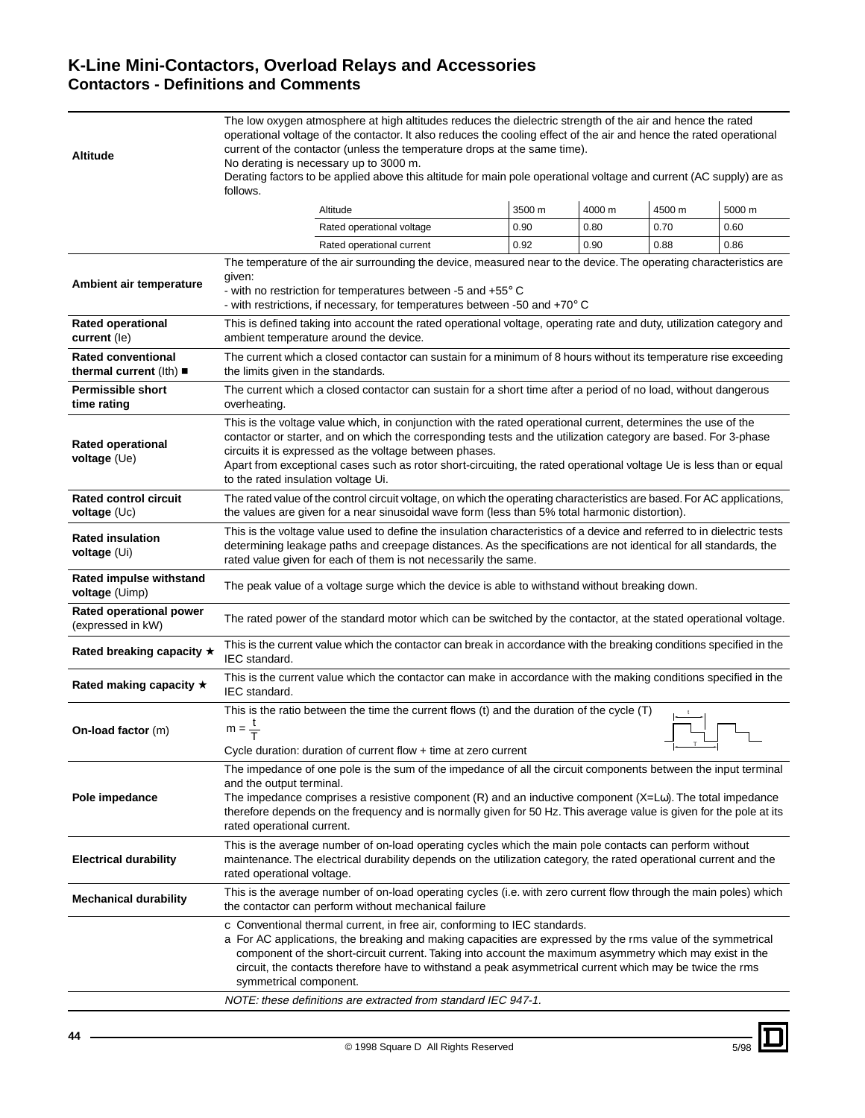# **K-Line Mini-Contactors, Overload Relays and Accessories Contactors - Definitions and Comments**

| <b>Altitude</b>                                                   | The low oxygen atmosphere at high altitudes reduces the dielectric strength of the air and hence the rated<br>operational voltage of the contactor. It also reduces the cooling effect of the air and hence the rated operational<br>current of the contactor (unless the temperature drops at the same time).<br>No derating is necessary up to 3000 m.<br>Derating factors to be applied above this altitude for main pole operational voltage and current (AC supply) are as<br>follows. |        |        |        |        |  |  |  |
|-------------------------------------------------------------------|---------------------------------------------------------------------------------------------------------------------------------------------------------------------------------------------------------------------------------------------------------------------------------------------------------------------------------------------------------------------------------------------------------------------------------------------------------------------------------------------|--------|--------|--------|--------|--|--|--|
|                                                                   | Altitude                                                                                                                                                                                                                                                                                                                                                                                                                                                                                    | 3500 m | 4000 m | 4500 m | 5000 m |  |  |  |
|                                                                   | Rated operational voltage                                                                                                                                                                                                                                                                                                                                                                                                                                                                   | 0.90   | 0.80   | 0.70   | 0.60   |  |  |  |
|                                                                   | Rated operational current                                                                                                                                                                                                                                                                                                                                                                                                                                                                   | 0.92   | 0.90   | 0.88   | 0.86   |  |  |  |
| Ambient air temperature                                           | The temperature of the air surrounding the device, measured near to the device. The operating characteristics are<br>given:<br>- with no restriction for temperatures between -5 and +55° C<br>- with restrictions, if necessary, for temperatures between -50 and +70° C                                                                                                                                                                                                                   |        |        |        |        |  |  |  |
| <b>Rated operational</b><br>current (le)                          | This is defined taking into account the rated operational voltage, operating rate and duty, utilization category and<br>ambient temperature around the device.                                                                                                                                                                                                                                                                                                                              |        |        |        |        |  |  |  |
| <b>Rated conventional</b><br>thermal current (lth) $\blacksquare$ | The current which a closed contactor can sustain for a minimum of 8 hours without its temperature rise exceeding<br>the limits given in the standards.                                                                                                                                                                                                                                                                                                                                      |        |        |        |        |  |  |  |
| <b>Permissible short</b><br>time rating                           | The current which a closed contactor can sustain for a short time after a period of no load, without dangerous<br>overheating.                                                                                                                                                                                                                                                                                                                                                              |        |        |        |        |  |  |  |
| <b>Rated operational</b><br>voltage (Ue)                          | This is the voltage value which, in conjunction with the rated operational current, determines the use of the<br>contactor or starter, and on which the corresponding tests and the utilization category are based. For 3-phase<br>circuits it is expressed as the voltage between phases.<br>Apart from exceptional cases such as rotor short-circuiting, the rated operational voltage Ue is less than or equal<br>to the rated insulation voltage Ui.                                    |        |        |        |        |  |  |  |
| <b>Rated control circuit</b><br>voltage (Uc)                      | The rated value of the control circuit voltage, on which the operating characteristics are based. For AC applications,<br>the values are given for a near sinusoidal wave form (less than 5% total harmonic distortion).                                                                                                                                                                                                                                                                    |        |        |        |        |  |  |  |
| <b>Rated insulation</b><br>voltage (Ui)                           | This is the voltage value used to define the insulation characteristics of a device and referred to in dielectric tests<br>determining leakage paths and creepage distances. As the specifications are not identical for all standards, the<br>rated value given for each of them is not necessarily the same.                                                                                                                                                                              |        |        |        |        |  |  |  |
| Rated impulse withstand<br>voltage (Uimp)                         | The peak value of a voltage surge which the device is able to withstand without breaking down.                                                                                                                                                                                                                                                                                                                                                                                              |        |        |        |        |  |  |  |
| Rated operational power<br>(expressed in kW)                      | The rated power of the standard motor which can be switched by the contactor, at the stated operational voltage.                                                                                                                                                                                                                                                                                                                                                                            |        |        |        |        |  |  |  |
| Rated breaking capacity ★                                         | This is the current value which the contactor can break in accordance with the breaking conditions specified in the<br>IEC standard.                                                                                                                                                                                                                                                                                                                                                        |        |        |        |        |  |  |  |
| Rated making capacity ★                                           | This is the current value which the contactor can make in accordance with the making conditions specified in the<br>IEC standard.                                                                                                                                                                                                                                                                                                                                                           |        |        |        |        |  |  |  |
| On-load factor (m)                                                | This is the ratio between the time the current flows (t) and the duration of the cycle (T)<br>$m = \frac{t}{T}$                                                                                                                                                                                                                                                                                                                                                                             |        |        |        |        |  |  |  |
| Pole impedance                                                    | Cycle duration: duration of current flow + time at zero current<br>The impedance of one pole is the sum of the impedance of all the circuit components between the input terminal<br>and the output terminal.<br>The impedance comprises a resistive component $(R)$ and an inductive component $(X=L\omega)$ . The total impedance<br>therefore depends on the frequency and is normally given for 50 Hz. This average value is given for the pole at its<br>rated operational current.    |        |        |        |        |  |  |  |
| <b>Electrical durability</b>                                      | This is the average number of on-load operating cycles which the main pole contacts can perform without<br>maintenance. The electrical durability depends on the utilization category, the rated operational current and the<br>rated operational voltage.                                                                                                                                                                                                                                  |        |        |        |        |  |  |  |
| <b>Mechanical durability</b>                                      | This is the average number of on-load operating cycles (i.e. with zero current flow through the main poles) which<br>the contactor can perform without mechanical failure                                                                                                                                                                                                                                                                                                                   |        |        |        |        |  |  |  |
|                                                                   | c Conventional thermal current, in free air, conforming to IEC standards.<br>a For AC applications, the breaking and making capacities are expressed by the rms value of the symmetrical<br>component of the short-circuit current. Taking into account the maximum asymmetry which may exist in the<br>circuit, the contacts therefore have to withstand a peak asymmetrical current which may be twice the rms<br>symmetrical component.                                                  |        |        |        |        |  |  |  |
|                                                                   | NOTE: these definitions are extracted from standard IEC 947-1.                                                                                                                                                                                                                                                                                                                                                                                                                              |        |        |        |        |  |  |  |

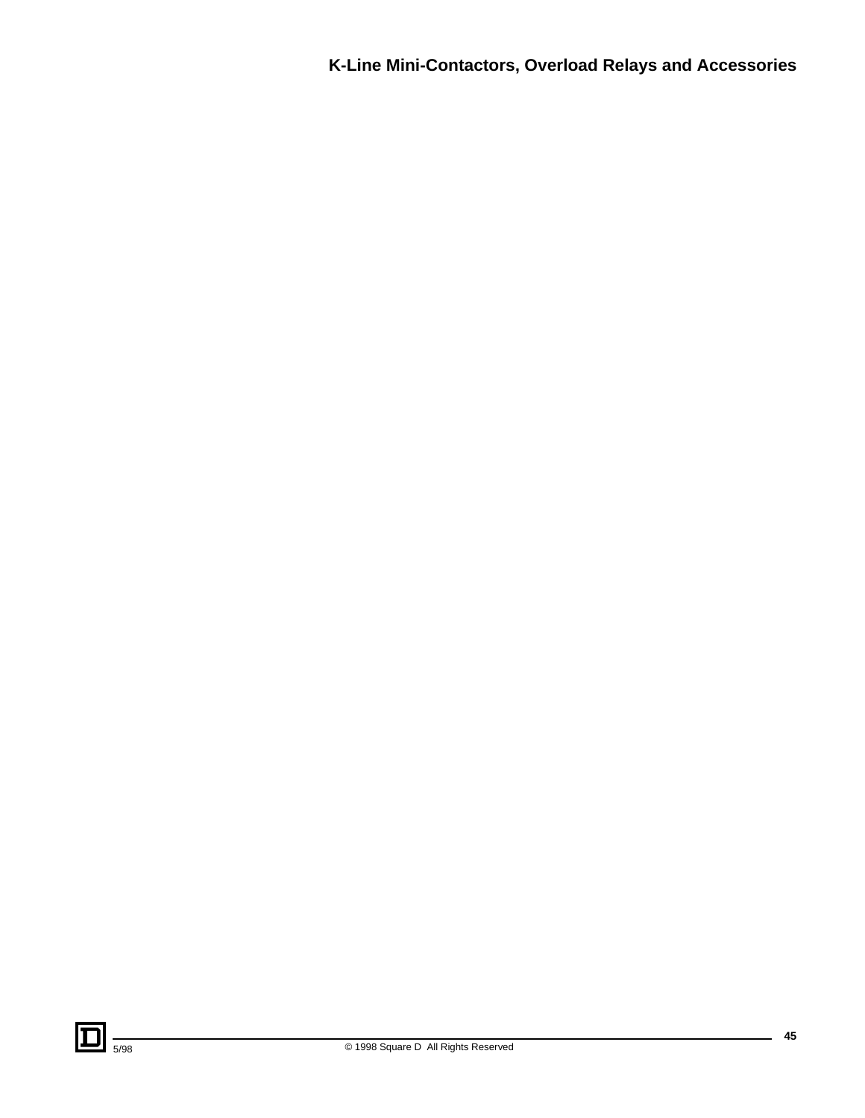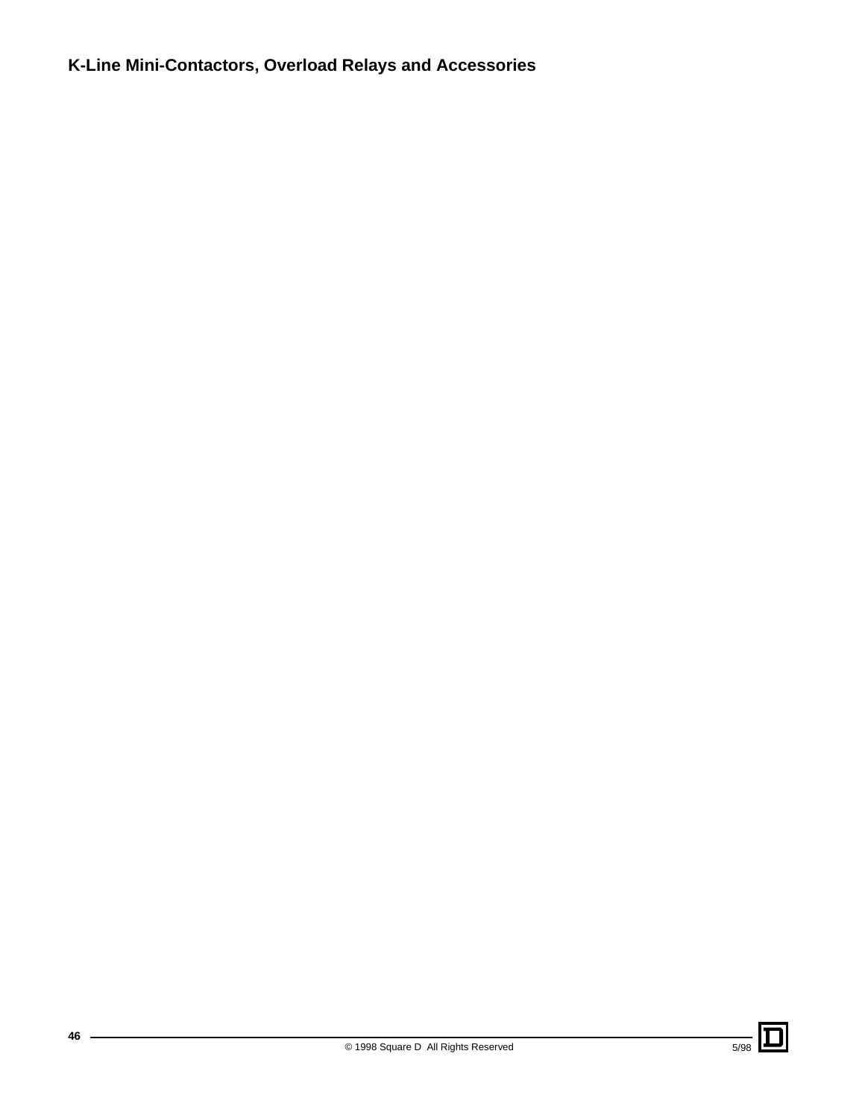# **K-Line Mini-Contactors, Overload Relays and Accessories**

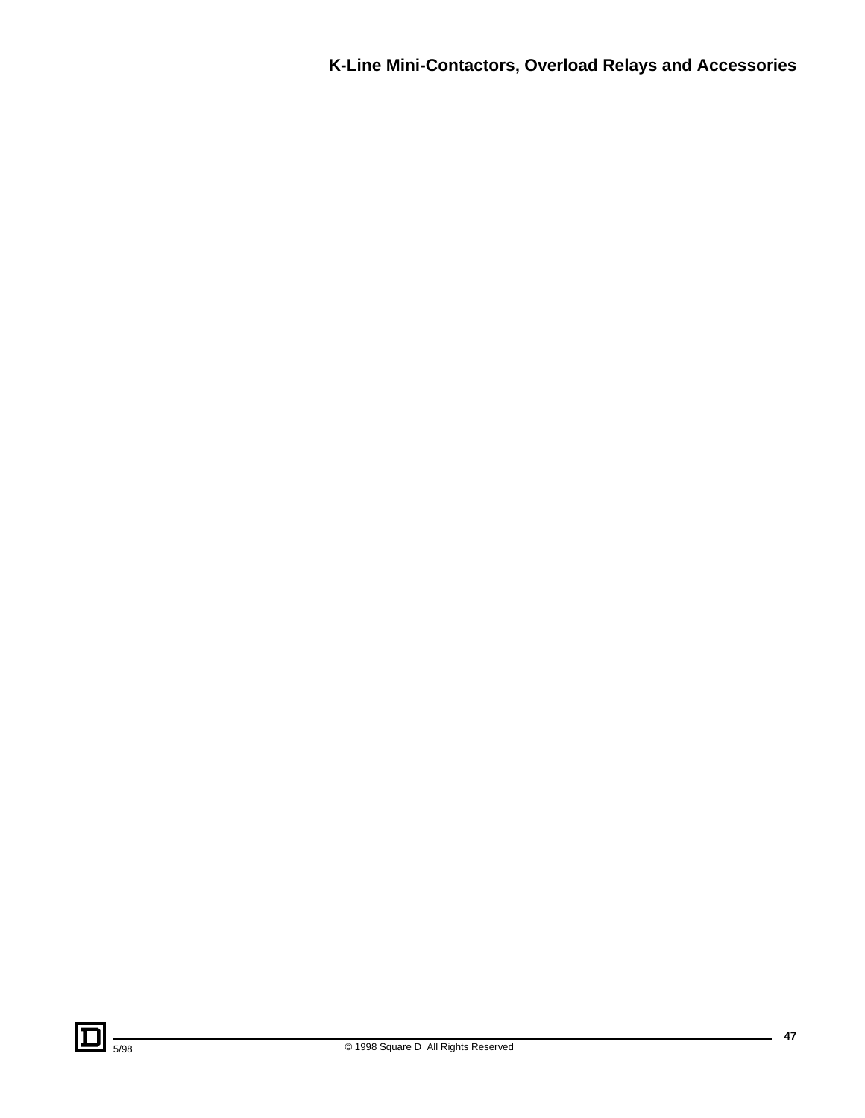